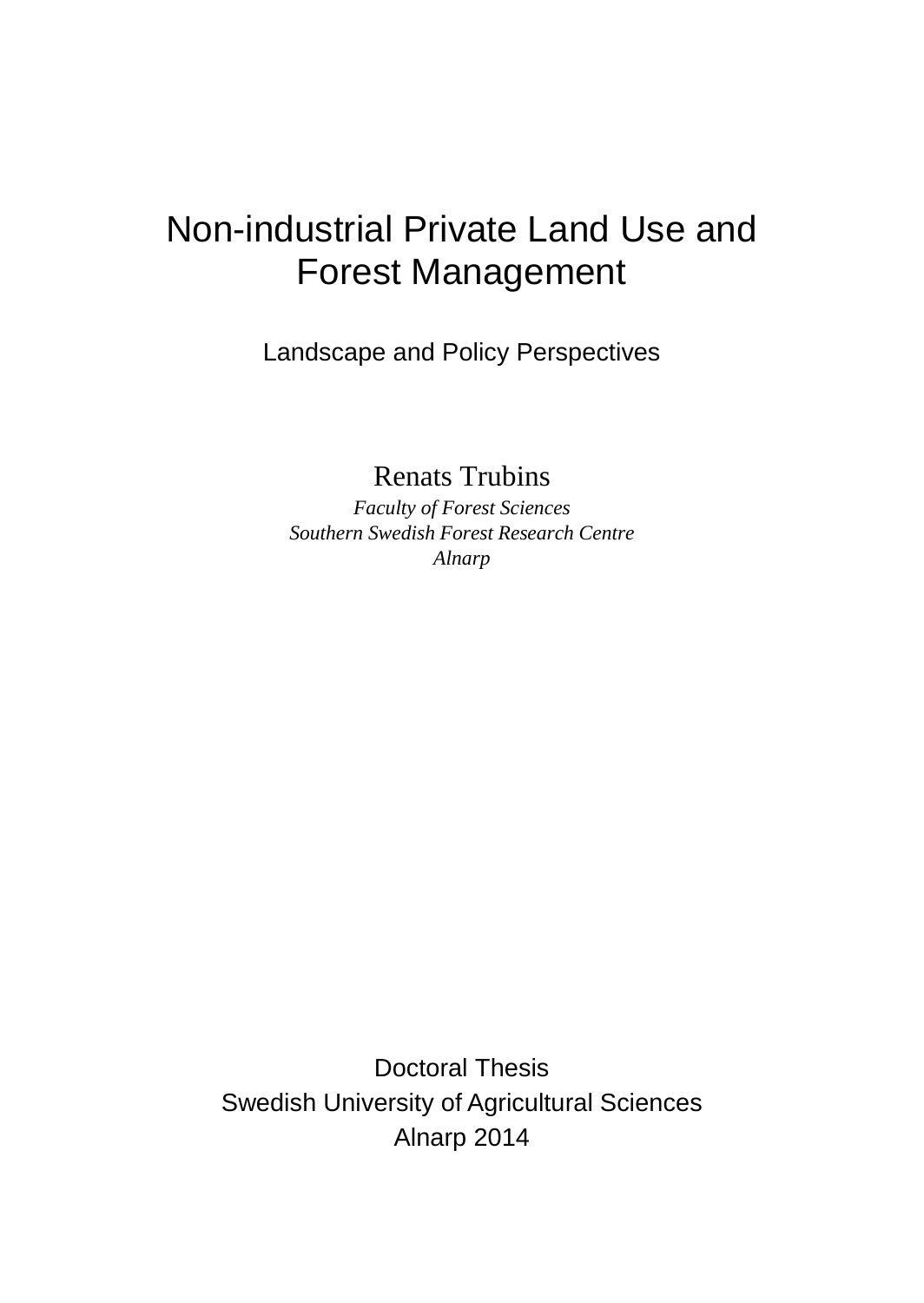# Non-industrial Private Land Use and Forest Management

Landscape and Policy Perspectives

Renats Trubins

*Faculty of Forest Sciences Southern Swedish Forest Research Centre Alnarp*

Doctoral Thesis Swedish University of Agricultural Sciences Alnarp 2014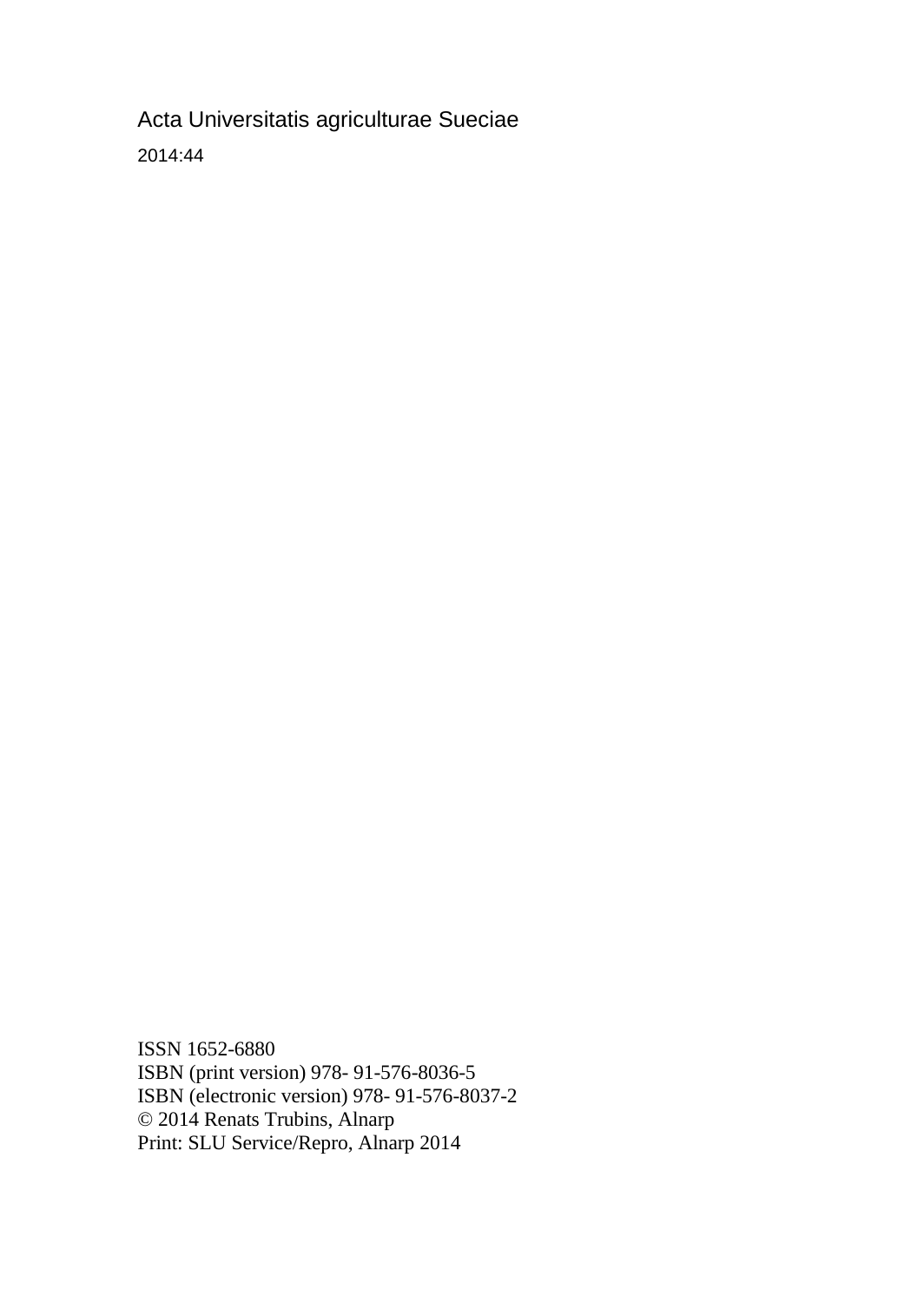Acta Universitatis agriculturae Sueciae 2014:44

ISSN 1652-6880 ISBN (print version) 978- 91-576-8036-5 ISBN (electronic version) 978- 91-576-8037-2 © 2014 Renats Trubins, Alnarp Print: SLU Service/Repro, Alnarp 2014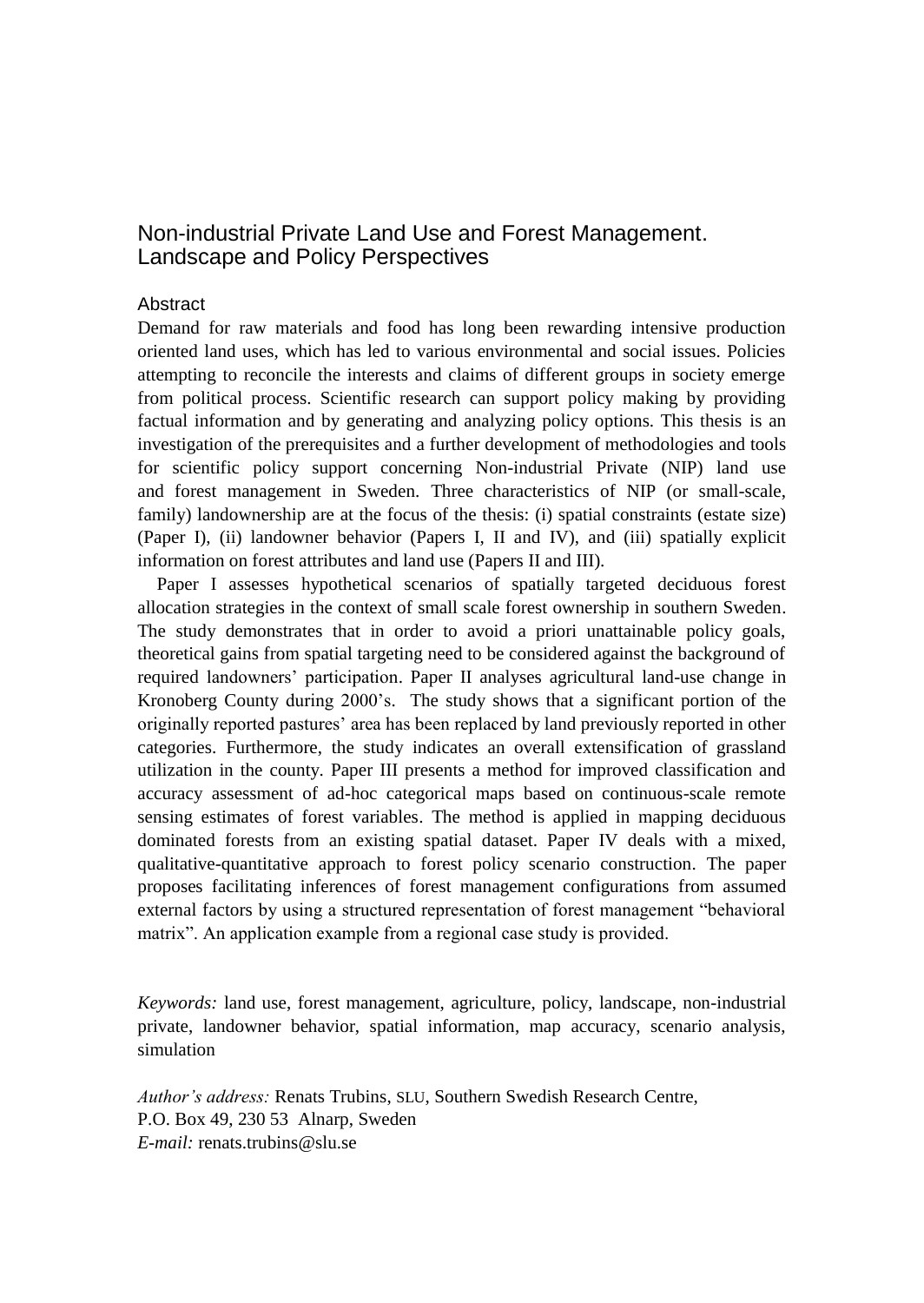### Non-industrial Private Land Use and Forest Management. Landscape and Policy Perspectives

#### Abstract

Demand for raw materials and food has long been rewarding intensive production oriented land uses, which has led to various environmental and social issues. Policies attempting to reconcile the interests and claims of different groups in society emerge from political process. Scientific research can support policy making by providing factual information and by generating and analyzing policy options. This thesis is an investigation of the prerequisites and a further development of methodologies and tools for scientific policy support concerning Non-industrial Private (NIP) land use and forest management in Sweden. Three characteristics of NIP (or small-scale, family) landownership are at the focus of the thesis: (i) spatial constraints (estate size) (Paper I), (ii) landowner behavior (Papers I, II and IV), and (iii) spatially explicit information on forest attributes and land use (Papers II and III).

Paper I assesses hypothetical scenarios of spatially targeted deciduous forest allocation strategies in the context of small scale forest ownership in southern Sweden. The study demonstrates that in order to avoid a priori unattainable policy goals, theoretical gains from spatial targeting need to be considered against the background of required landowners' participation. Paper II analyses agricultural land-use change in Kronoberg County during 2000's. The study shows that a significant portion of the originally reported pastures' area has been replaced by land previously reported in other categories. Furthermore, the study indicates an overall extensification of grassland utilization in the county. Paper III presents a method for improved classification and accuracy assessment of ad-hoc categorical maps based on continuous-scale remote sensing estimates of forest variables. The method is applied in mapping deciduous dominated forests from an existing spatial dataset. Paper IV deals with a mixed, qualitative-quantitative approach to forest policy scenario construction. The paper proposes facilitating inferences of forest management configurations from assumed external factors by using a structured representation of forest management "behavioral matrix". An application example from a regional case study is provided.

*Keywords:* land use, forest management, agriculture, policy, landscape, non-industrial private, landowner behavior, spatial information, map accuracy, scenario analysis, simulation

*Author's address:* Renats Trubins, SLU, Southern Swedish Research Centre, P.O. Box 49, 230 53 Alnarp, Sweden *E-mail:* renats.trubins@slu.se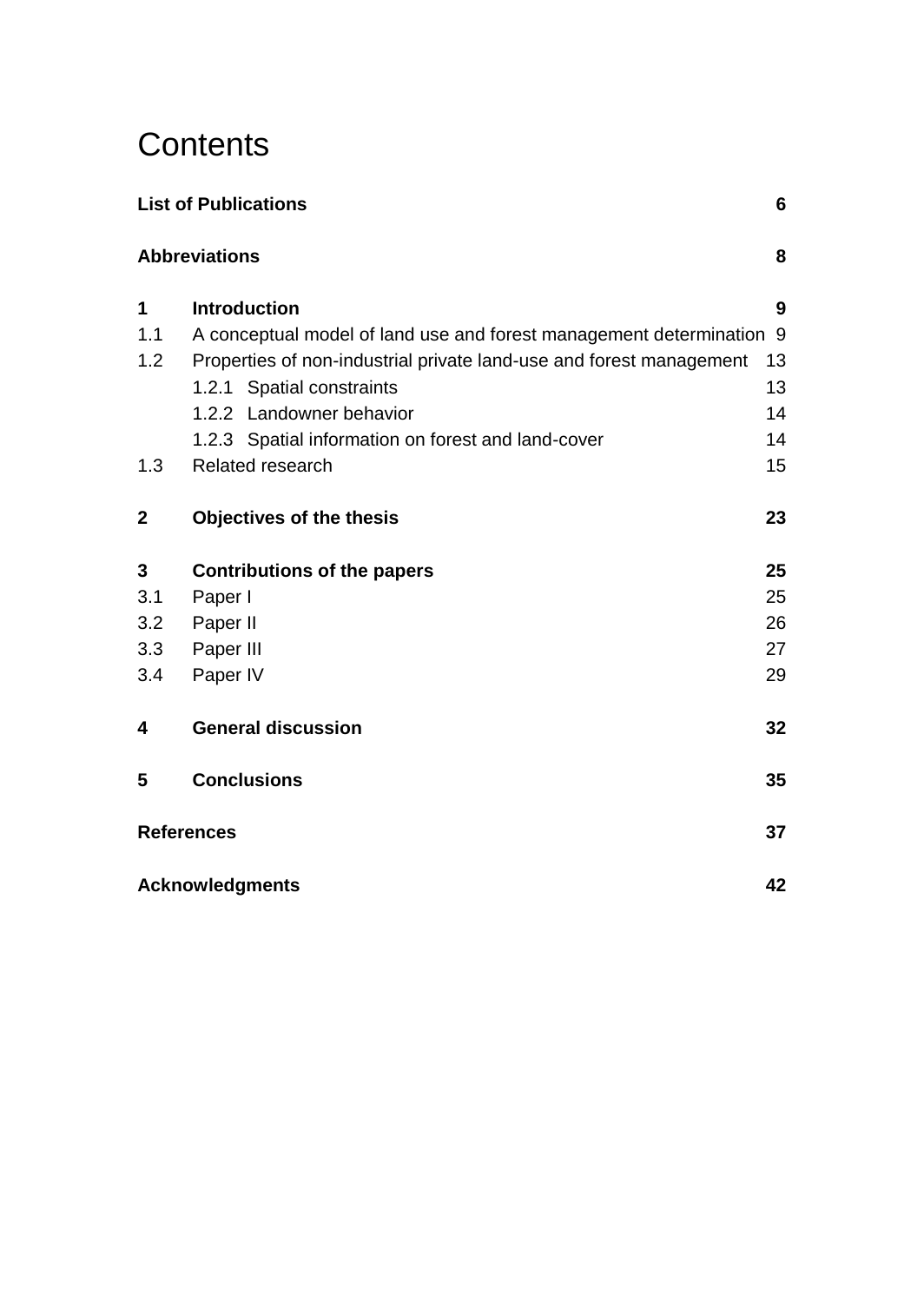# **Contents**

| <b>List of Publications</b><br>6 |                                                                      |    |  |  |  |  |
|----------------------------------|----------------------------------------------------------------------|----|--|--|--|--|
|                                  | <b>Abbreviations</b>                                                 | 8  |  |  |  |  |
| 1                                | <b>Introduction</b>                                                  | 9  |  |  |  |  |
| 1.1                              | A conceptual model of land use and forest management determination 9 |    |  |  |  |  |
| 1.2                              | Properties of non-industrial private land-use and forest management  | 13 |  |  |  |  |
|                                  | 1.2.1 Spatial constraints                                            | 13 |  |  |  |  |
|                                  | 1.2.2 Landowner behavior                                             | 14 |  |  |  |  |
|                                  | 1.2.3 Spatial information on forest and land-cover                   | 14 |  |  |  |  |
| 1.3                              | Related research                                                     | 15 |  |  |  |  |
| $\mathbf{2}$                     | <b>Objectives of the thesis</b>                                      | 23 |  |  |  |  |
| 3                                | <b>Contributions of the papers</b>                                   | 25 |  |  |  |  |
| 3.1                              | Paper I                                                              | 25 |  |  |  |  |
| 3.2                              | Paper II                                                             | 26 |  |  |  |  |
| 3.3                              | Paper III                                                            | 27 |  |  |  |  |
| 3.4                              | Paper IV                                                             | 29 |  |  |  |  |
| 4                                | <b>General discussion</b>                                            | 32 |  |  |  |  |
| 5                                | <b>Conclusions</b>                                                   | 35 |  |  |  |  |
|                                  | 37<br><b>References</b>                                              |    |  |  |  |  |
|                                  | <b>Acknowledgments</b><br>42                                         |    |  |  |  |  |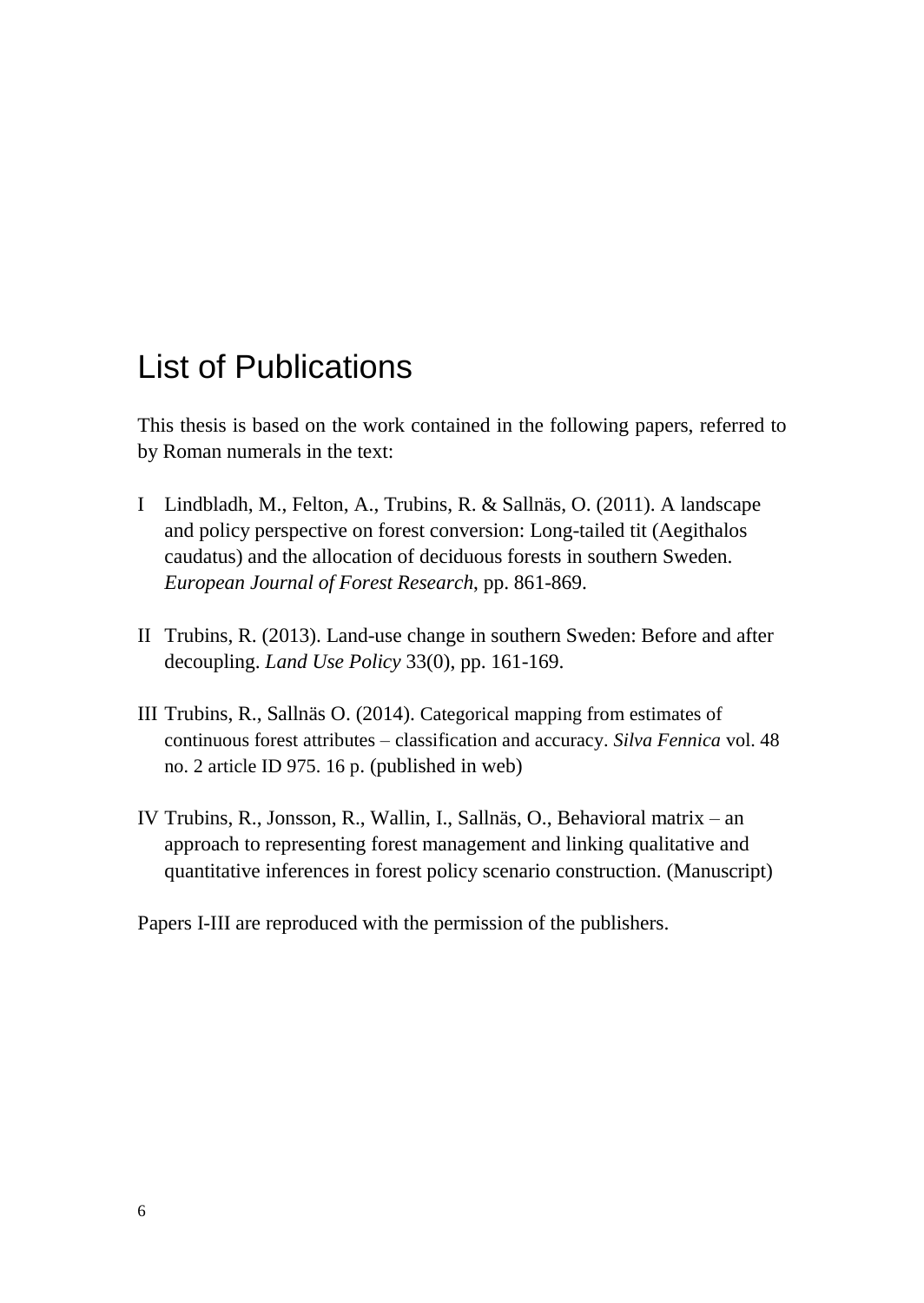# <span id="page-5-0"></span>List of Publications

This thesis is based on the work contained in the following papers, referred to by Roman numerals in the text:

- I Lindbladh, M., Felton, A., Trubins, R. & Sallnäs, O. (2011). A landscape and policy perspective on forest conversion: Long-tailed tit (Aegithalos caudatus) and the allocation of deciduous forests in southern Sweden. *European Journal of Forest Research*, pp. 861-869.
- II Trubins, R. (2013). Land-use change in southern Sweden: Before and after decoupling. *Land Use Policy* 33(0), pp. 161-169.
- III Trubins, R., Sallnäs O. (2014). Categorical mapping from estimates of continuous forest attributes – classification and accuracy. *Silva Fennica* vol. 48 no. 2 article ID 975. 16 p. (published in web)
- IV Trubins, R., Jonsson, R., Wallin, I., Sallnäs, O., Behavioral matrix an approach to representing forest management and linking qualitative and quantitative inferences in forest policy scenario construction. (Manuscript)

Papers I-III are reproduced with the permission of the publishers.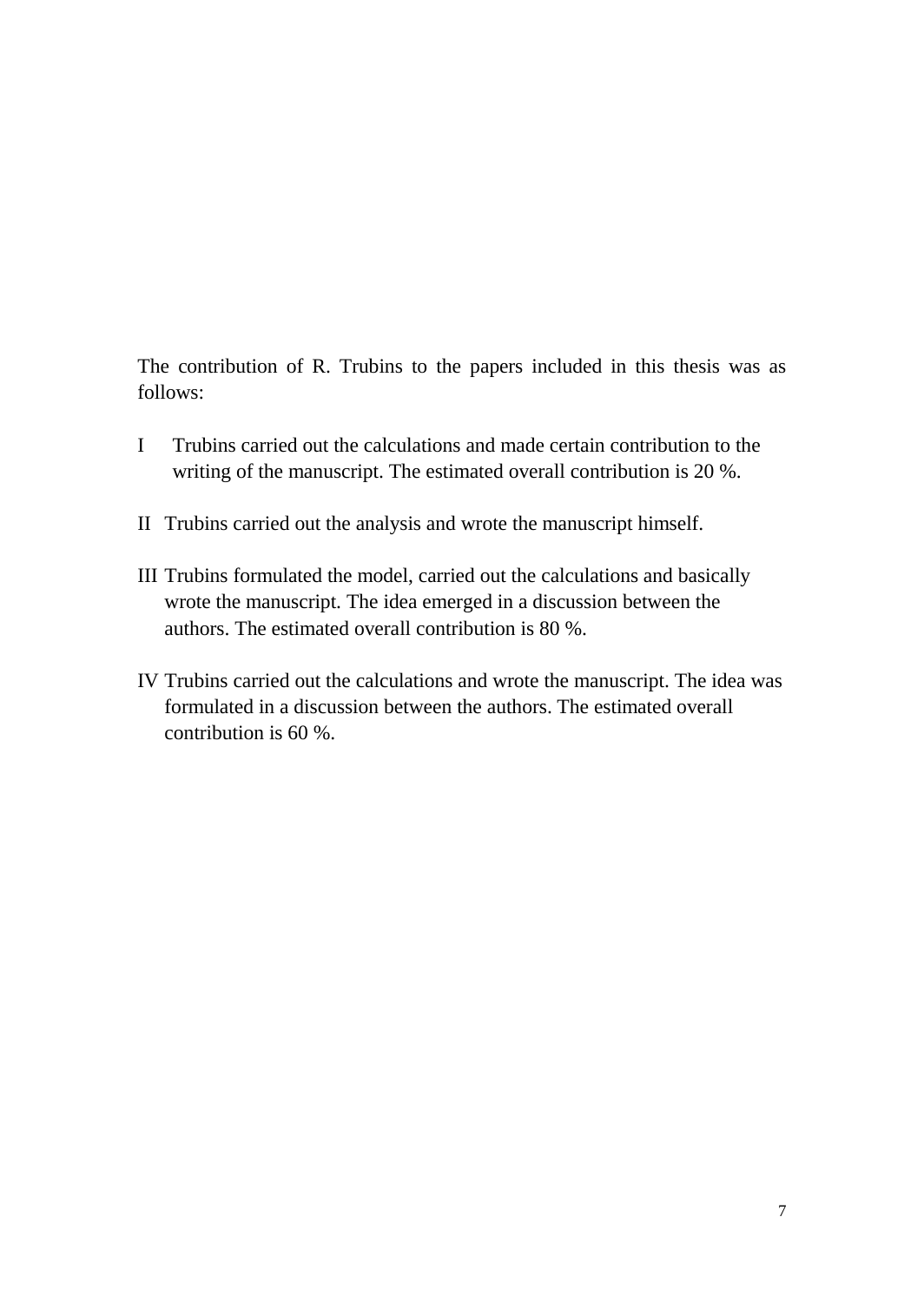The contribution of R. Trubins to the papers included in this thesis was as follows:

- I Trubins carried out the calculations and made certain contribution to the writing of the manuscript. The estimated overall contribution is 20 %.
- II Trubins carried out the analysis and wrote the manuscript himself.
- III Trubins formulated the model, carried out the calculations and basically wrote the manuscript. The idea emerged in a discussion between the authors. The estimated overall contribution is 80 %.
- IV Trubins carried out the calculations and wrote the manuscript. The idea was formulated in a discussion between the authors. The estimated overall contribution is 60 %.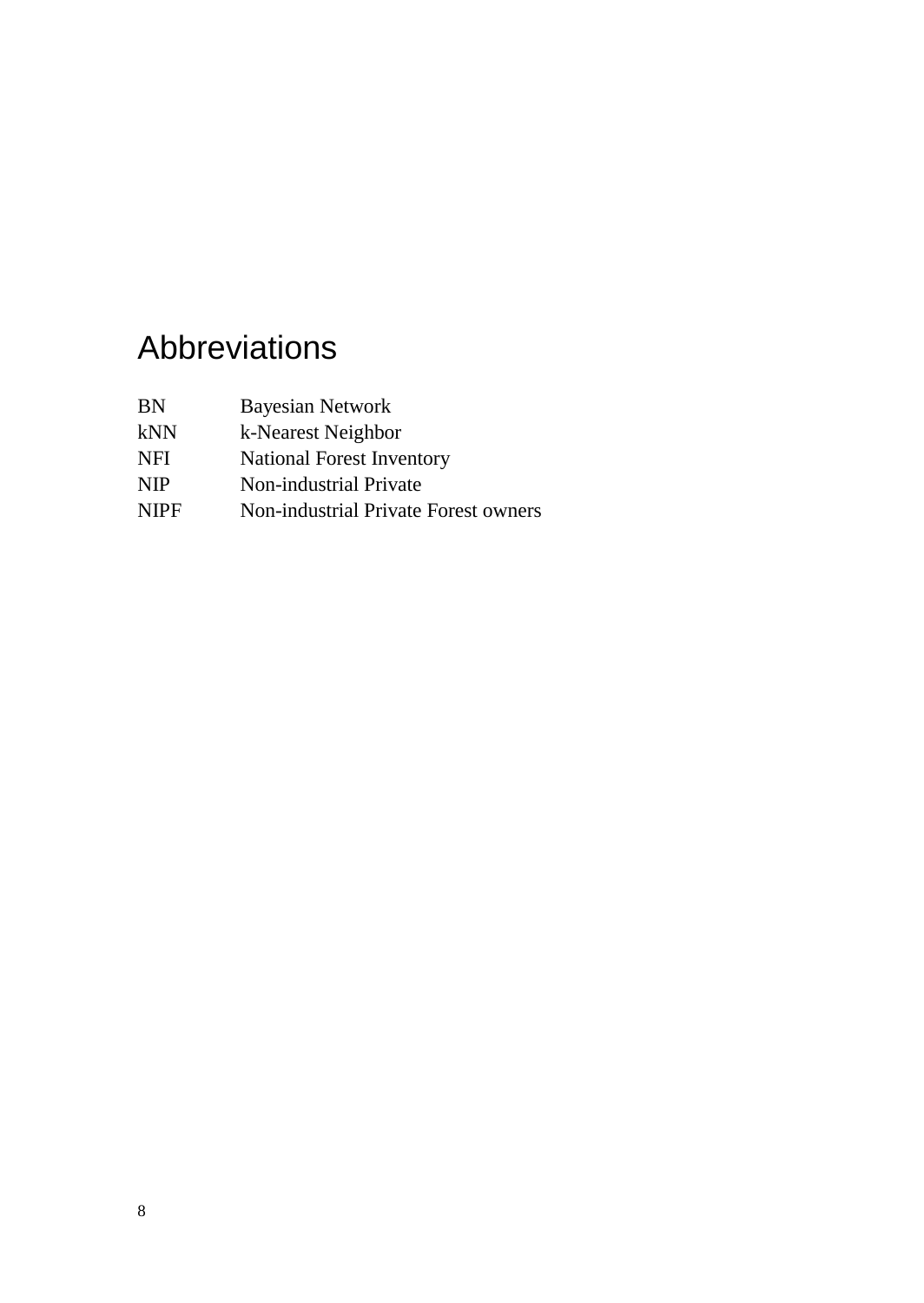# <span id="page-7-0"></span>Abbreviations

| ΒN | Bayesian Network |  |
|----|------------------|--|
|----|------------------|--|

- kNN k-Nearest Neighbor
- NFI National Forest Inventory
- NIP Non-industrial Private
- NIPF Non-industrial Private Forest owners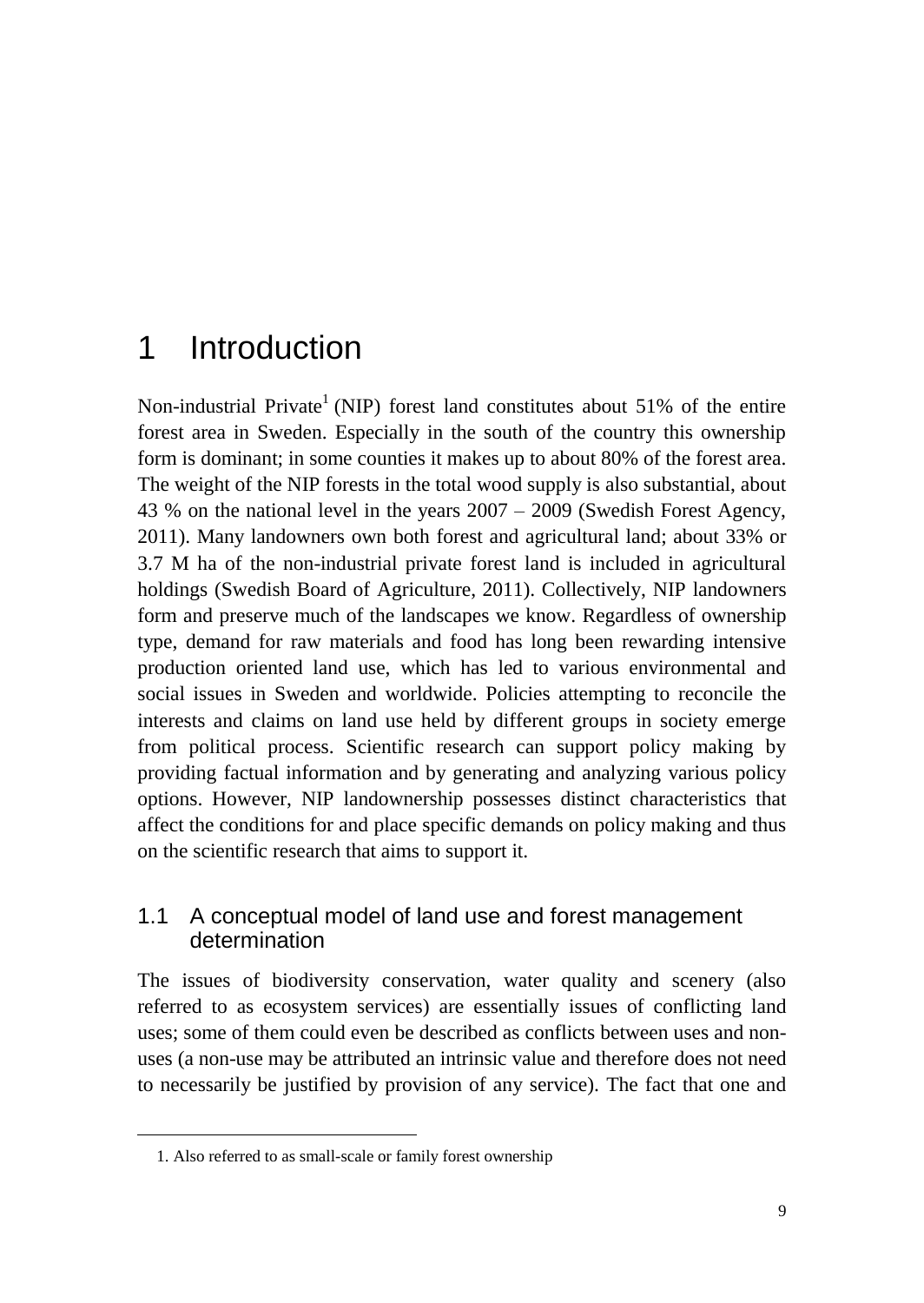## <span id="page-8-0"></span>1 Introduction

Non-industrial Private<sup>1</sup> (NIP) forest land constitutes about 51% of the entire forest area in Sweden. Especially in the south of the country this ownership form is dominant; in some counties it makes up to about 80% of the forest area. The weight of the NIP forests in the total wood supply is also substantial, about 43 % on the national level in the years 2007 – 2009 [\(Swedish Forest Agency,](#page-40-0)  [2011\)](#page-40-0). Many landowners own both forest and agricultural land; about 33% or 3.7 M ha of the non-industrial private forest land is included in agricultural holdings [\(Swedish Board of Agriculture, 2011\)](#page-40-1). Collectively, NIP landowners form and preserve much of the landscapes we know. Regardless of ownership type, demand for raw materials and food has long been rewarding intensive production oriented land use, which has led to various environmental and social issues in Sweden and worldwide. Policies attempting to reconcile the interests and claims on land use held by different groups in society emerge from political process. Scientific research can support policy making by providing factual information and by generating and analyzing various policy options. However, NIP landownership possesses distinct characteristics that affect the conditions for and place specific demands on policy making and thus on the scientific research that aims to support it.

### <span id="page-8-1"></span>1.1 A conceptual model of land use and forest management determination

The issues of biodiversity conservation, water quality and scenery (also referred to as ecosystem services) are essentially issues of conflicting land uses; some of them could even be described as conflicts between uses and nonuses (a non-use may be attributed an intrinsic value and therefore does not need to necessarily be justified by provision of any service). The fact that one and

 $\overline{a}$ 

<sup>1.</sup> Also referred to as small-scale or family forest ownership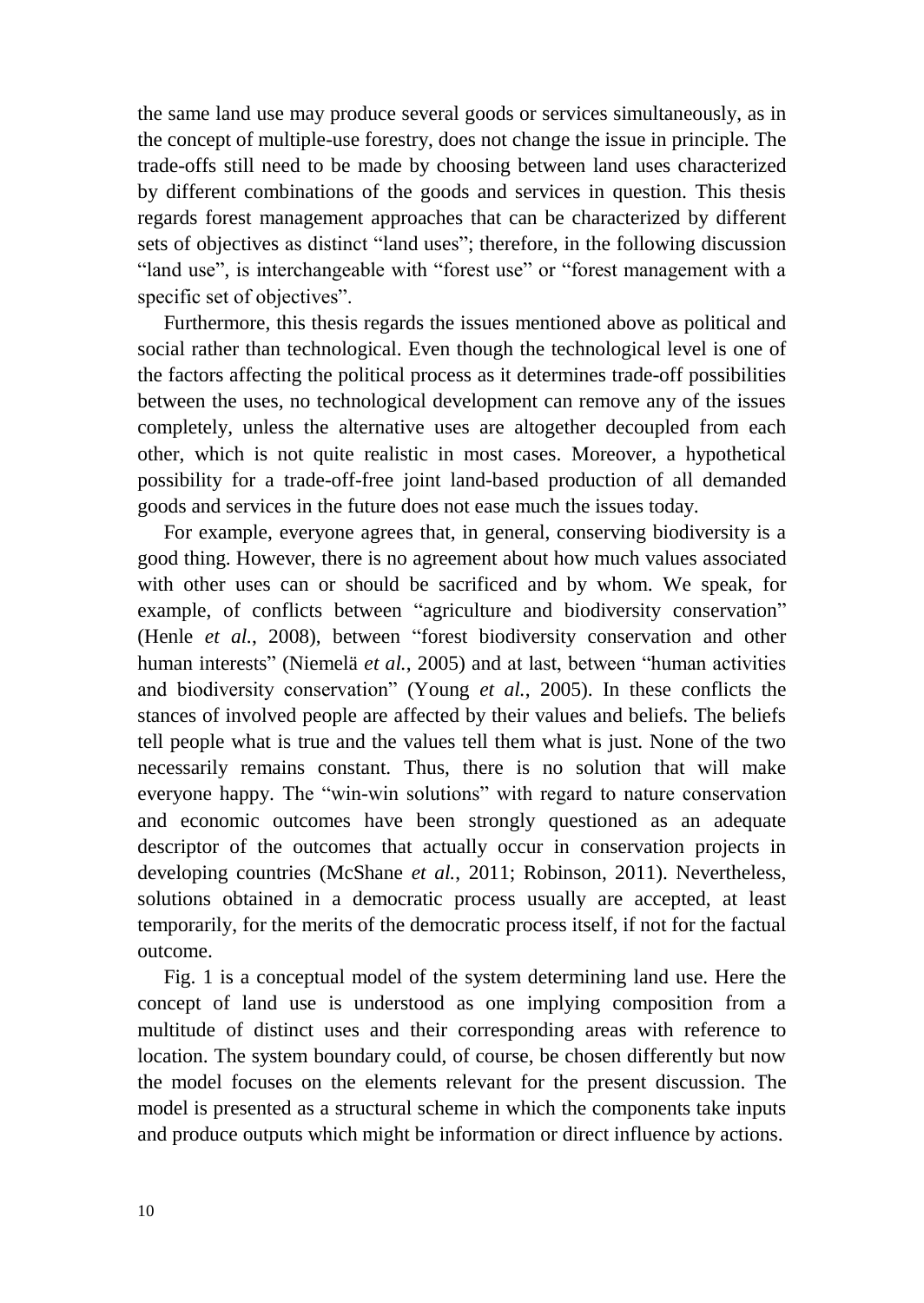the same land use may produce several goods or services simultaneously, as in the concept of multiple-use forestry, does not change the issue in principle. The trade-offs still need to be made by choosing between land uses characterized by different combinations of the goods and services in question. This thesis regards forest management approaches that can be characterized by different sets of objectives as distinct "land uses"; therefore, in the following discussion "land use", is interchangeable with "forest use" or "forest management with a specific set of objectives".

Furthermore, this thesis regards the issues mentioned above as political and social rather than technological. Even though the technological level is one of the factors affecting the political process as it determines trade-off possibilities between the uses, no technological development can remove any of the issues completely, unless the alternative uses are altogether decoupled from each other, which is not quite realistic in most cases. Moreover, a hypothetical possibility for a trade-off-free joint land-based production of all demanded goods and services in the future does not ease much the issues today.

For example, everyone agrees that, in general, conserving biodiversity is a good thing. However, there is no agreement about how much values associated with other uses can or should be sacrificed and by whom. We speak, for example, of conflicts between "agriculture and biodiversity conservation" (Henle *et al.*[, 2008\)](#page-38-0), between "forest biodiversity conservation and other human interests" [\(Niemelä](#page-39-0) *et al.*, 2005) and at last, between "human activities and biodiversity conservation" [\(Young](#page-40-2) *et al.*, 2005). In these conflicts the stances of involved people are affected by their values and beliefs. The beliefs tell people what is true and the values tell them what is just. None of the two necessarily remains constant. Thus, there is no solution that will make everyone happy. The "win-win solutions" with regard to nature conservation and economic outcomes have been strongly questioned as an adequate descriptor of the outcomes that actually occur in conservation projects in developing countries [\(McShane](#page-39-1) *et al.*, 2011; [Robinson, 2011\)](#page-40-3). Nevertheless, solutions obtained in a democratic process usually are accepted, at least temporarily, for the merits of the democratic process itself, if not for the factual outcome.

Fig. 1 is a conceptual model of the system determining land use. Here the concept of land use is understood as one implying composition from a multitude of distinct uses and their corresponding areas with reference to location. The system boundary could, of course, be chosen differently but now the model focuses on the elements relevant for the present discussion. The model is presented as a structural scheme in which the components take inputs and produce outputs which might be information or direct influence by actions.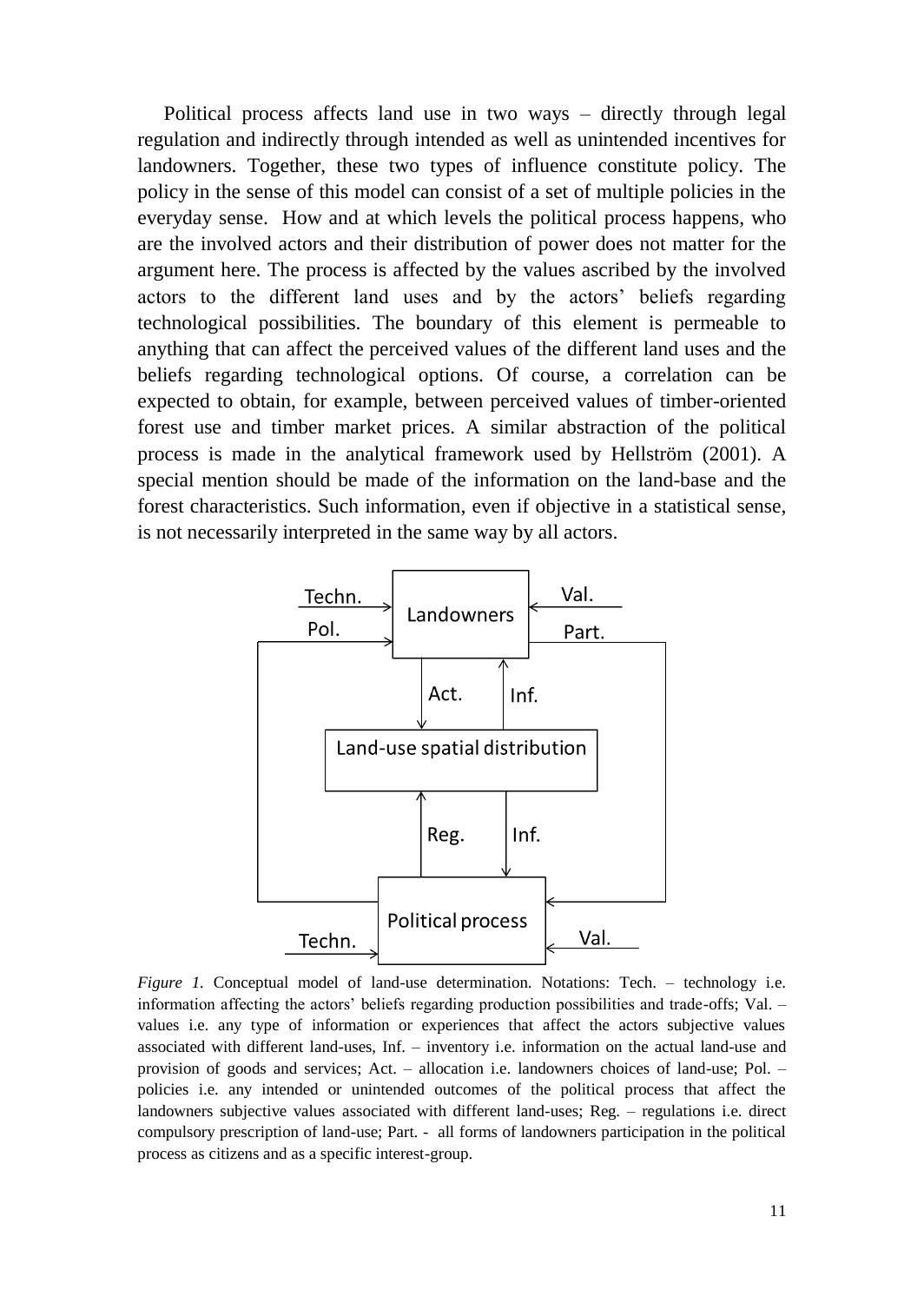Political process affects land use in two ways – directly through legal regulation and indirectly through intended as well as unintended incentives for landowners. Together, these two types of influence constitute policy. The policy in the sense of this model can consist of a set of multiple policies in the everyday sense. How and at which levels the political process happens, who are the involved actors and their distribution of power does not matter for the argument here. The process is affected by the values ascribed by the involved actors to the different land uses and by the actors' beliefs regarding technological possibilities. The boundary of this element is permeable to anything that can affect the perceived values of the different land uses and the beliefs regarding technological options. Of course, a correlation can be expected to obtain, for example, between perceived values of timber-oriented forest use and timber market prices. A similar abstraction of the political process is made in the analytical framework used by Hellström [\(2001\)](#page-37-0). A special mention should be made of the information on the land-base and the forest characteristics. Such information, even if objective in a statistical sense, is not necessarily interpreted in the same way by all actors.



*Figure 1.* Conceptual model of land-use determination. Notations: Tech. – technology i.e. information affecting the actors' beliefs regarding production possibilities and trade-offs; Val. – values i.e. any type of information or experiences that affect the actors subjective values associated with different land-uses, Inf. – inventory i.e. information on the actual land-use and provision of goods and services; Act. – allocation i.e. landowners choices of land-use; Pol. – policies i.e. any intended or unintended outcomes of the political process that affect the landowners subjective values associated with different land-uses; Reg. – regulations i.e. direct compulsory prescription of land-use; Part. - all forms of landowners participation in the political process as citizens and as a specific interest-group.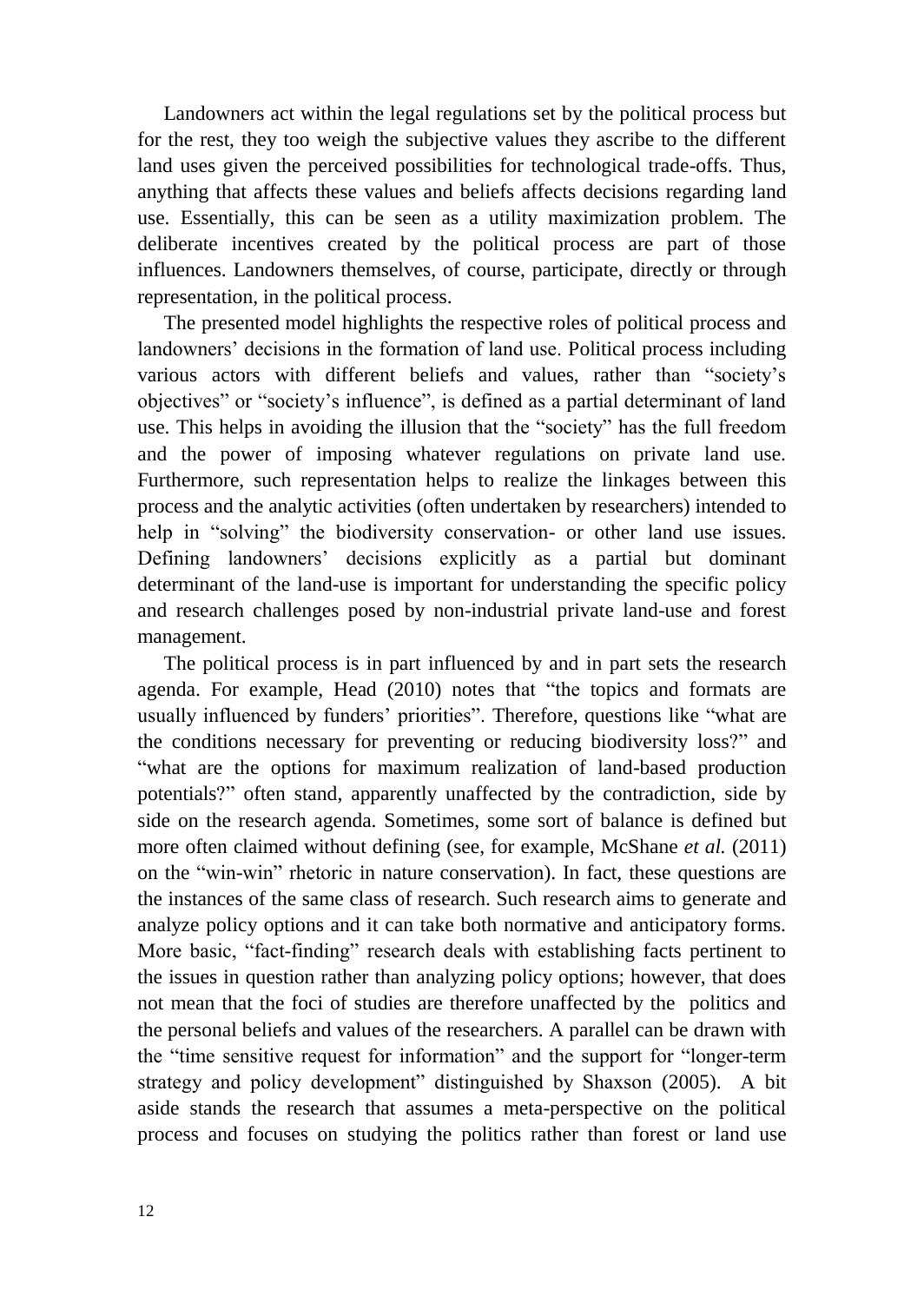Landowners act within the legal regulations set by the political process but for the rest, they too weigh the subjective values they ascribe to the different land uses given the perceived possibilities for technological trade-offs. Thus, anything that affects these values and beliefs affects decisions regarding land use. Essentially, this can be seen as a utility maximization problem. The deliberate incentives created by the political process are part of those influences. Landowners themselves, of course, participate, directly or through representation, in the political process.

The presented model highlights the respective roles of political process and landowners' decisions in the formation of land use. Political process including various actors with different beliefs and values, rather than "society's objectives" or "society's influence", is defined as a partial determinant of land use. This helps in avoiding the illusion that the "society" has the full freedom and the power of imposing whatever regulations on private land use. Furthermore, such representation helps to realize the linkages between this process and the analytic activities (often undertaken by researchers) intended to help in "solving" the biodiversity conservation- or other land use issues. Defining landowners' decisions explicitly as a partial but dominant determinant of the land-use is important for understanding the specific policy and research challenges posed by non-industrial private land-use and forest management.

The political process is in part influenced by and in part sets the research agenda. For example, Head [\(2010\)](#page-37-1) notes that "the topics and formats are usually influenced by funders' priorities". Therefore, questions like "what are the conditions necessary for preventing or reducing biodiversity loss?" and "what are the options for maximum realization of land-based production potentials?" often stand, apparently unaffected by the contradiction, side by side on the research agenda. Sometimes, some sort of balance is defined but more often claimed without defining (see, for example, McShane *et al.* [\(2011\)](#page-39-1) on the "win-win" rhetoric in nature conservation). In fact, these questions are the instances of the same class of research. Such research aims to generate and analyze policy options and it can take both normative and anticipatory forms. More basic, "fact-finding" research deals with establishing facts pertinent to the issues in question rather than analyzing policy options; however, that does not mean that the foci of studies are therefore unaffected by the politics and the personal beliefs and values of the researchers. A parallel can be drawn with the "time sensitive request for information" and the support for "longer-term strategy and policy development" distinguished by Shaxson [\(2005\)](#page-40-4). A bit aside stands the research that assumes a meta-perspective on the political process and focuses on studying the politics rather than forest or land use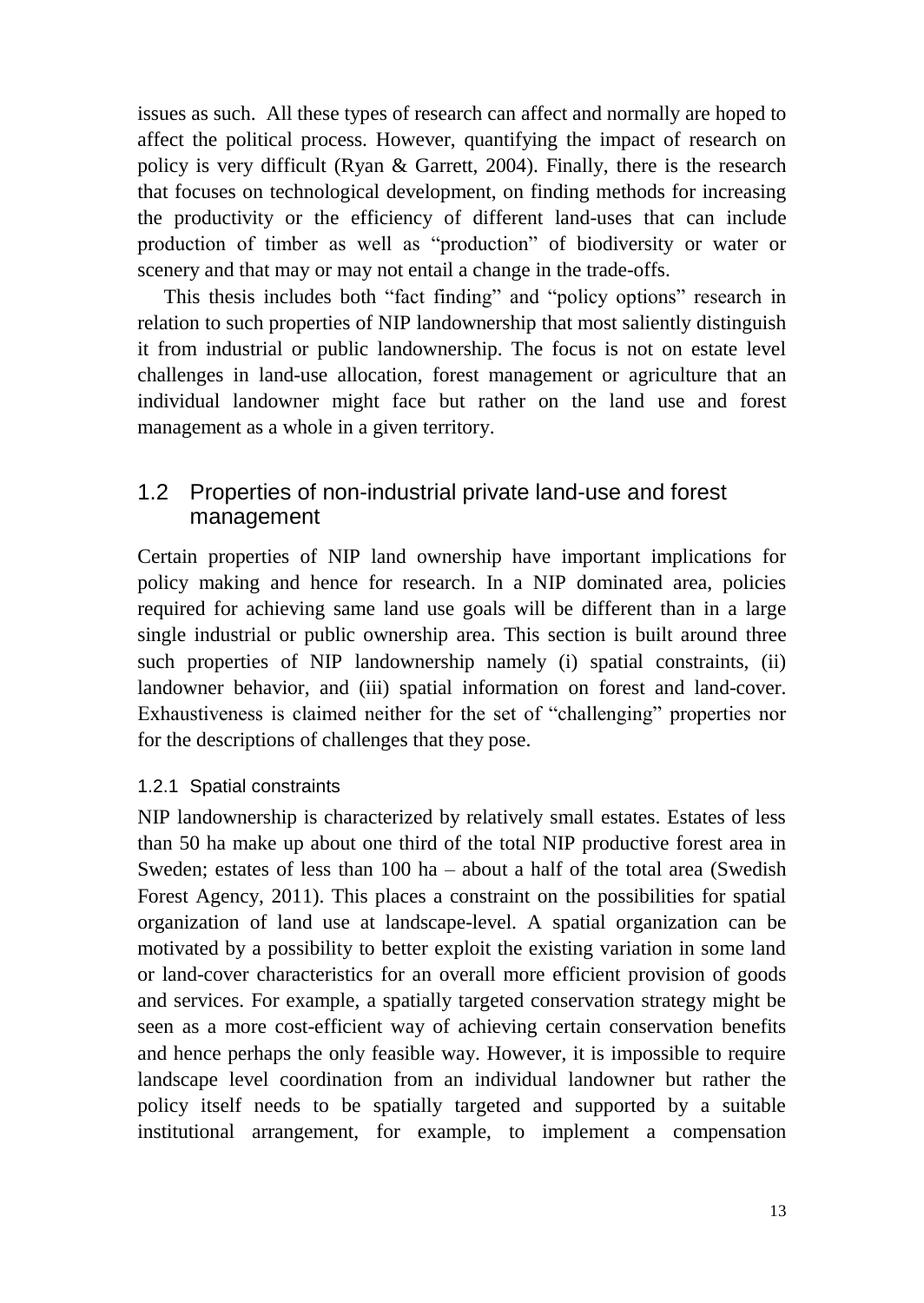issues as such. All these types of research can affect and normally are hoped to affect the political process. However, quantifying the impact of research on policy is very difficult [\(Ryan & Garrett, 2004\)](#page-40-5). Finally, there is the research that focuses on technological development, on finding methods for increasing the productivity or the efficiency of different land-uses that can include production of timber as well as "production" of biodiversity or water or scenery and that may or may not entail a change in the trade-offs.

This thesis includes both "fact finding" and "policy options" research in relation to such properties of NIP landownership that most saliently distinguish it from industrial or public landownership. The focus is not on estate level challenges in land-use allocation, forest management or agriculture that an individual landowner might face but rather on the land use and forest management as a whole in a given territory.

### <span id="page-12-0"></span>1.2 Properties of non-industrial private land-use and forest management

Certain properties of NIP land ownership have important implications for policy making and hence for research. In a NIP dominated area, policies required for achieving same land use goals will be different than in a large single industrial or public ownership area. This section is built around three such properties of NIP landownership namely (i) spatial constraints, (ii) landowner behavior, and (iii) spatial information on forest and land-cover. Exhaustiveness is claimed neither for the set of "challenging" properties nor for the descriptions of challenges that they pose.

#### <span id="page-12-1"></span>1.2.1 Spatial constraints

NIP landownership is characterized by relatively small estates. Estates of less than 50 ha make up about one third of the total NIP productive forest area in Sweden; estates of less than 100 ha – about a half of the total area [\(Swedish](#page-40-0)  [Forest Agency, 2011\)](#page-40-0). This places a constraint on the possibilities for spatial organization of land use at landscape-level. A spatial organization can be motivated by a possibility to better exploit the existing variation in some land or land-cover characteristics for an overall more efficient provision of goods and services. For example, a spatially targeted conservation strategy might be seen as a more cost-efficient way of achieving certain conservation benefits and hence perhaps the only feasible way. However, it is impossible to require landscape level coordination from an individual landowner but rather the policy itself needs to be spatially targeted and supported by a suitable institutional arrangement, for example, to implement a compensation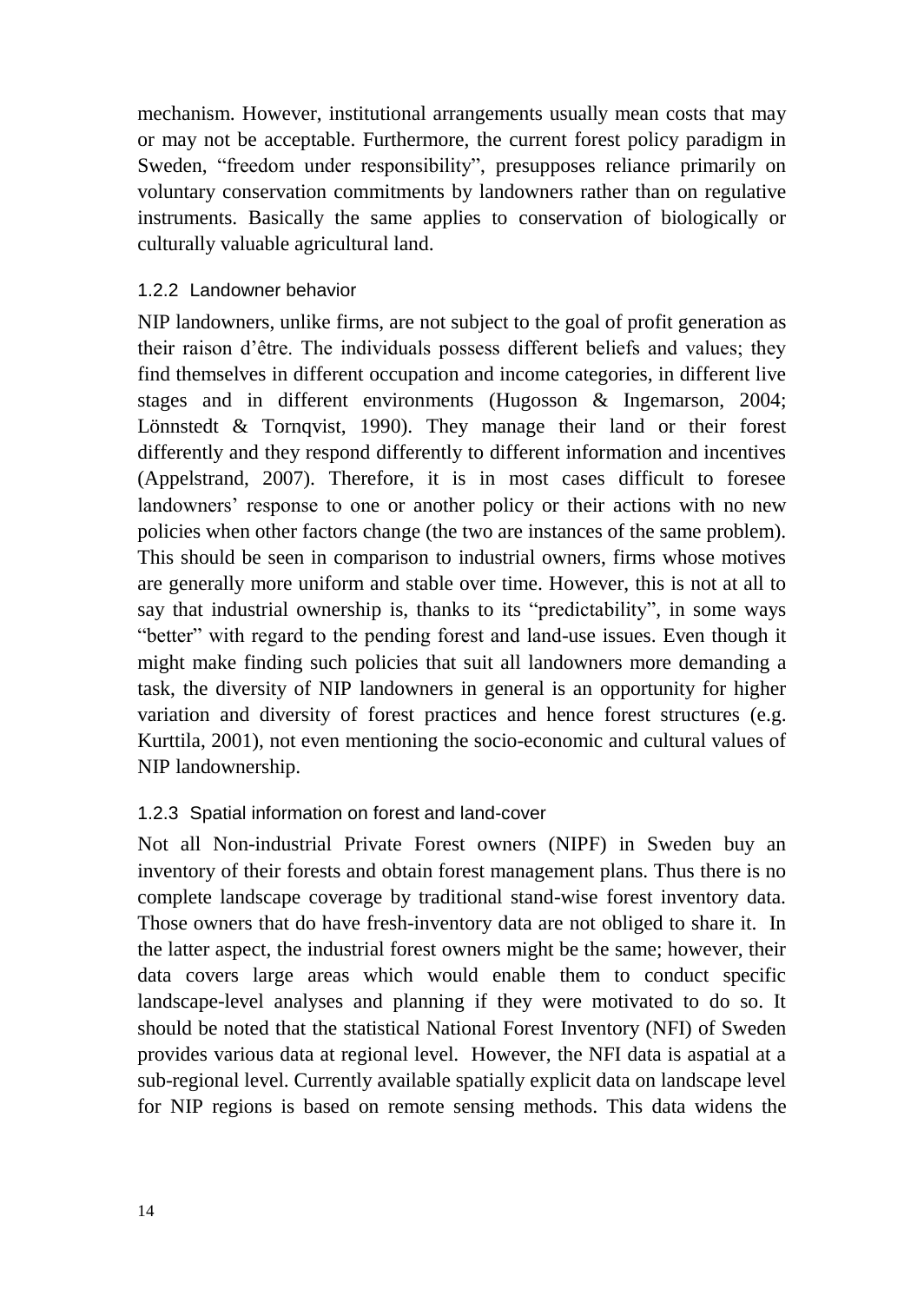mechanism. However, institutional arrangements usually mean costs that may or may not be acceptable. Furthermore, the current forest policy paradigm in Sweden, "freedom under responsibility", presupposes reliance primarily on voluntary conservation commitments by landowners rather than on regulative instruments. Basically the same applies to conservation of biologically or culturally valuable agricultural land.

#### <span id="page-13-0"></span>1.2.2 Landowner behavior

NIP landowners, unlike firms, are not subject to the goal of profit generation as their raison d'être. The individuals possess different beliefs and values; they find themselves in different occupation and income categories, in different live stages and in different environments [\(Hugosson & Ingemarson, 2004;](#page-38-1) [Lönnstedt & Tornqvist, 1990\)](#page-39-2). They manage their land or their forest differently and they respond differently to different information and incentives [\(Appelstrand, 2007\)](#page-36-1). Therefore, it is in most cases difficult to foresee landowners' response to one or another policy or their actions with no new policies when other factors change (the two are instances of the same problem). This should be seen in comparison to industrial owners, firms whose motives are generally more uniform and stable over time. However, this is not at all to say that industrial ownership is, thanks to its "predictability", in some ways "better" with regard to the pending forest and land-use issues. Even though it might make finding such policies that suit all landowners more demanding a task, the diversity of NIP landowners in general is an opportunity for higher variation and diversity of forest practices and hence forest structures [\(e.g.](#page-38-2)  [Kurttila, 2001\)](#page-38-2), not even mentioning the socio-economic and cultural values of NIP landownership.

#### <span id="page-13-1"></span>1.2.3 Spatial information on forest and land-cover

Not all Non-industrial Private Forest owners (NIPF) in Sweden buy an inventory of their forests and obtain forest management plans. Thus there is no complete landscape coverage by traditional stand-wise forest inventory data. Those owners that do have fresh-inventory data are not obliged to share it. In the latter aspect, the industrial forest owners might be the same; however, their data covers large areas which would enable them to conduct specific landscape-level analyses and planning if they were motivated to do so. It should be noted that the statistical National Forest Inventory (NFI) of Sweden provides various data at regional level. However, the NFI data is aspatial at a sub-regional level. Currently available spatially explicit data on landscape level for NIP regions is based on remote sensing methods. This data widens the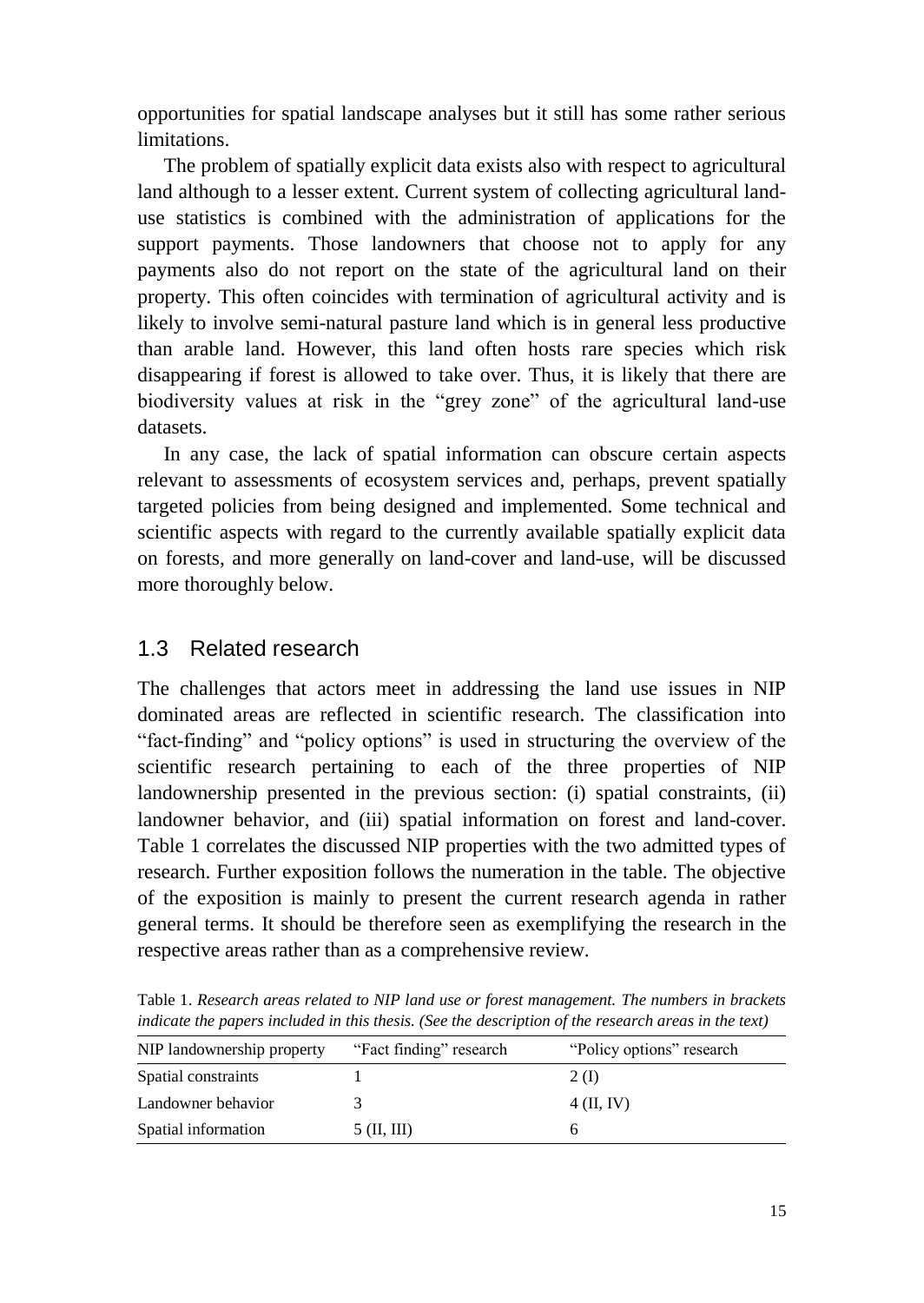opportunities for spatial landscape analyses but it still has some rather serious limitations.

The problem of spatially explicit data exists also with respect to agricultural land although to a lesser extent. Current system of collecting agricultural landuse statistics is combined with the administration of applications for the support payments. Those landowners that choose not to apply for any payments also do not report on the state of the agricultural land on their property. This often coincides with termination of agricultural activity and is likely to involve semi-natural pasture land which is in general less productive than arable land. However, this land often hosts rare species which risk disappearing if forest is allowed to take over. Thus, it is likely that there are biodiversity values at risk in the "grey zone" of the agricultural land-use datasets.

In any case, the lack of spatial information can obscure certain aspects relevant to assessments of ecosystem services and, perhaps, prevent spatially targeted policies from being designed and implemented. Some technical and scientific aspects with regard to the currently available spatially explicit data on forests, and more generally on land-cover and land-use, will be discussed more thoroughly below.

### <span id="page-14-0"></span>1.3 Related research

The challenges that actors meet in addressing the land use issues in NIP dominated areas are reflected in scientific research. The classification into "fact-finding" and "policy options" is used in structuring the overview of the scientific research pertaining to each of the three properties of NIP landownership presented in the previous section: (i) spatial constraints, (ii) landowner behavior, and (iii) spatial information on forest and land-cover. Table 1 correlates the discussed NIP properties with the two admitted types of research. Further exposition follows the numeration in the table. The objective of the exposition is mainly to present the current research agenda in rather general terms. It should be therefore seen as exemplifying the research in the respective areas rather than as a comprehensive review.

| indicate the papers included in this thesis. (See the description of the research areas in the text) |                         |                           |  |  |  |  |  |  |  |
|------------------------------------------------------------------------------------------------------|-------------------------|---------------------------|--|--|--|--|--|--|--|
| NIP landownership property                                                                           | "Fact finding" research | "Policy options" research |  |  |  |  |  |  |  |
| Spatial constraints                                                                                  |                         | 2 (I)                     |  |  |  |  |  |  |  |

Landowner behavior 3 4 (II, IV) Spatial information 5 (II, III) 6

Table 1. *Research areas related to NIP land use or forest management. The numbers in brackets* 

15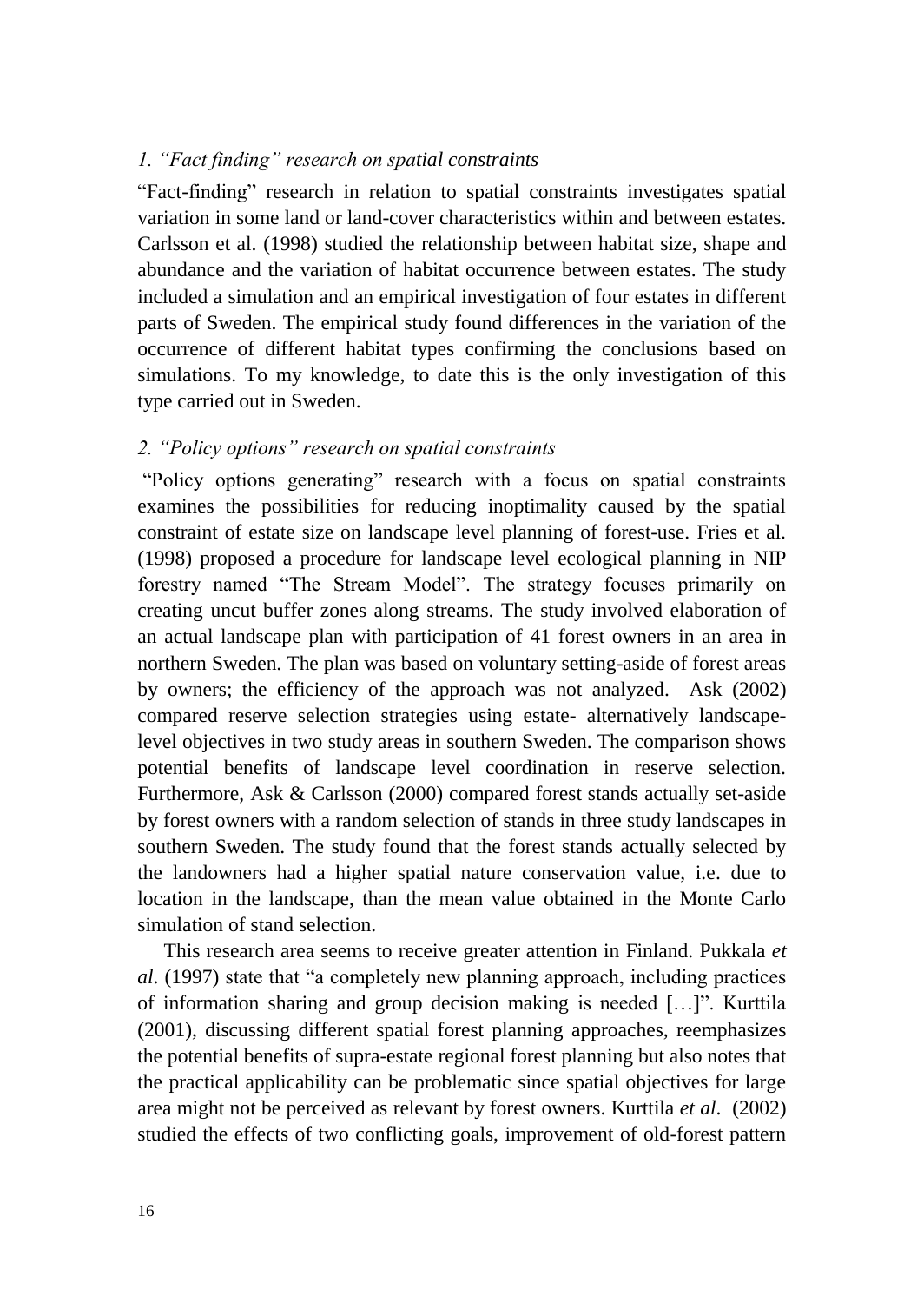#### *1. "Fact finding" research on spatial constraints*

"Fact-finding" research in relation to spatial constraints investigates spatial variation in some land or land-cover characteristics within and between estates. Carlsson et al. [\(1998\)](#page-37-2) studied the relationship between habitat size, shape and abundance and the variation of habitat occurrence between estates. The study included a simulation and an empirical investigation of four estates in different parts of Sweden. The empirical study found differences in the variation of the occurrence of different habitat types confirming the conclusions based on simulations. To my knowledge, to date this is the only investigation of this type carried out in Sweden.

#### *2. "Policy options" research on spatial constraints*

"Policy options generating" research with a focus on spatial constraints examines the possibilities for reducing inoptimality caused by the spatial constraint of estate size on landscape level planning of forest-use. Fries et al. [\(1998\)](#page-37-3) proposed a procedure for landscape level ecological planning in NIP forestry named "The Stream Model". The strategy focuses primarily on creating uncut buffer zones along streams. The study involved elaboration of an actual landscape plan with participation of 41 forest owners in an area in northern Sweden. The plan was based on voluntary setting-aside of forest areas by owners; the efficiency of the approach was not analyzed. Ask [\(2002\)](#page-36-2) compared reserve selection strategies using estate- alternatively landscapelevel objectives in two study areas in southern Sweden. The comparison shows potential benefits of landscape level coordination in reserve selection. Furthermore, Ask & Carlsson [\(2000\)](#page-36-3) compared forest stands actually set-aside by forest owners with a random selection of stands in three study landscapes in southern Sweden. The study found that the forest stands actually selected by the landowners had a higher spatial nature conservation value, i.e. due to location in the landscape, than the mean value obtained in the Monte Carlo simulation of stand selection.

This research area seems to receive greater attention in Finland. Pukkala *et al*. [\(1997\)](#page-40-6) state that "a completely new planning approach, including practices of information sharing and group decision making is needed […]". Kurttila [\(2001\)](#page-38-2), discussing different spatial forest planning approaches, reemphasizes the potential benefits of supra-estate regional forest planning but also notes that the practical applicability can be problematic since spatial objectives for large area might not be perceived as relevant by forest owners. Kurttila *et al*. [\(2002\)](#page-38-3) studied the effects of two conflicting goals, improvement of old-forest pattern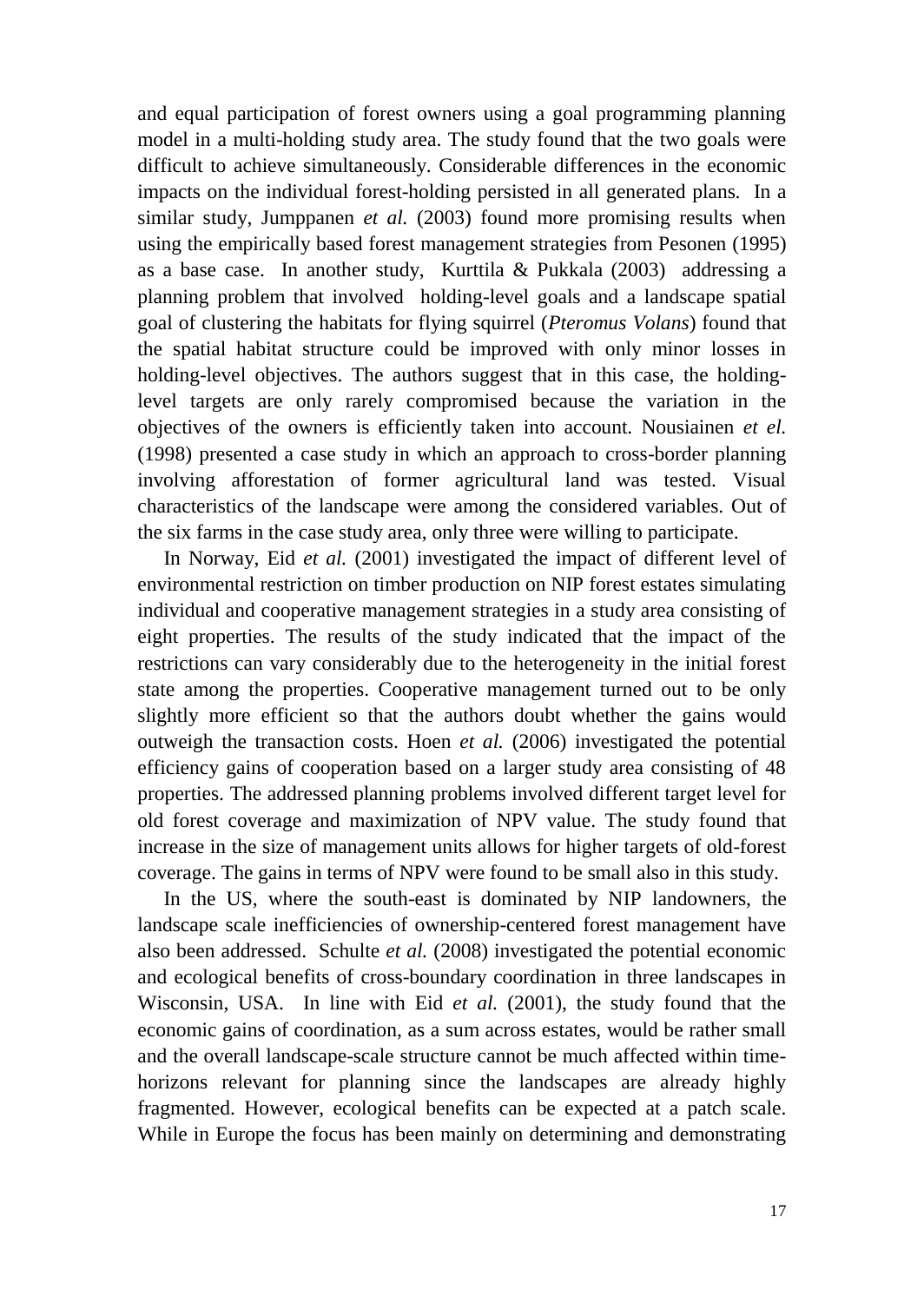and equal participation of forest owners using a goal programming planning model in a multi-holding study area. The study found that the two goals were difficult to achieve simultaneously. Considerable differences in the economic impacts on the individual forest-holding persisted in all generated plans. In a similar study, Jumppanen *et al.* [\(2003\)](#page-38-4) found more promising results when using the empirically based forest management strategies from Pesonen [\(1995\)](#page-39-3) as a base case. In another study, Kurttila & Pukkala [\(2003\)](#page-38-5) addressing a planning problem that involved holding-level goals and a landscape spatial goal of clustering the habitats for flying squirrel (*Pteromus Volans*) found that the spatial habitat structure could be improved with only minor losses in holding-level objectives. The authors suggest that in this case, the holdinglevel targets are only rarely compromised because the variation in the objectives of the owners is efficiently taken into account. Nousiainen *et el.* [\(1998\)](#page-39-4) presented a case study in which an approach to cross-border planning involving afforestation of former agricultural land was tested. Visual characteristics of the landscape were among the considered variables. Out of the six farms in the case study area, only three were willing to participate.

In Norway, Eid *et al.* [\(2001\)](#page-37-4) investigated the impact of different level of environmental restriction on timber production on NIP forest estates simulating individual and cooperative management strategies in a study area consisting of eight properties. The results of the study indicated that the impact of the restrictions can vary considerably due to the heterogeneity in the initial forest state among the properties. Cooperative management turned out to be only slightly more efficient so that the authors doubt whether the gains would outweigh the transaction costs. Hoen *et al.* [\(2006\)](#page-38-6) investigated the potential efficiency gains of cooperation based on a larger study area consisting of 48 properties. The addressed planning problems involved different target level for old forest coverage and maximization of NPV value. The study found that increase in the size of management units allows for higher targets of old-forest coverage. The gains in terms of NPV were found to be small also in this study.

In the US, where the south-east is dominated by NIP landowners, the landscape scale inefficiencies of ownership-centered forest management have also been addressed. Schulte *et al.* [\(2008\)](#page-40-7) investigated the potential economic and ecological benefits of cross-boundary coordination in three landscapes in Wisconsin, USA. In line with Eid *et al.* (2001), the study found that the economic gains of coordination, as a sum across estates, would be rather small and the overall landscape-scale structure cannot be much affected within timehorizons relevant for planning since the landscapes are already highly fragmented. However, ecological benefits can be expected at a patch scale. While in Europe the focus has been mainly on determining and demonstrating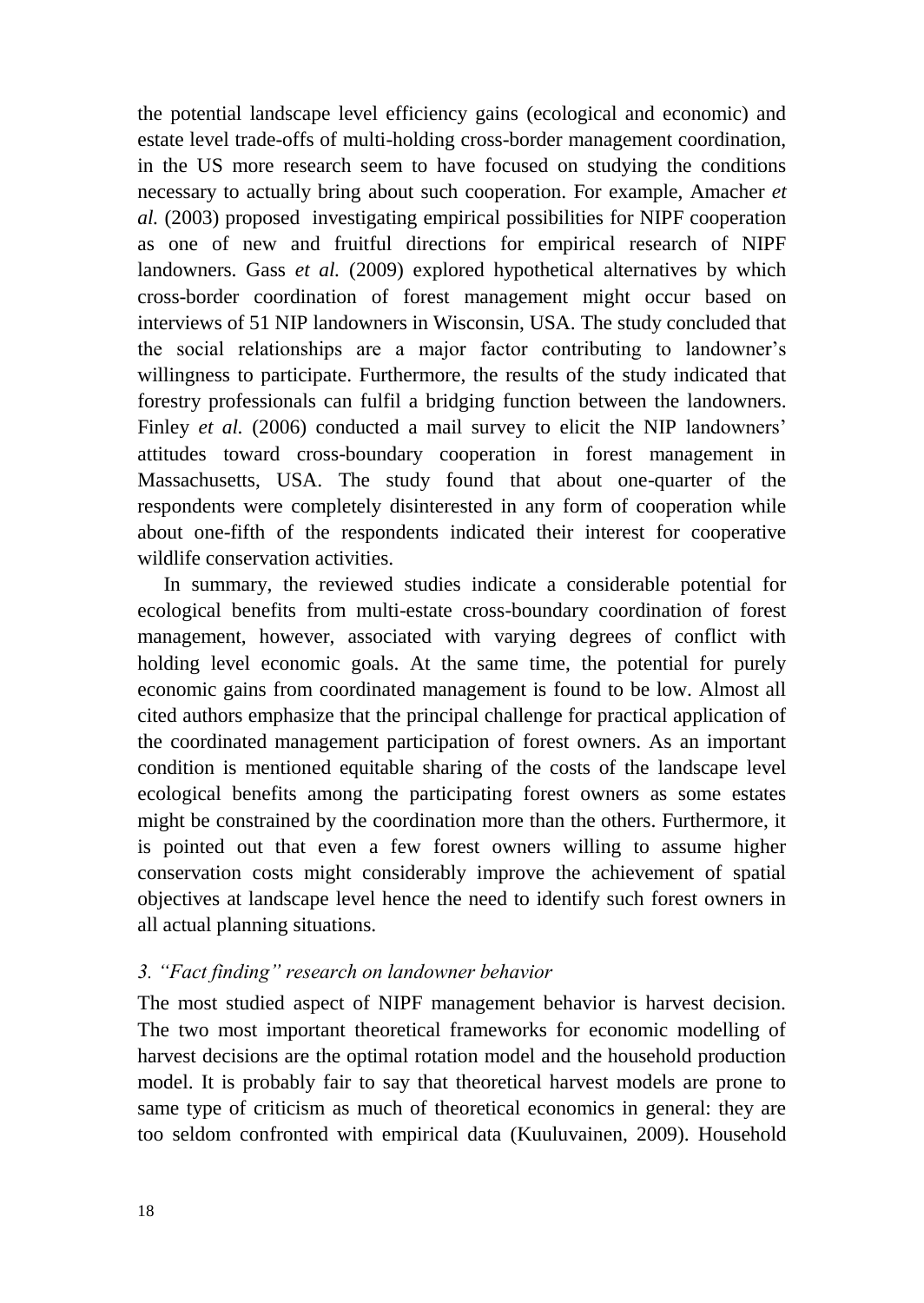the potential landscape level efficiency gains (ecological and economic) and estate level trade-offs of multi-holding cross-border management coordination, in the US more research seem to have focused on studying the conditions necessary to actually bring about such cooperation. For example, Amacher *et al.* [\(2003\)](#page-36-4) proposed investigating empirical possibilities for NIPF cooperation as one of new and fruitful directions for empirical research of NIPF landowners. Gass *et al.* [\(2009\)](#page-37-5) explored hypothetical alternatives by which cross-border coordination of forest management might occur based on interviews of 51 NIP landowners in Wisconsin, USA. The study concluded that the social relationships are a major factor contributing to landowner's willingness to participate. Furthermore, the results of the study indicated that forestry professionals can fulfil a bridging function between the landowners. Finley *et al.* [\(2006\)](#page-37-6) conducted a mail survey to elicit the NIP landowners' attitudes toward cross-boundary cooperation in forest management in Massachusetts, USA. The study found that about one-quarter of the respondents were completely disinterested in any form of cooperation while about one-fifth of the respondents indicated their interest for cooperative wildlife conservation activities.

In summary, the reviewed studies indicate a considerable potential for ecological benefits from multi-estate cross-boundary coordination of forest management, however, associated with varying degrees of conflict with holding level economic goals. At the same time, the potential for purely economic gains from coordinated management is found to be low. Almost all cited authors emphasize that the principal challenge for practical application of the coordinated management participation of forest owners. As an important condition is mentioned equitable sharing of the costs of the landscape level ecological benefits among the participating forest owners as some estates might be constrained by the coordination more than the others. Furthermore, it is pointed out that even a few forest owners willing to assume higher conservation costs might considerably improve the achievement of spatial objectives at landscape level hence the need to identify such forest owners in all actual planning situations.

#### *3. "Fact finding" research on landowner behavior*

The most studied aspect of NIPF management behavior is harvest decision. The two most important theoretical frameworks for economic modelling of harvest decisions are the optimal rotation model and the household production model. It is probably fair to say that theoretical harvest models are prone to same type of criticism as much of theoretical economics in general: they are too seldom confronted with empirical data [\(Kuuluvainen, 2009\)](#page-38-7). Household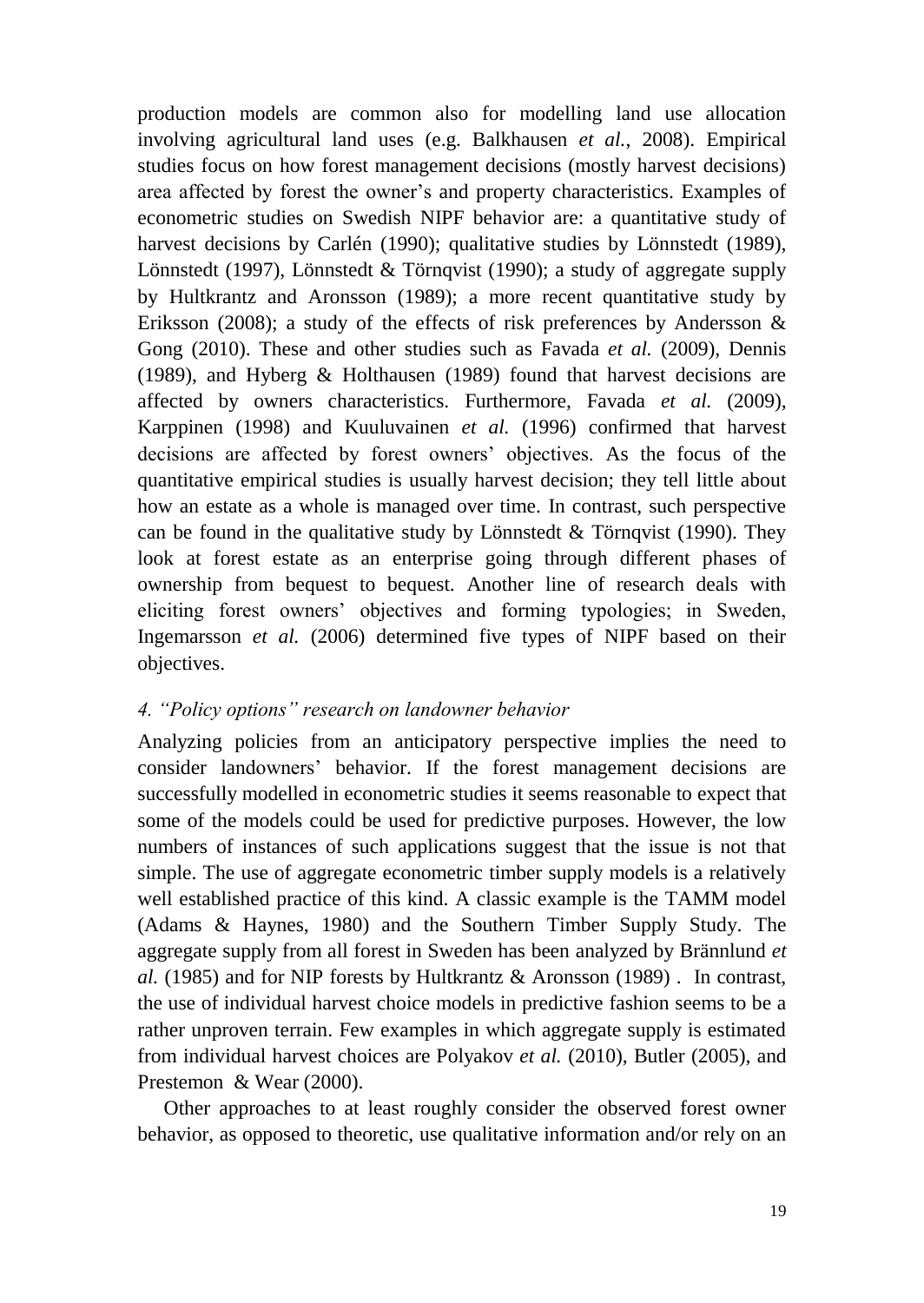production models are common also for modelling land use allocation involving agricultural land uses [\(e.g. Balkhausen](#page-36-5) *et al.*, 2008). Empirical studies focus on how forest management decisions (mostly harvest decisions) area affected by forest the owner's and property characteristics. Examples of econometric studies on Swedish NIPF behavior are: a quantitative study of harvest decisions by Carlén [\(1990\)](#page-37-7); qualitative studies by Lönnstedt [\(1989\)](#page-39-5), Lönnstedt [\(1997\)](#page-39-6), Lönnstedt & Törnqvist [\(1990\)](#page-39-2); a study of aggregate supply by Hultkrantz and Aronsson [\(1989\)](#page-38-8); a more recent quantitative study by Eriksson [\(2008\)](#page-37-8); a study of the effects of risk preferences by Andersson & Gong [\(2010\)](#page-36-6). These and other studies such as Favada *et al.* [\(2009\)](#page-37-9), Dennis [\(1989\)](#page-37-10), and Hyberg & Holthausen [\(1989\)](#page-38-9) found that harvest decisions are affected by owners characteristics. Furthermore, Favada *et al.* [\(2009\)](#page-37-9), Karppinen [\(1998\)](#page-38-10) and Kuuluvainen *et al.* (1996) confirmed that harvest decisions are affected by forest owners' objectives. As the focus of the quantitative empirical studies is usually harvest decision; they tell little about how an estate as a whole is managed over time. In contrast, such perspective can be found in the qualitative study by Lönnstedt  $&$  Törnqvist (1990). They look at forest estate as an enterprise going through different phases of ownership from bequest to bequest. Another line of research deals with eliciting forest owners' objectives and forming typologies; in Sweden, Ingemarsson *et al.* [\(2006\)](#page-38-11) determined five types of NIPF based on their objectives.

#### *4. "Policy options" research on landowner behavior*

Analyzing policies from an anticipatory perspective implies the need to consider landowners' behavior. If the forest management decisions are successfully modelled in econometric studies it seems reasonable to expect that some of the models could be used for predictive purposes. However, the low numbers of instances of such applications suggest that the issue is not that simple. The use of aggregate econometric timber supply models is a relatively well established practice of this kind. A classic example is the TAMM model [\(Adams & Haynes, 1980\)](#page-36-7) and the Southern Timber Supply Study. The aggregate supply from all forest in Sweden has been analyzed by Brännlund *et al.* [\(1985\)](#page-36-8) and for NIP forests by Hultkrantz & Aronsson (1989) . In contrast, the use of individual harvest choice models in predictive fashion seems to be a rather unproven terrain. Few examples in which aggregate supply is estimated from individual harvest choices are Polyakov *et al.* [\(2010\)](#page-40-8), Butler [\(2005\)](#page-37-11), and Prestemon & Wear [\(2000\)](#page-40-9).

Other approaches to at least roughly consider the observed forest owner behavior, as opposed to theoretic, use qualitative information and/or rely on an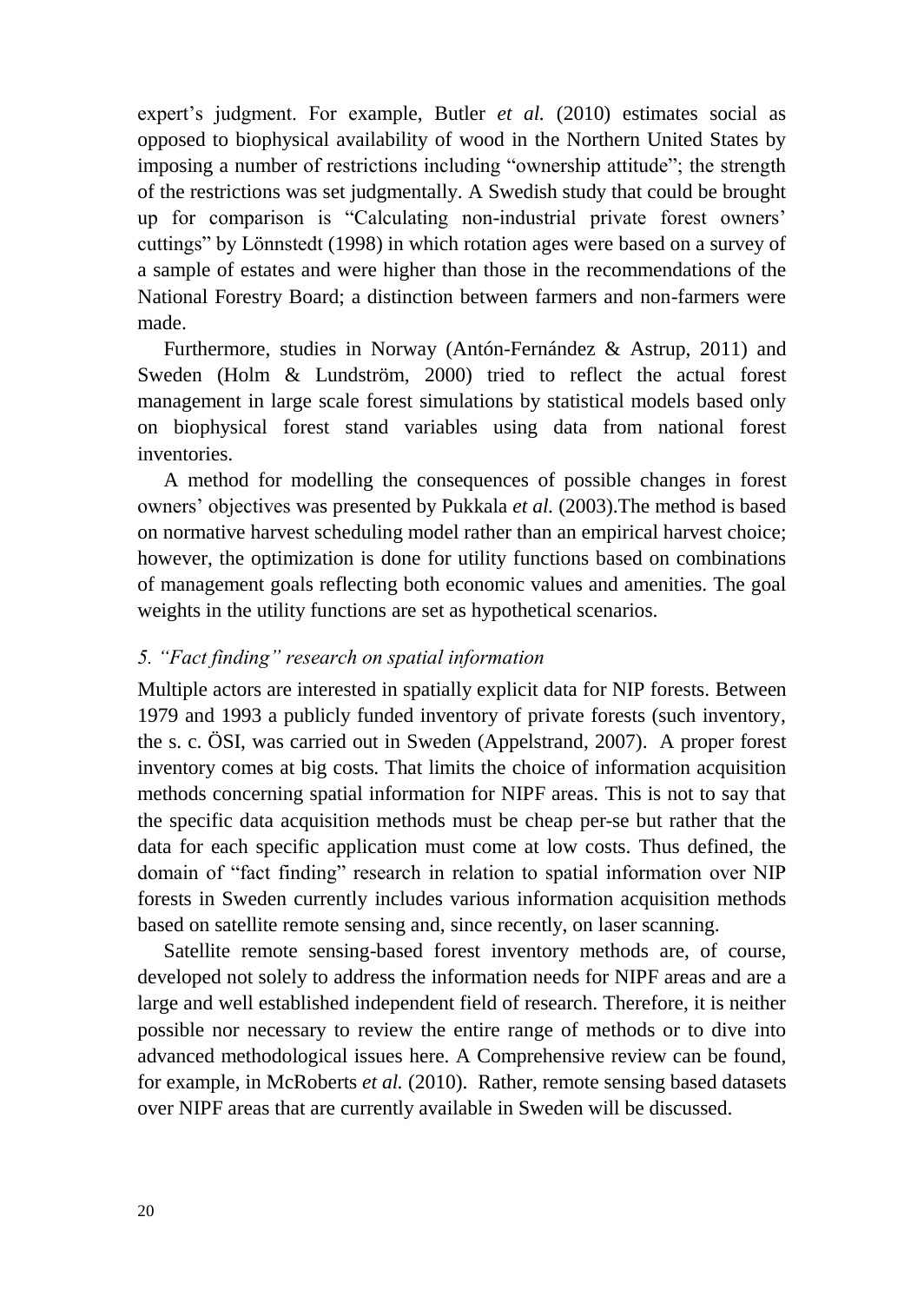expert's judgment. For example, Butler *et al.* [\(2010\)](#page-37-12) estimates social as opposed to biophysical availability of wood in the Northern United States by imposing a number of restrictions including "ownership attitude"; the strength of the restrictions was set judgmentally. A Swedish study that could be brought up for comparison is "Calculating non-industrial private forest owners' cuttings" by Lönnstedt [\(1998\)](#page-39-7) in which rotation ages were based on a survey of a sample of estates and were higher than those in the recommendations of the National Forestry Board; a distinction between farmers and non-farmers were made.

Furthermore, studies in Norway [\(Antón-Fernández & Astrup, 2011\)](#page-36-9) and Sweden [\(Holm & Lundström,](#page-38-12) 2000) tried to reflect the actual forest management in large scale forest simulations by statistical models based only on biophysical forest stand variables using data from national forest inventories.

A method for modelling the consequences of possible changes in forest owners' objectives was presented by Pukkala *et al.* [\(2003\)](#page-40-10).The method is based on normative harvest scheduling model rather than an empirical harvest choice; however, the optimization is done for utility functions based on combinations of management goals reflecting both economic values and amenities. The goal weights in the utility functions are set as hypothetical scenarios.

#### *5. "Fact finding" research on spatial information*

Multiple actors are interested in spatially explicit data for NIP forests. Between 1979 and 1993 a publicly funded inventory of private forests (such inventory, the s. c. ÖSI, was carried out in Sweden (Appelstrand, 2007). A proper forest inventory comes at big costs. That limits the choice of information acquisition methods concerning spatial information for NIPF areas. This is not to say that the specific data acquisition methods must be cheap per-se but rather that the data for each specific application must come at low costs. Thus defined, the domain of "fact finding" research in relation to spatial information over NIP forests in Sweden currently includes various information acquisition methods based on satellite remote sensing and, since recently, on laser scanning.

Satellite remote sensing-based forest inventory methods are, of course, developed not solely to address the information needs for NIPF areas and are a large and well established independent field of research. Therefore, it is neither possible nor necessary to review the entire range of methods or to dive into advanced methodological issues here. A Comprehensive review can be found, for example, in McRoberts *et al.* [\(2010\)](#page-39-8). Rather, remote sensing based datasets over NIPF areas that are currently available in Sweden will be discussed.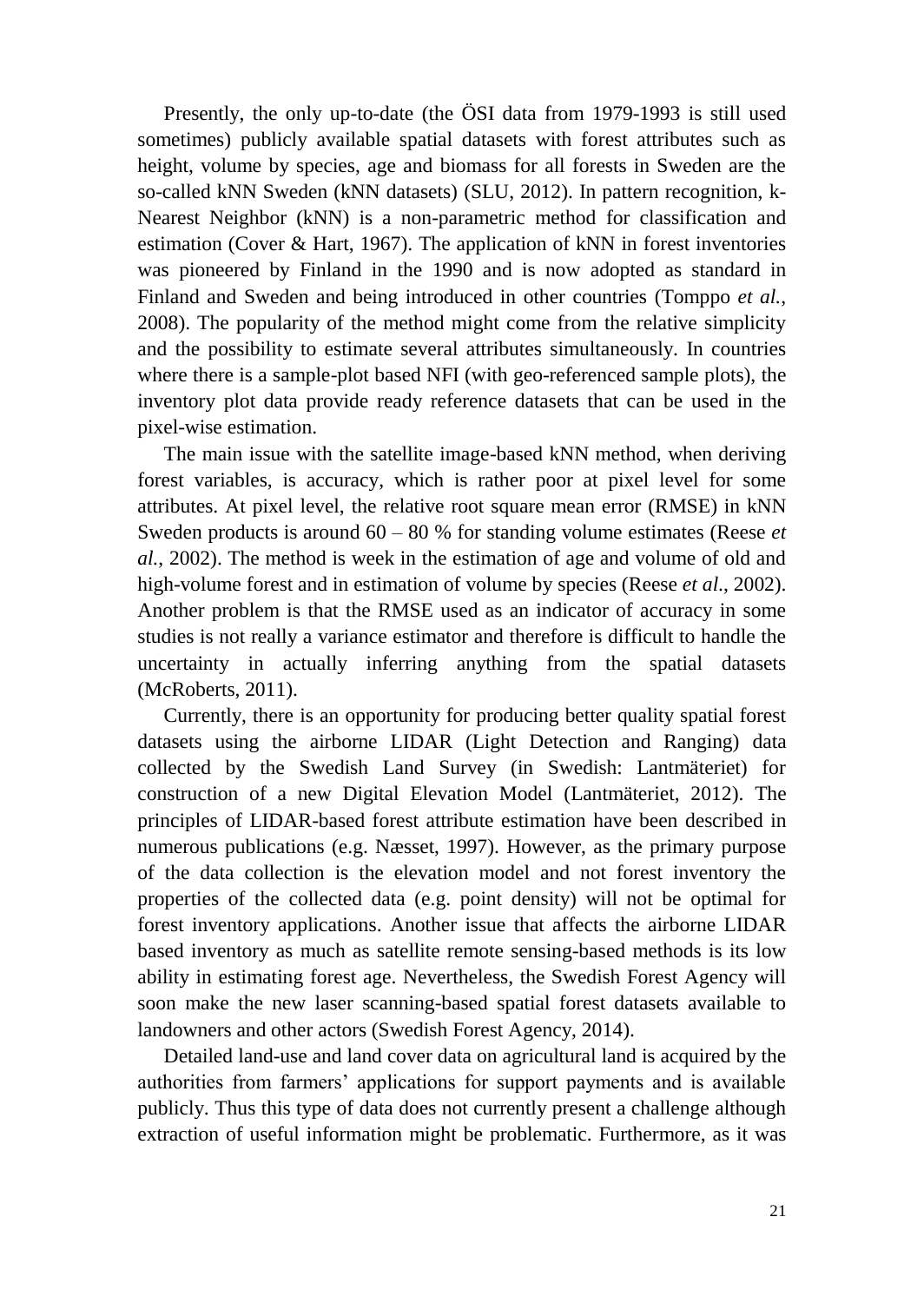Presently, the only up-to-date (the ÖSI data from 1979-1993 is still used sometimes) publicly available spatial datasets with forest attributes such as height, volume by species, age and biomass for all forests in Sweden are the so-called kNN Sweden (kNN datasets) [\(SLU, 2012\)](#page-40-11). In pattern recognition, k-Nearest Neighbor (kNN) is a non-parametric method for classification and estimation [\(Cover & Hart, 1967\)](#page-37-13). The application of kNN in forest inventories was pioneered by Finland in the 1990 and is now adopted as standard in Finland and Sweden and being introduced in other countries [\(Tomppo](#page-40-12) *et al.*, [2008\)](#page-40-12). The popularity of the method might come from the relative simplicity and the possibility to estimate several attributes simultaneously. In countries where there is a sample-plot based NFI (with geo-referenced sample plots), the inventory plot data provide ready reference datasets that can be used in the pixel-wise estimation.

The main issue with the satellite image-based kNN method, when deriving forest variables, is accuracy, which is rather poor at pixel level for some attributes. At pixel level, the relative root square mean error (RMSE) in kNN Sweden products is around 60 – 80 % for standing volume estimates [\(Reese](#page-40-13) *et al.*[, 2002\)](#page-40-13). The method is week in the estimation of age and volume of old and high-volume forest and in estimation of volume by species (Reese *et al*., 2002). Another problem is that the RMSE used as an indicator of accuracy in some studies is not really a variance estimator and therefore is difficult to handle the uncertainty in actually inferring anything from the spatial datasets [\(McRoberts, 2011\)](#page-39-9).

Currently, there is an opportunity for producing better quality spatial forest datasets using the airborne LIDAR (Light Detection and Ranging) data collected by the Swedish Land Survey (in Swedish: Lantmäteriet) for construction of a new Digital Elevation Model [\(Lantmäteriet, 2012\)](#page-39-10). The principles of LIDAR-based forest attribute estimation have been described in numerous publications [\(e.g. Næsset, 1997\)](#page-39-11). However, as the primary purpose of the data collection is the elevation model and not forest inventory the properties of the collected data (e.g. point density) will not be optimal for forest inventory applications. Another issue that affects the airborne LIDAR based inventory as much as satellite remote sensing-based methods is its low ability in estimating forest age. Nevertheless, the Swedish Forest Agency will soon make the new laser scanning-based spatial forest datasets available to landowners and other actors [\(Swedish Forest Agency, 2014\)](#page-40-14).

Detailed land-use and land cover data on agricultural land is acquired by the authorities from farmers' applications for support payments and is available publicly. Thus this type of data does not currently present a challenge although extraction of useful information might be problematic. Furthermore, as it was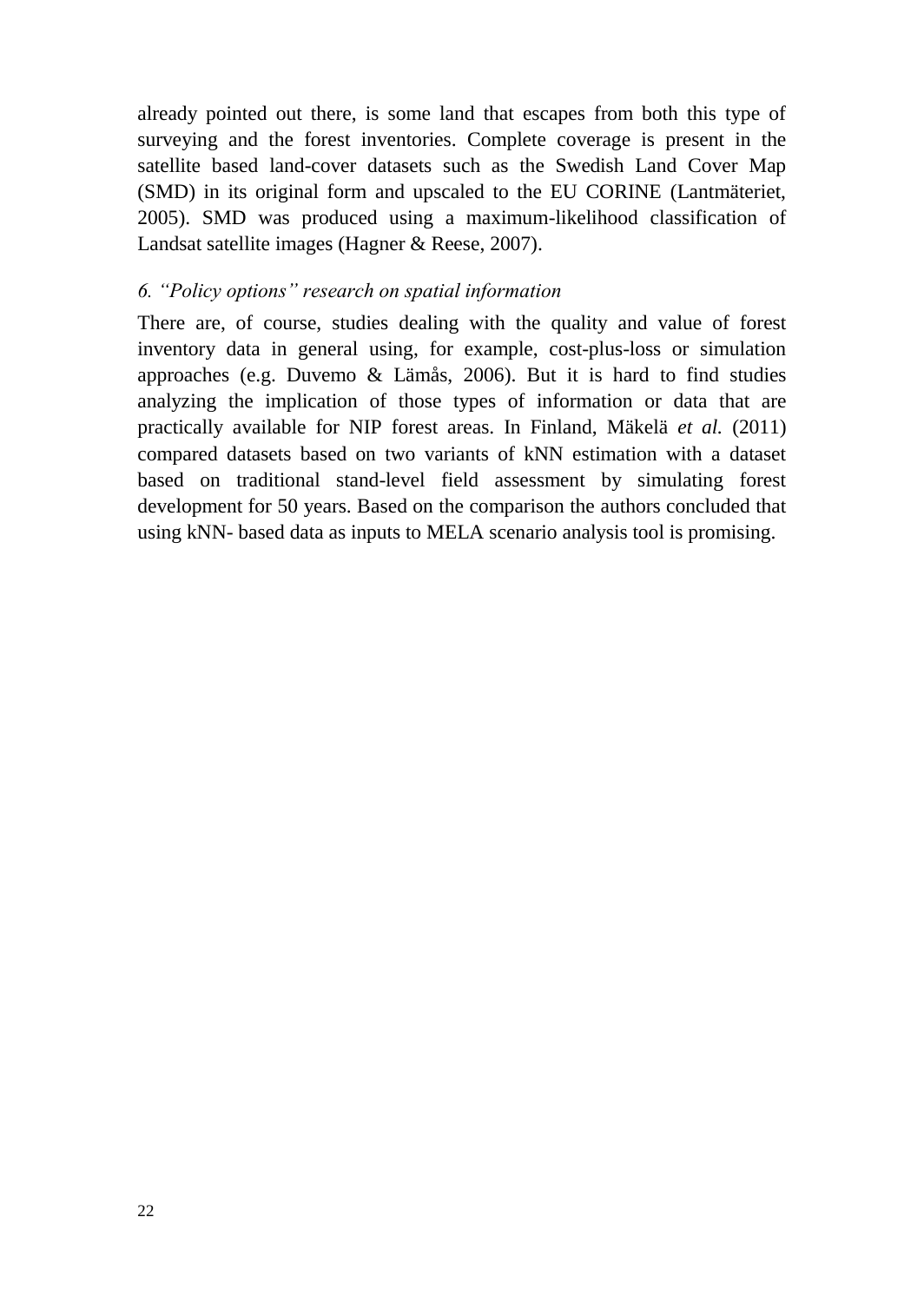already pointed out there, is some land that escapes from both this type of surveying and the forest inventories. Complete coverage is present in the satellite based land-cover datasets such as the Swedish Land Cover Map (SMD) in its original form and upscaled to the EU CORINE [\(Lantmäteriet,](#page-38-13)  [2005\)](#page-38-13). SMD was produced using a maximum-likelihood classification of Landsat satellite images [\(Hagner & Reese, 2007\)](#page-37-14).

#### *6. "Policy options" research on spatial information*

There are, of course, studies dealing with the quality and value of forest inventory data in general using, for example, cost-plus-loss or simulation approaches [\(e.g. Duvemo & Lämås, 2006\)](#page-37-15). But it is hard to find studies analyzing the implication of those types of information or data that are practically available for NIP forest areas. In Finland, Mäkelä *et al.* [\(2011\)](#page-39-12) compared datasets based on two variants of kNN estimation with a dataset based on traditional stand-level field assessment by simulating forest development for 50 years. Based on the comparison the authors concluded that using kNN- based data as inputs to MELA scenario analysis tool is promising.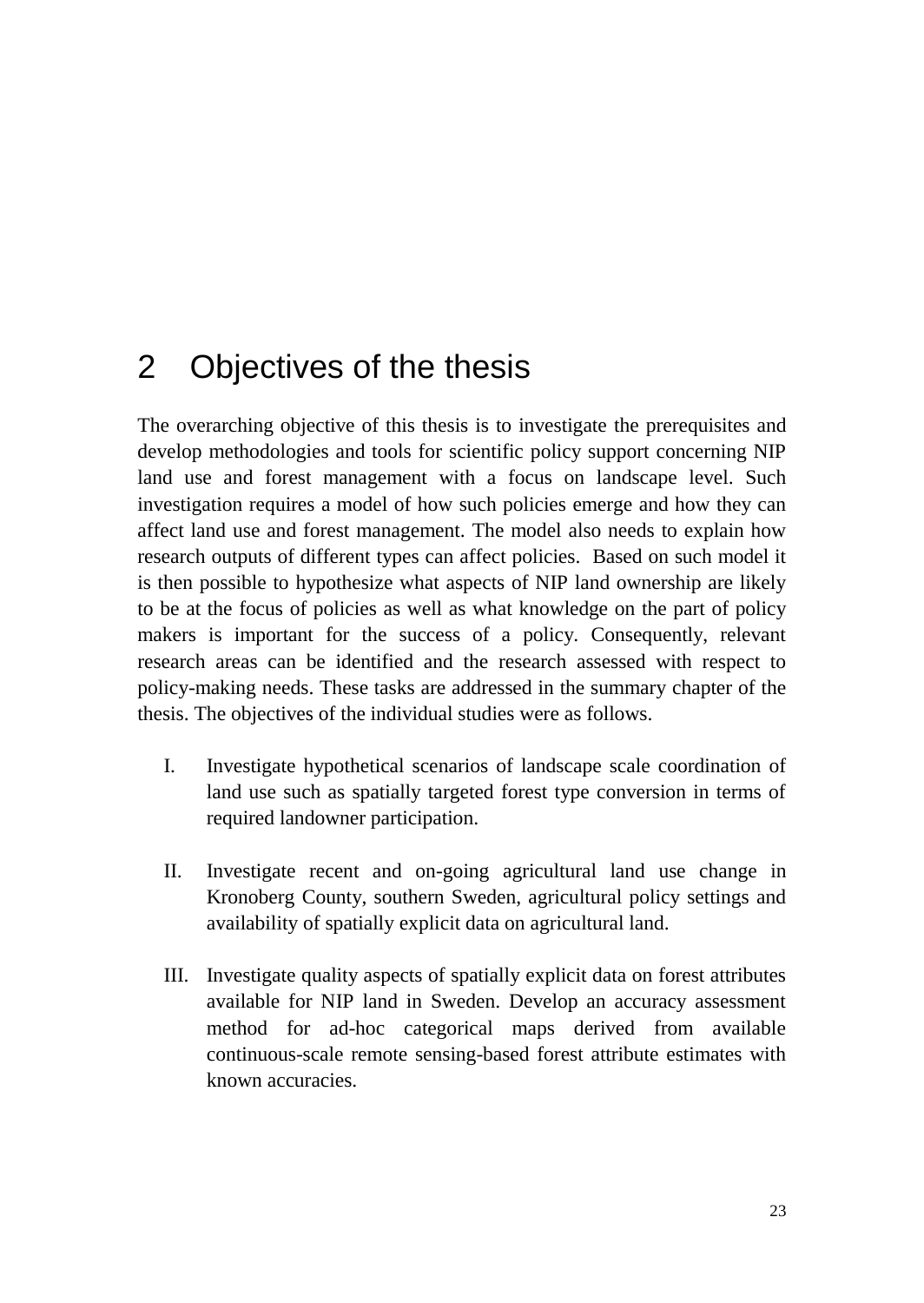# <span id="page-22-0"></span>2 Objectives of the thesis

The overarching objective of this thesis is to investigate the prerequisites and develop methodologies and tools for scientific policy support concerning NIP land use and forest management with a focus on landscape level. Such investigation requires a model of how such policies emerge and how they can affect land use and forest management. The model also needs to explain how research outputs of different types can affect policies. Based on such model it is then possible to hypothesize what aspects of NIP land ownership are likely to be at the focus of policies as well as what knowledge on the part of policy makers is important for the success of a policy. Consequently, relevant research areas can be identified and the research assessed with respect to policy-making needs. These tasks are addressed in the summary chapter of the thesis. The objectives of the individual studies were as follows.

- I. Investigate hypothetical scenarios of landscape scale coordination of land use such as spatially targeted forest type conversion in terms of required landowner participation.
- II. Investigate recent and on-going agricultural land use change in Kronoberg County, southern Sweden, agricultural policy settings and availability of spatially explicit data on agricultural land.
- III. Investigate quality aspects of spatially explicit data on forest attributes available for NIP land in Sweden. Develop an accuracy assessment method for ad-hoc categorical maps derived from available continuous-scale remote sensing-based forest attribute estimates with known accuracies.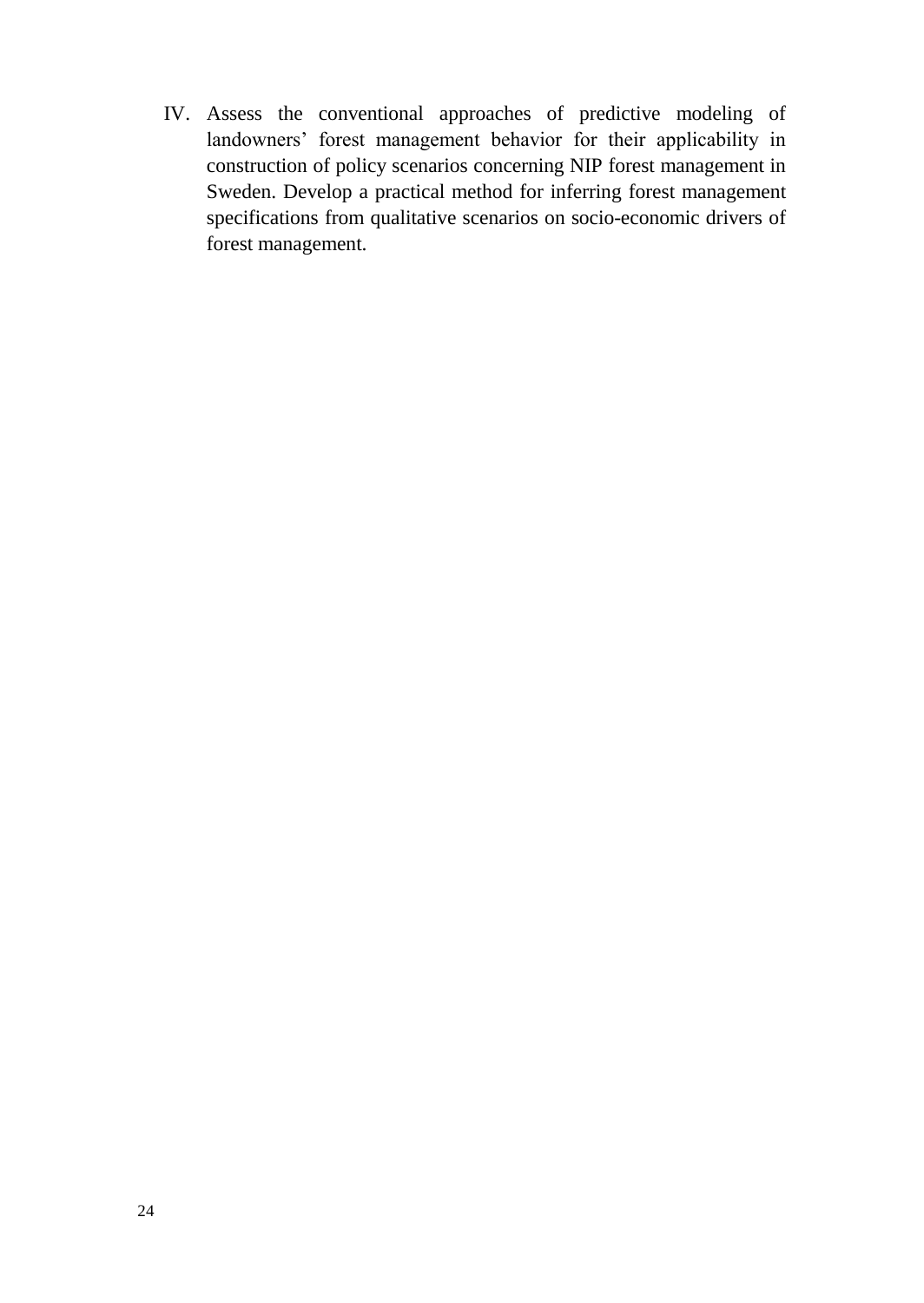IV. Assess the conventional approaches of predictive modeling of landowners' forest management behavior for their applicability in construction of policy scenarios concerning NIP forest management in Sweden. Develop a practical method for inferring forest management specifications from qualitative scenarios on socio-economic drivers of forest management.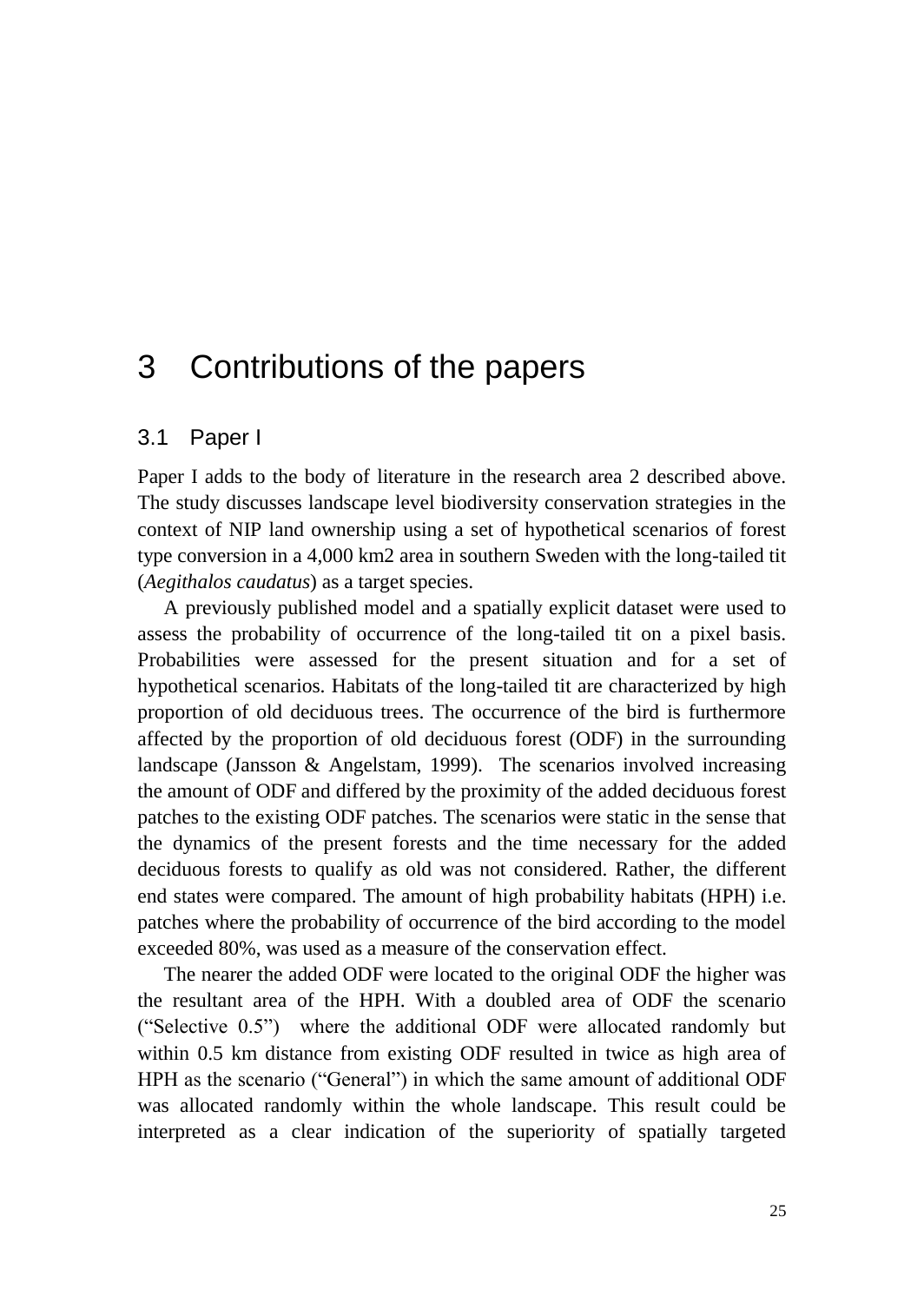## <span id="page-24-0"></span>3 Contributions of the papers

### <span id="page-24-1"></span>3.1 Paper I

Paper I adds to the body of literature in the research area 2 described above. The study discusses landscape level biodiversity conservation strategies in the context of NIP land ownership using a set of hypothetical scenarios of forest type conversion in a 4,000 km2 area in southern Sweden with the long-tailed tit (*Aegithalos caudatus*) as a target species.

A previously published model and a spatially explicit dataset were used to assess the probability of occurrence of the long-tailed tit on a pixel basis. Probabilities were assessed for the present situation and for a set of hypothetical scenarios. Habitats of the long-tailed tit are characterized by high proportion of old deciduous trees. The occurrence of the bird is furthermore affected by the proportion of old deciduous forest (ODF) in the surrounding landscape [\(Jansson & Angelstam, 1999\)](#page-38-14). The scenarios involved increasing the amount of ODF and differed by the proximity of the added deciduous forest patches to the existing ODF patches. The scenarios were static in the sense that the dynamics of the present forests and the time necessary for the added deciduous forests to qualify as old was not considered. Rather, the different end states were compared. The amount of high probability habitats (HPH) i.e. patches where the probability of occurrence of the bird according to the model exceeded 80%, was used as a measure of the conservation effect.

The nearer the added ODF were located to the original ODF the higher was the resultant area of the HPH. With a doubled area of ODF the scenario ("Selective 0.5") where the additional ODF were allocated randomly but within 0.5 km distance from existing ODF resulted in twice as high area of HPH as the scenario ("General") in which the same amount of additional ODF was allocated randomly within the whole landscape. This result could be interpreted as a clear indication of the superiority of spatially targeted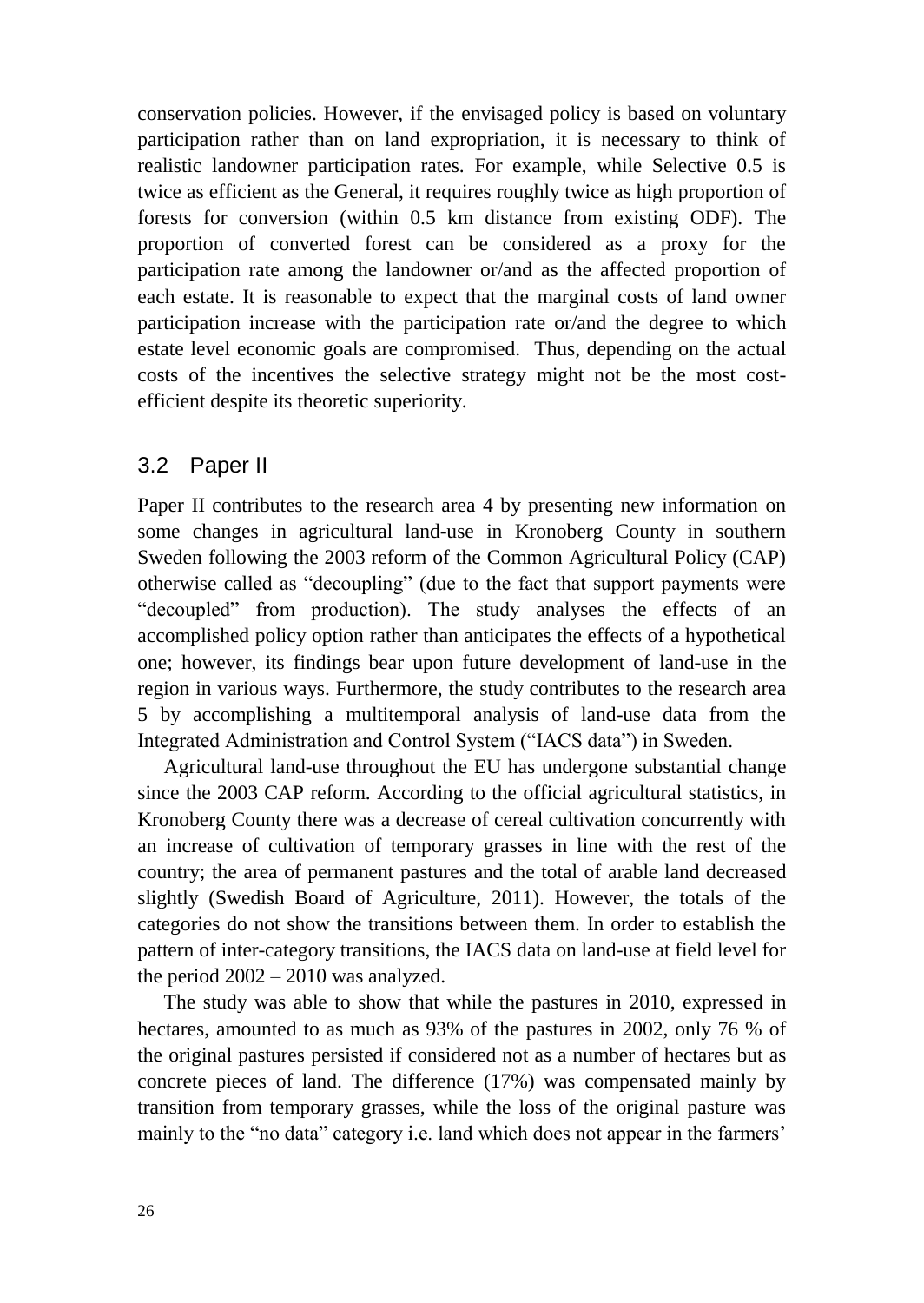conservation policies. However, if the envisaged policy is based on voluntary participation rather than on land expropriation, it is necessary to think of realistic landowner participation rates. For example, while Selective 0.5 is twice as efficient as the General, it requires roughly twice as high proportion of forests for conversion (within 0.5 km distance from existing ODF). The proportion of converted forest can be considered as a proxy for the participation rate among the landowner or/and as the affected proportion of each estate. It is reasonable to expect that the marginal costs of land owner participation increase with the participation rate or/and the degree to which estate level economic goals are compromised. Thus, depending on the actual costs of the incentives the selective strategy might not be the most costefficient despite its theoretic superiority.

### <span id="page-25-0"></span>3.2 Paper II

Paper II contributes to the research area 4 by presenting new information on some changes in agricultural land-use in Kronoberg County in southern Sweden following the 2003 reform of the Common Agricultural Policy (CAP) otherwise called as "decoupling" (due to the fact that support payments were "decoupled" from production). The study analyses the effects of an accomplished policy option rather than anticipates the effects of a hypothetical one; however, its findings bear upon future development of land-use in the region in various ways. Furthermore, the study contributes to the research area 5 by accomplishing a multitemporal analysis of land-use data from the Integrated Administration and Control System ("IACS data") in Sweden.

Agricultural land-use throughout the EU has undergone substantial change since the 2003 CAP reform. According to the official agricultural statistics, in Kronoberg County there was a decrease of cereal cultivation concurrently with an increase of cultivation of temporary grasses in line with the rest of the country; the area of permanent pastures and the total of arable land decreased slightly [\(Swedish Board of Agriculture, 2011\)](#page-40-1). However, the totals of the categories do not show the transitions between them. In order to establish the pattern of inter-category transitions, the IACS data on land-use at field level for the period 2002 – 2010 was analyzed.

The study was able to show that while the pastures in 2010, expressed in hectares, amounted to as much as 93% of the pastures in 2002, only 76 % of the original pastures persisted if considered not as a number of hectares but as concrete pieces of land. The difference (17%) was compensated mainly by transition from temporary grasses, while the loss of the original pasture was mainly to the "no data" category i.e. land which does not appear in the farmers'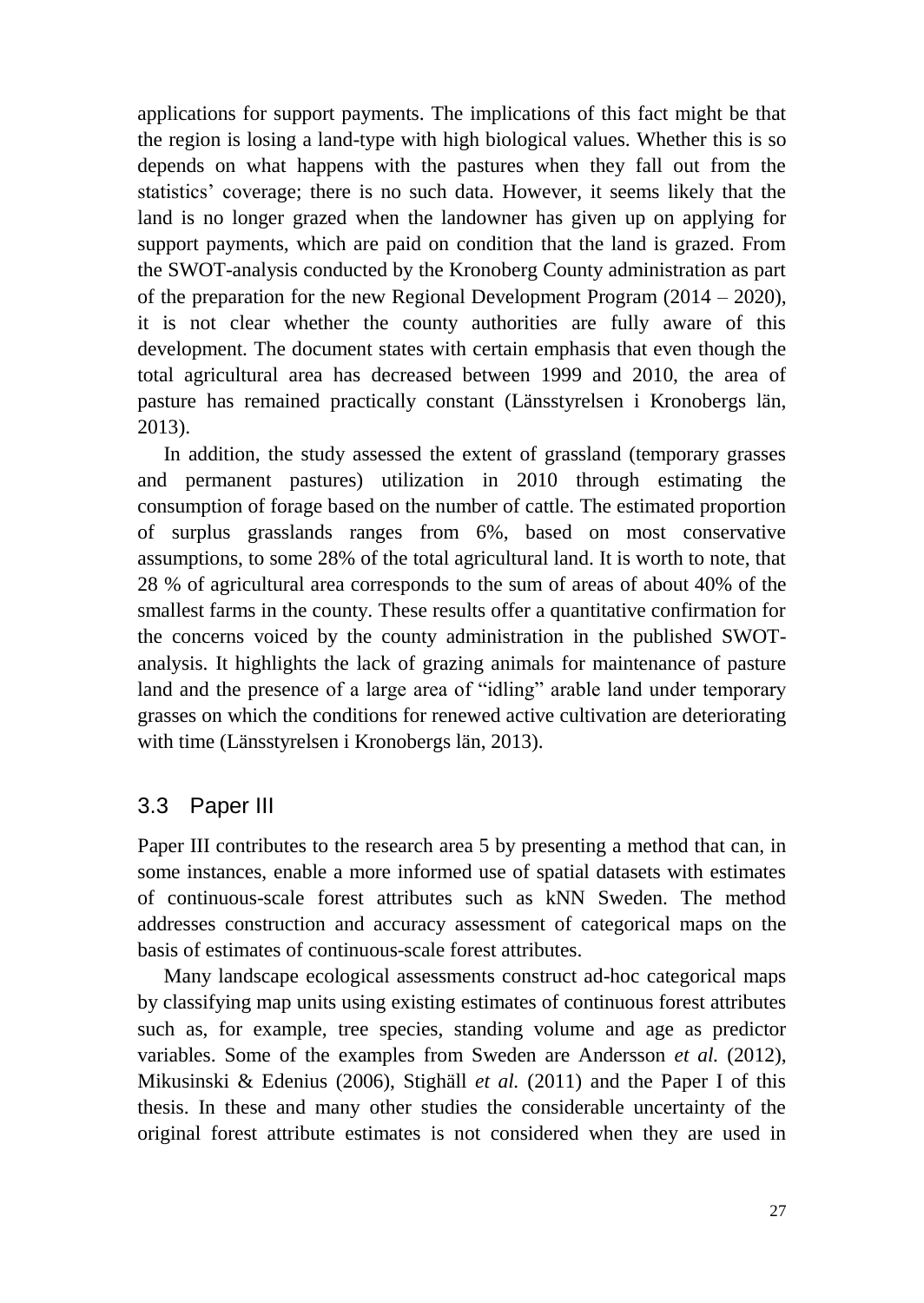applications for support payments. The implications of this fact might be that the region is losing a land-type with high biological values. Whether this is so depends on what happens with the pastures when they fall out from the statistics' coverage; there is no such data. However, it seems likely that the land is no longer grazed when the landowner has given up on applying for support payments, which are paid on condition that the land is grazed. From the SWOT-analysis conducted by the Kronoberg County administration as part of the preparation for the new Regional Development Program (2014 – 2020), it is not clear whether the county authorities are fully aware of this development. The document states with certain emphasis that even though the total agricultural area has decreased between 1999 and 2010, the area of pasture has remained practically constant [\(Länsstyrelsen i Kronobergs län,](#page-39-13)  [2013\)](#page-39-13).

In addition, the study assessed the extent of grassland (temporary grasses and permanent pastures) utilization in 2010 through estimating the consumption of forage based on the number of cattle. The estimated proportion of surplus grasslands ranges from 6%, based on most conservative assumptions, to some 28% of the total agricultural land. It is worth to note, that 28 % of agricultural area corresponds to the sum of areas of about 40% of the smallest farms in the county. These results offer a quantitative confirmation for the concerns voiced by the county administration in the published SWOTanalysis. It highlights the lack of grazing animals for maintenance of pasture land and the presence of a large area of "idling" arable land under temporary grasses on which the conditions for renewed active cultivation are deteriorating with time (Länsstyrelsen i Kronobergs län, 2013).

### <span id="page-26-0"></span>3.3 Paper III

Paper III contributes to the research area 5 by presenting a method that can, in some instances, enable a more informed use of spatial datasets with estimates of continuous-scale forest attributes such as kNN Sweden. The method addresses construction and accuracy assessment of categorical maps on the basis of estimates of continuous-scale forest attributes.

Many landscape ecological assessments construct ad-hoc categorical maps by classifying map units using existing estimates of continuous forest attributes such as, for example, tree species, standing volume and age as predictor variables. Some of the examples from Sweden are Andersson *et al.* [\(2012\)](#page-36-10), Mikusinski & Edenius [\(2006\)](#page-39-14), Stighäll *et al.* [\(2011\)](#page-40-15) and the Paper I of this thesis. In these and many other studies the considerable uncertainty of the original forest attribute estimates is not considered when they are used in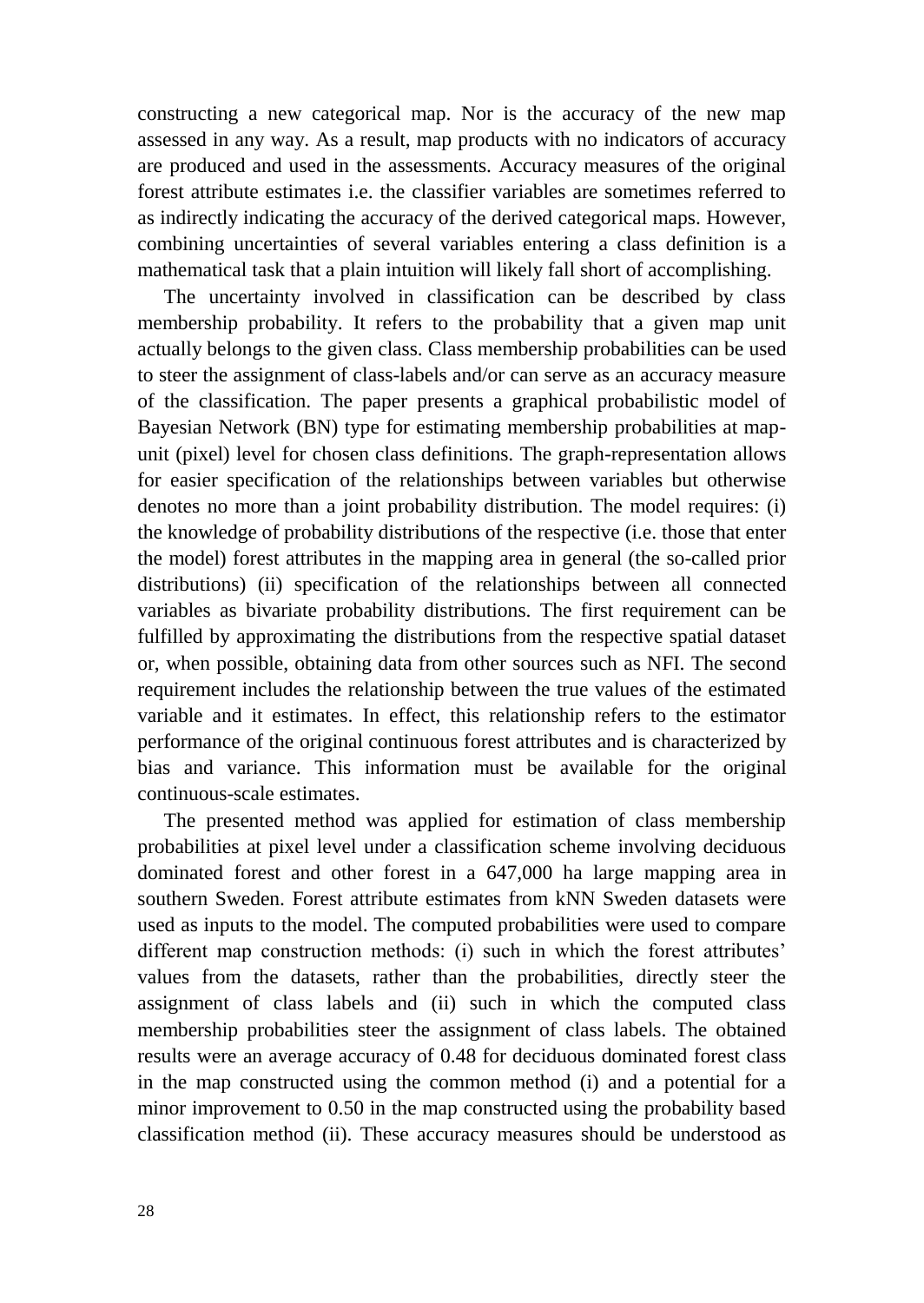constructing a new categorical map. Nor is the accuracy of the new map assessed in any way. As a result, map products with no indicators of accuracy are produced and used in the assessments. Accuracy measures of the original forest attribute estimates i.e. the classifier variables are sometimes referred to as indirectly indicating the accuracy of the derived categorical maps. However, combining uncertainties of several variables entering a class definition is a mathematical task that a plain intuition will likely fall short of accomplishing.

The uncertainty involved in classification can be described by class membership probability. It refers to the probability that a given map unit actually belongs to the given class. Class membership probabilities can be used to steer the assignment of class-labels and/or can serve as an accuracy measure of the classification. The paper presents a graphical probabilistic model of Bayesian Network (BN) type for estimating membership probabilities at mapunit (pixel) level for chosen class definitions. The graph-representation allows for easier specification of the relationships between variables but otherwise denotes no more than a joint probability distribution. The model requires: (i) the knowledge of probability distributions of the respective (i.e. those that enter the model) forest attributes in the mapping area in general (the so-called prior distributions) (ii) specification of the relationships between all connected variables as bivariate probability distributions. The first requirement can be fulfilled by approximating the distributions from the respective spatial dataset or, when possible, obtaining data from other sources such as NFI. The second requirement includes the relationship between the true values of the estimated variable and it estimates. In effect, this relationship refers to the estimator performance of the original continuous forest attributes and is characterized by bias and variance. This information must be available for the original continuous-scale estimates.

The presented method was applied for estimation of class membership probabilities at pixel level under a classification scheme involving deciduous dominated forest and other forest in a 647,000 ha large mapping area in southern Sweden. Forest attribute estimates from kNN Sweden datasets were used as inputs to the model. The computed probabilities were used to compare different map construction methods: (i) such in which the forest attributes' values from the datasets, rather than the probabilities, directly steer the assignment of class labels and (ii) such in which the computed class membership probabilities steer the assignment of class labels. The obtained results were an average accuracy of 0.48 for deciduous dominated forest class in the map constructed using the common method (i) and a potential for a minor improvement to 0.50 in the map constructed using the probability based classification method (ii). These accuracy measures should be understood as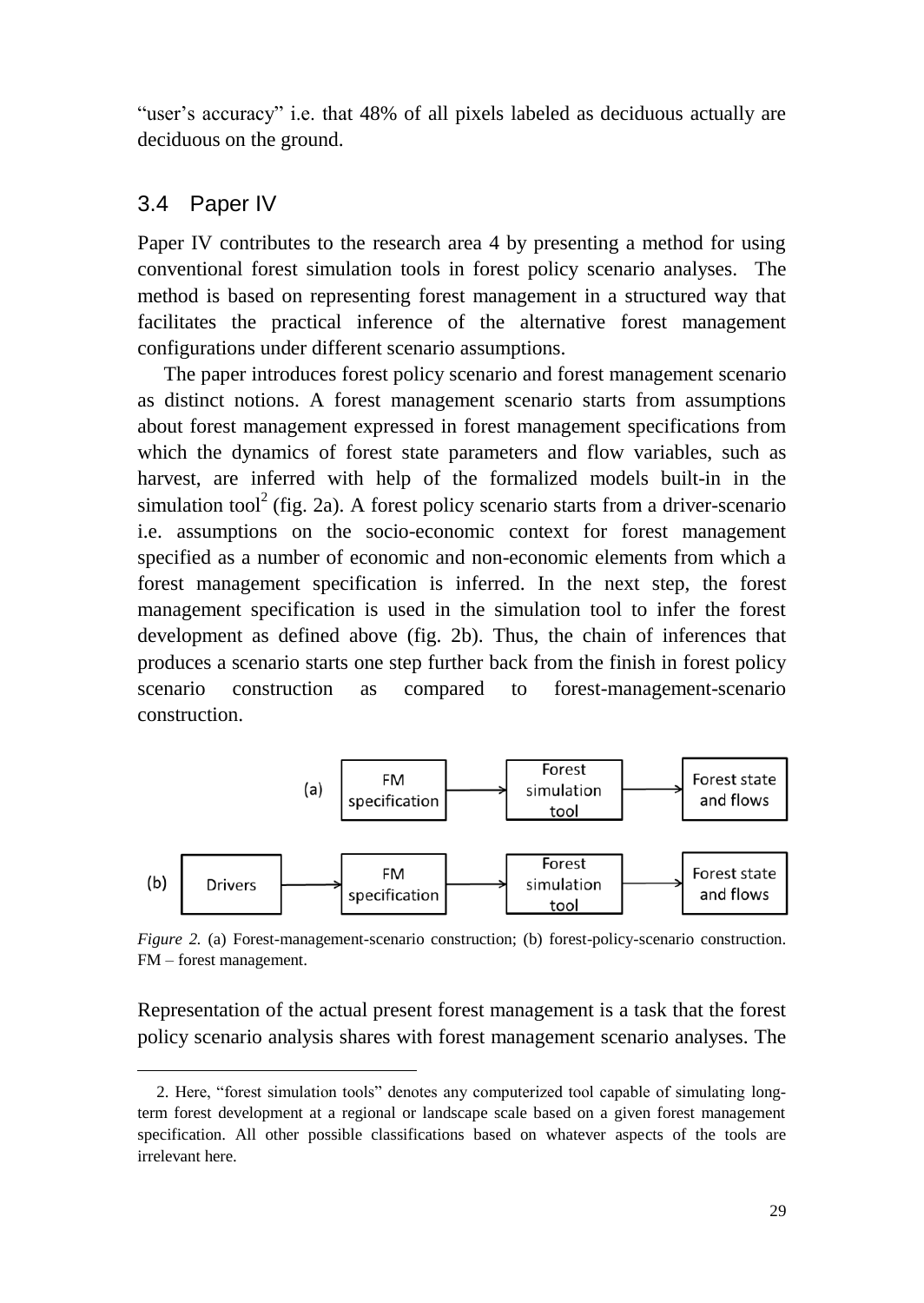"user's accuracy" i.e. that 48% of all pixels labeled as deciduous actually are deciduous on the ground.

#### <span id="page-28-0"></span>3.4 Paper IV

 $\overline{a}$ 

Paper IV contributes to the research area 4 by presenting a method for using conventional forest simulation tools in forest policy scenario analyses. The method is based on representing forest management in a structured way that facilitates the practical inference of the alternative forest management configurations under different scenario assumptions.

The paper introduces forest policy scenario and forest management scenario as distinct notions. A forest management scenario starts from assumptions about forest management expressed in forest management specifications from which the dynamics of forest state parameters and flow variables, such as harvest, are inferred with help of the formalized models built-in in the simulation tool<sup>2</sup> (fig. 2a). A forest policy scenario starts from a driver-scenario i.e. assumptions on the socio-economic context for forest management specified as a number of economic and non-economic elements from which a forest management specification is inferred. In the next step, the forest management specification is used in the simulation tool to infer the forest development as defined above (fig. 2b). Thus, the chain of inferences that produces a scenario starts one step further back from the finish in forest policy scenario construction as compared to forest-management-scenario construction.



*Figure 2.* (a) Forest-management-scenario construction; (b) forest-policy-scenario construction. FM – forest management.

Representation of the actual present forest management is a task that the forest policy scenario analysis shares with forest management scenario analyses. The

<sup>2.</sup> Here, "forest simulation tools" denotes any computerized tool capable of simulating longterm forest development at a regional or landscape scale based on a given forest management specification. All other possible classifications based on whatever aspects of the tools are irrelevant here.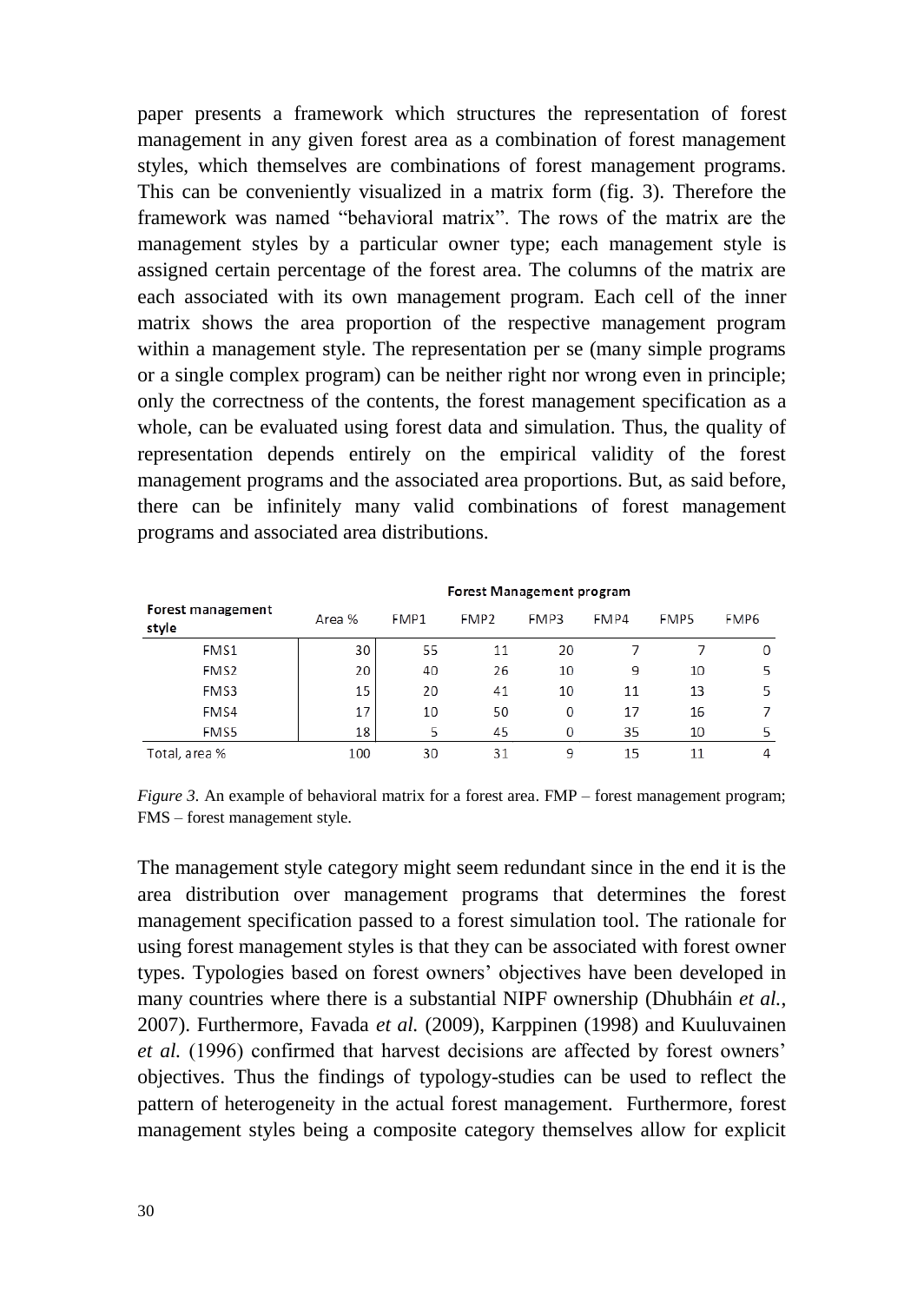paper presents a framework which structures the representation of forest management in any given forest area as a combination of forest management styles, which themselves are combinations of forest management programs. This can be conveniently visualized in a matrix form (fig. 3). Therefore the framework was named "behavioral matrix". The rows of the matrix are the management styles by a particular owner type; each management style is assigned certain percentage of the forest area. The columns of the matrix are each associated with its own management program. Each cell of the inner matrix shows the area proportion of the respective management program within a management style. The representation per se (many simple programs or a single complex program) can be neither right nor wrong even in principle; only the correctness of the contents, the forest management specification as a whole, can be evaluated using forest data and simulation. Thus, the quality of representation depends entirely on the empirical validity of the forest management programs and the associated area proportions. But, as said before, there can be infinitely many valid combinations of forest management programs and associated area distributions.

|                            | Forest Management program |      |                  |      |      |                  |                  |
|----------------------------|---------------------------|------|------------------|------|------|------------------|------------------|
| Forest management<br>style | Area %                    | FMP1 | FMP <sub>2</sub> | FMP3 | FMP4 | FMP <sub>5</sub> | FMP <sub>6</sub> |
| FMS1                       | 30                        | 55   | 11               | 20   |      |                  | 0                |
| FMS <sub>2</sub>           | 20                        | 40   | 26               | 10   | 9    | 10               | 5                |
| FMS3                       | 15                        | 20   | 41               | 10   | 11   | 13               | 5                |
| FMS4                       | 17                        | 10   | 50               | 0    | 17   | 16               |                  |
| FMS5                       | 18                        | 5    | 45               | 0    | 35   | 10               | 5                |
| Total, area %              | 100                       | 30   | 31               | 9    | 15   | 11               | 4                |

*Figure 3.* An example of behavioral matrix for a forest area. FMP – forest management program; FMS – forest management style.

The management style category might seem redundant since in the end it is the area distribution over management programs that determines the forest management specification passed to a forest simulation tool. The rationale for using forest management styles is that they can be associated with forest owner types. Typologies based on forest owners' objectives have been developed in many countries where there is a substantial NIPF ownership [\(Dhubháin](#page-37-16) *et al.*, [2007\)](#page-37-16). Furthermore, Favada *et al.* [\(2009\)](#page-37-9), Karppinen [\(1998\)](#page-38-10) and Kuuluvainen *et al.* (1996) confirmed that harvest decisions are affected by forest owners' objectives. Thus the findings of typology-studies can be used to reflect the pattern of heterogeneity in the actual forest management. Furthermore, forest management styles being a composite category themselves allow for explicit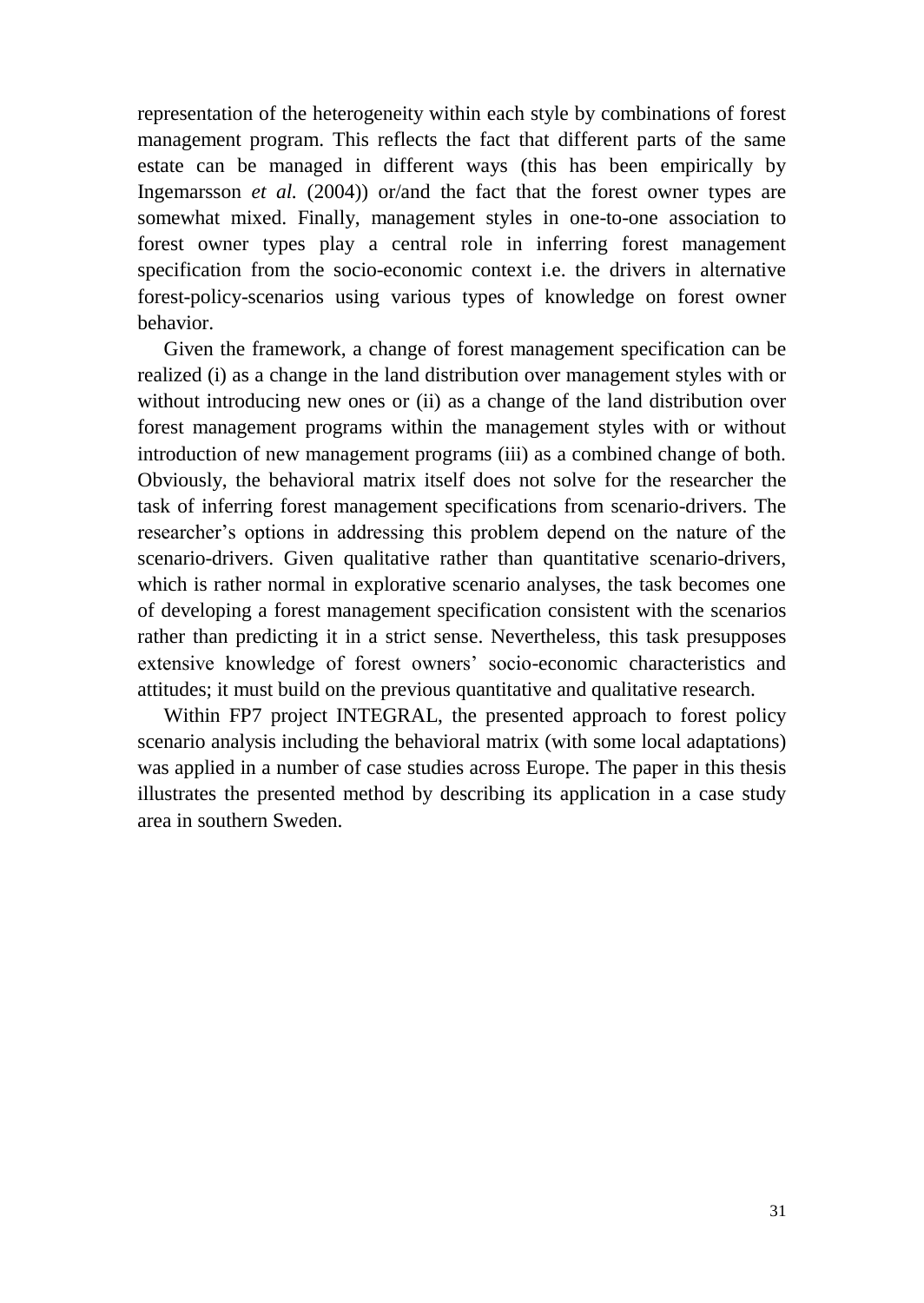representation of the heterogeneity within each style by combinations of forest management program. This reflects the fact that different parts of the same estate can be managed in different ways (this has been empirically by Ingemarsson *et al.* [\(2004\)](#page-38-15)) or/and the fact that the forest owner types are somewhat mixed. Finally, management styles in one-to-one association to forest owner types play a central role in inferring forest management specification from the socio-economic context i.e. the drivers in alternative forest-policy-scenarios using various types of knowledge on forest owner behavior.

Given the framework, a change of forest management specification can be realized (i) as a change in the land distribution over management styles with or without introducing new ones or (ii) as a change of the land distribution over forest management programs within the management styles with or without introduction of new management programs (iii) as a combined change of both. Obviously, the behavioral matrix itself does not solve for the researcher the task of inferring forest management specifications from scenario-drivers. The researcher's options in addressing this problem depend on the nature of the scenario-drivers. Given qualitative rather than quantitative scenario-drivers, which is rather normal in explorative scenario analyses, the task becomes one of developing a forest management specification consistent with the scenarios rather than predicting it in a strict sense. Nevertheless, this task presupposes extensive knowledge of forest owners' socio-economic characteristics and attitudes; it must build on the previous quantitative and qualitative research.

Within FP7 project INTEGRAL, the presented approach to forest policy scenario analysis including the behavioral matrix (with some local adaptations) was applied in a number of case studies across Europe. The paper in this thesis illustrates the presented method by describing its application in a case study area in southern Sweden.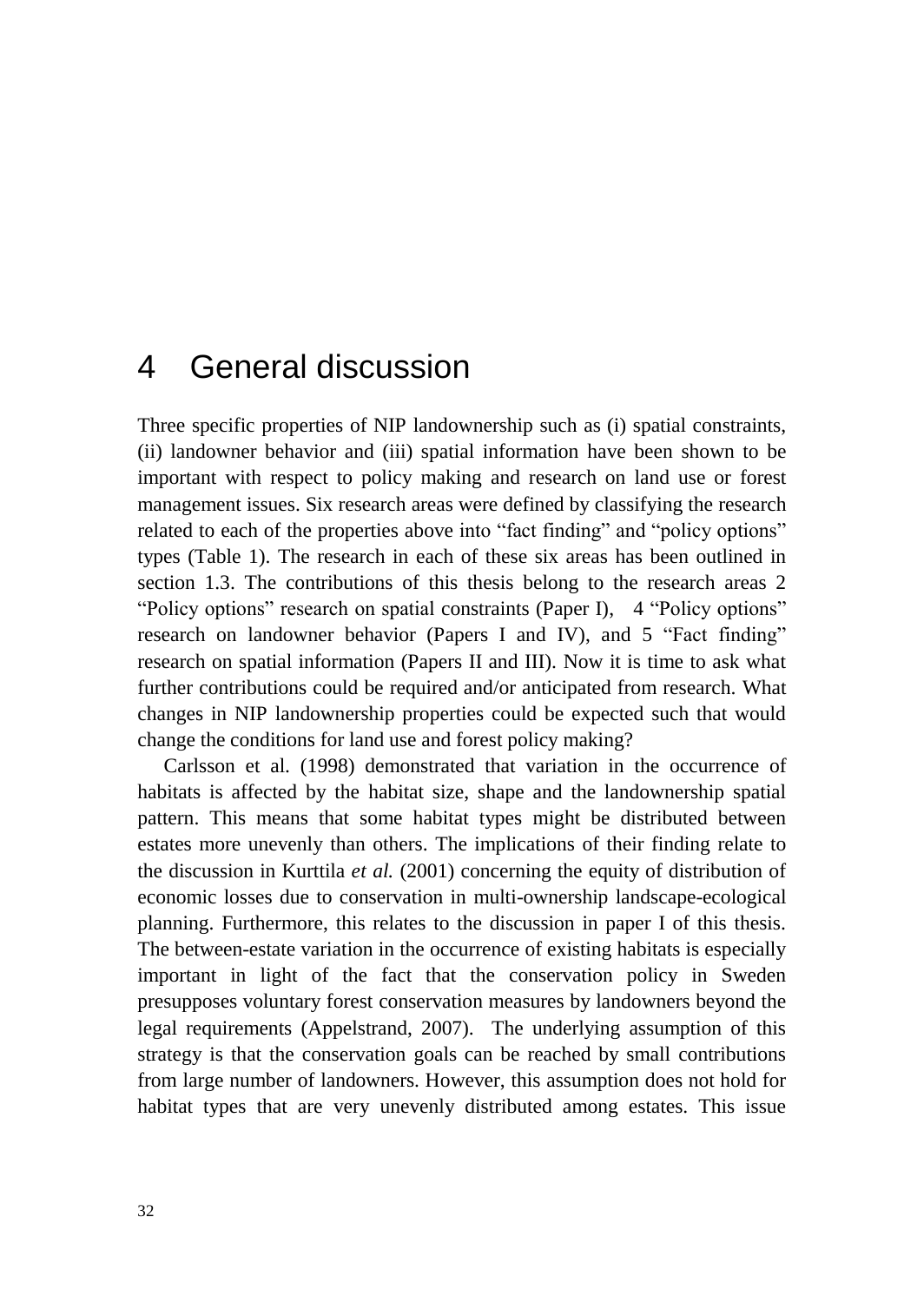## <span id="page-31-0"></span>4 General discussion

Three specific properties of NIP landownership such as (i) spatial constraints, (ii) landowner behavior and (iii) spatial information have been shown to be important with respect to policy making and research on land use or forest management issues. Six research areas were defined by classifying the research related to each of the properties above into "fact finding" and "policy options" types (Table 1). The research in each of these six areas has been outlined in section 1.3. The contributions of this thesis belong to the research areas 2 "Policy options" research on spatial constraints (Paper I), 4 "Policy options" research on landowner behavior (Papers I and IV), and 5 "Fact finding" research on spatial information (Papers II and III). Now it is time to ask what further contributions could be required and/or anticipated from research. What changes in NIP landownership properties could be expected such that would change the conditions for land use and forest policy making?

Carlsson et al. [\(1998\)](#page-37-2) demonstrated that variation in the occurrence of habitats is affected by the habitat size, shape and the landownership spatial pattern. This means that some habitat types might be distributed between estates more unevenly than others. The implications of their finding relate to the discussion in Kurttila *et al.* (2001) concerning the equity of distribution of economic losses due to conservation in multi-ownership landscape-ecological planning. Furthermore, this relates to the discussion in paper I of this thesis. The between-estate variation in the occurrence of existing habitats is especially important in light of the fact that the conservation policy in Sweden presupposes voluntary forest conservation measures by landowners beyond the legal requirements [\(Appelstrand, 2007\)](#page-36-1). The underlying assumption of this strategy is that the conservation goals can be reached by small contributions from large number of landowners. However, this assumption does not hold for habitat types that are very unevenly distributed among estates. This issue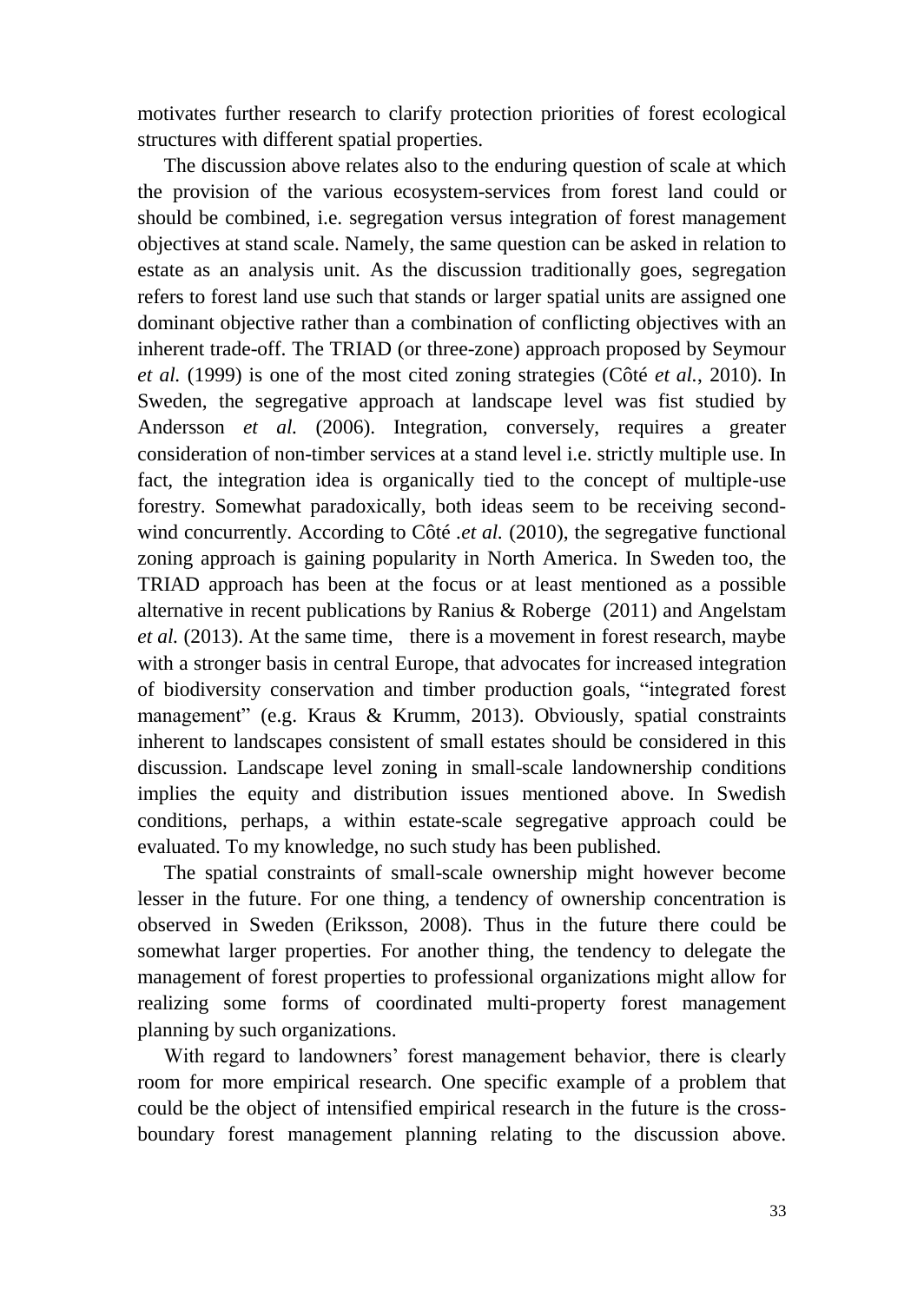motivates further research to clarify protection priorities of forest ecological structures with different spatial properties.

The discussion above relates also to the enduring question of scale at which the provision of the various ecosystem-services from forest land could or should be combined, i.e. segregation versus integration of forest management objectives at stand scale. Namely, the same question can be asked in relation to estate as an analysis unit. As the discussion traditionally goes, segregation refers to forest land use such that stands or larger spatial units are assigned one dominant objective rather than a combination of conflicting objectives with an inherent trade-off. The TRIAD (or three-zone) approach proposed by Seymour *et al.* [\(1999\)](#page-40-16) is one of the most cited zoning strategies (Côté *et al.*[, 2010\)](#page-37-17). In Sweden, the segregative approach at landscape level was fist studied by Andersson *et al.* [\(2006\)](#page-36-11). Integration, conversely, requires a greater consideration of non-timber services at a stand level i.e. strictly multiple use. In fact, the integration idea is organically tied to the concept of multiple-use forestry. Somewhat paradoxically, both ideas seem to be receiving secondwind concurrently. According to Côté *.et al.* (2010), the segregative functional zoning approach is gaining popularity in North America. In Sweden too, the TRIAD approach has been at the focus or at least mentioned as a possible alternative in recent publications by Ranius & Roberge [\(2011\)](#page-40-17) and Angelstam *et al.* [\(2013\)](#page-36-12). At the same time, there is a movement in forest research, maybe with a stronger basis in central Europe, that advocates for increased integration of biodiversity conservation and timber production goals, "integrated forest management" [\(e.g. Kraus & Krumm, 2013\)](#page-38-16). Obviously, spatial constraints inherent to landscapes consistent of small estates should be considered in this discussion. Landscape level zoning in small-scale landownership conditions implies the equity and distribution issues mentioned above. In Swedish conditions, perhaps, a within estate-scale segregative approach could be evaluated. To my knowledge, no such study has been published.

The spatial constraints of small-scale ownership might however become lesser in the future. For one thing, a tendency of ownership concentration is observed in Sweden [\(Eriksson, 2008\)](#page-37-8). Thus in the future there could be somewhat larger properties. For another thing, the tendency to delegate the management of forest properties to professional organizations might allow for realizing some forms of coordinated multi-property forest management planning by such organizations.

With regard to landowners' forest management behavior, there is clearly room for more empirical research. One specific example of a problem that could be the object of intensified empirical research in the future is the crossboundary forest management planning relating to the discussion above.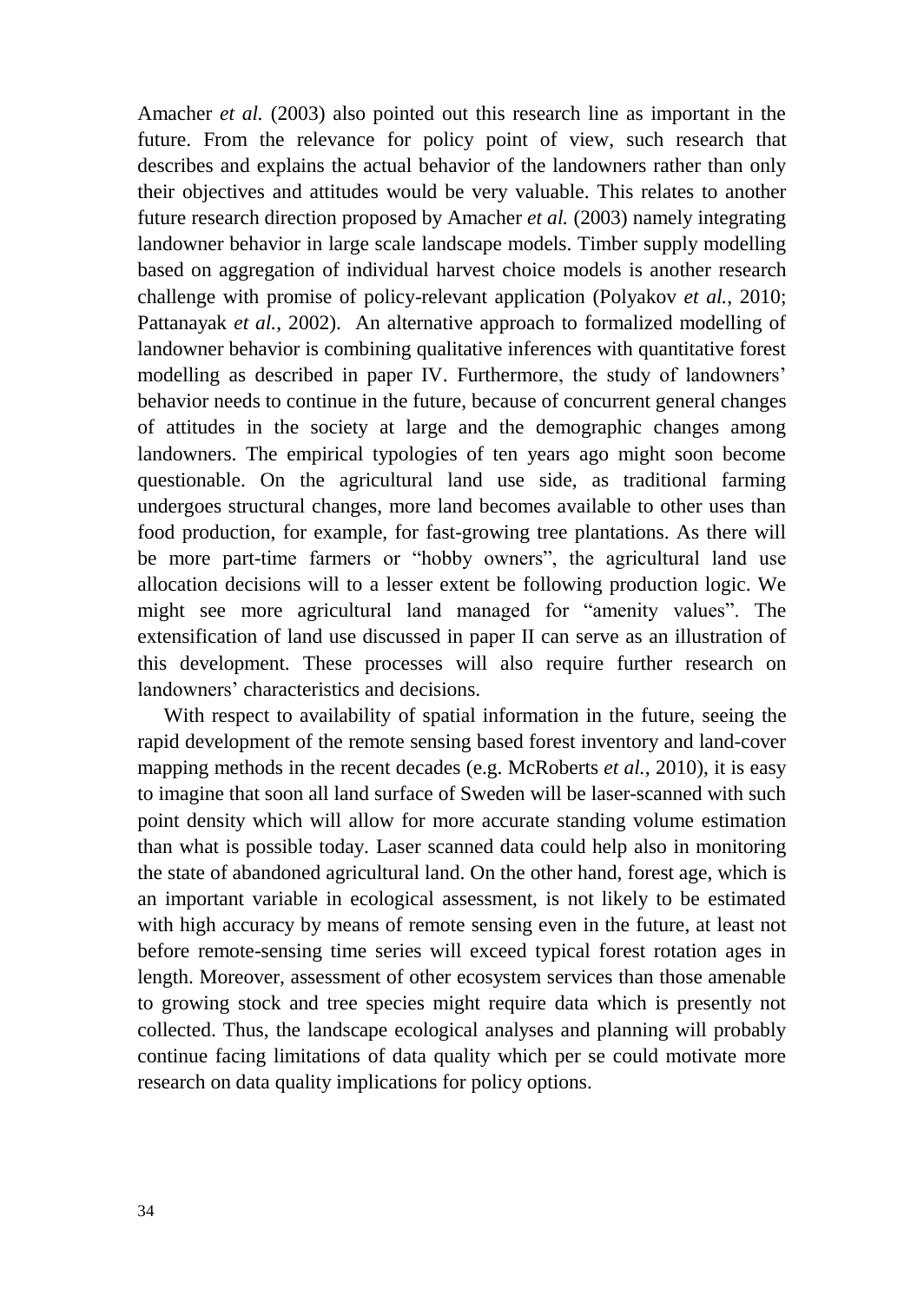Amacher *et al.* (2003) also pointed out this research line as important in the future. From the relevance for policy point of view, such research that describes and explains the actual behavior of the landowners rather than only their objectives and attitudes would be very valuable. This relates to another future research direction proposed by Amacher *et al.* (2003) namely integrating landowner behavior in large scale landscape models. Timber supply modelling based on aggregation of individual harvest choice models is another research challenge with promise of policy-relevant application [\(Polyakov](#page-40-8) *et al.*, 2010; [Pattanayak](#page-39-15) *et al.*, 2002). An alternative approach to formalized modelling of landowner behavior is combining qualitative inferences with quantitative forest modelling as described in paper IV. Furthermore, the study of landowners' behavior needs to continue in the future, because of concurrent general changes of attitudes in the society at large and the demographic changes among landowners. The empirical typologies of ten years ago might soon become questionable. On the agricultural land use side, as traditional farming undergoes structural changes, more land becomes available to other uses than food production, for example, for fast-growing tree plantations. As there will be more part-time farmers or "hobby owners", the agricultural land use allocation decisions will to a lesser extent be following production logic. We might see more agricultural land managed for "amenity values". The extensification of land use discussed in paper II can serve as an illustration of this development. These processes will also require further research on landowners' characteristics and decisions.

With respect to availability of spatial information in the future, seeing the rapid development of the remote sensing based forest inventory and land-cover mapping methods in the recent decades [\(e.g. McRoberts](#page-39-8) *et al.*, 2010), it is easy to imagine that soon all land surface of Sweden will be laser-scanned with such point density which will allow for more accurate standing volume estimation than what is possible today. Laser scanned data could help also in monitoring the state of abandoned agricultural land. On the other hand, forest age, which is an important variable in ecological assessment, is not likely to be estimated with high accuracy by means of remote sensing even in the future, at least not before remote-sensing time series will exceed typical forest rotation ages in length. Moreover, assessment of other ecosystem services than those amenable to growing stock and tree species might require data which is presently not collected. Thus, the landscape ecological analyses and planning will probably continue facing limitations of data quality which per se could motivate more research on data quality implications for policy options.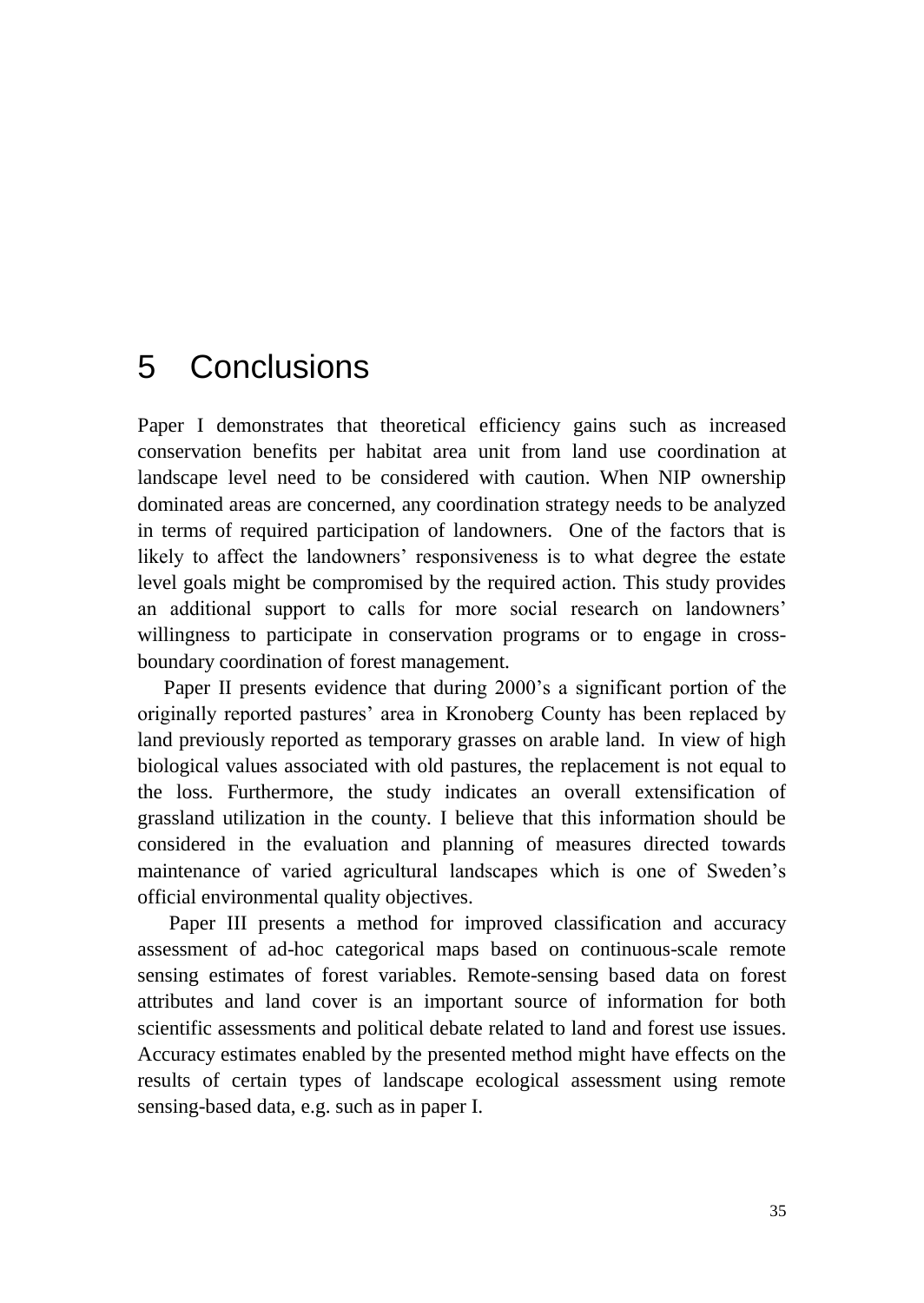# <span id="page-34-0"></span>5 Conclusions

Paper I demonstrates that theoretical efficiency gains such as increased conservation benefits per habitat area unit from land use coordination at landscape level need to be considered with caution. When NIP ownership dominated areas are concerned, any coordination strategy needs to be analyzed in terms of required participation of landowners. One of the factors that is likely to affect the landowners' responsiveness is to what degree the estate level goals might be compromised by the required action. This study provides an additional support to calls for more social research on landowners' willingness to participate in conservation programs or to engage in crossboundary coordination of forest management.

Paper II presents evidence that during 2000's a significant portion of the originally reported pastures' area in Kronoberg County has been replaced by land previously reported as temporary grasses on arable land. In view of high biological values associated with old pastures, the replacement is not equal to the loss. Furthermore, the study indicates an overall extensification of grassland utilization in the county. I believe that this information should be considered in the evaluation and planning of measures directed towards maintenance of varied agricultural landscapes which is one of Sweden's official environmental quality objectives.

Paper III presents a method for improved classification and accuracy assessment of ad-hoc categorical maps based on continuous-scale remote sensing estimates of forest variables. Remote-sensing based data on forest attributes and land cover is an important source of information for both scientific assessments and political debate related to land and forest use issues. Accuracy estimates enabled by the presented method might have effects on the results of certain types of landscape ecological assessment using remote sensing-based data, e.g. such as in paper I.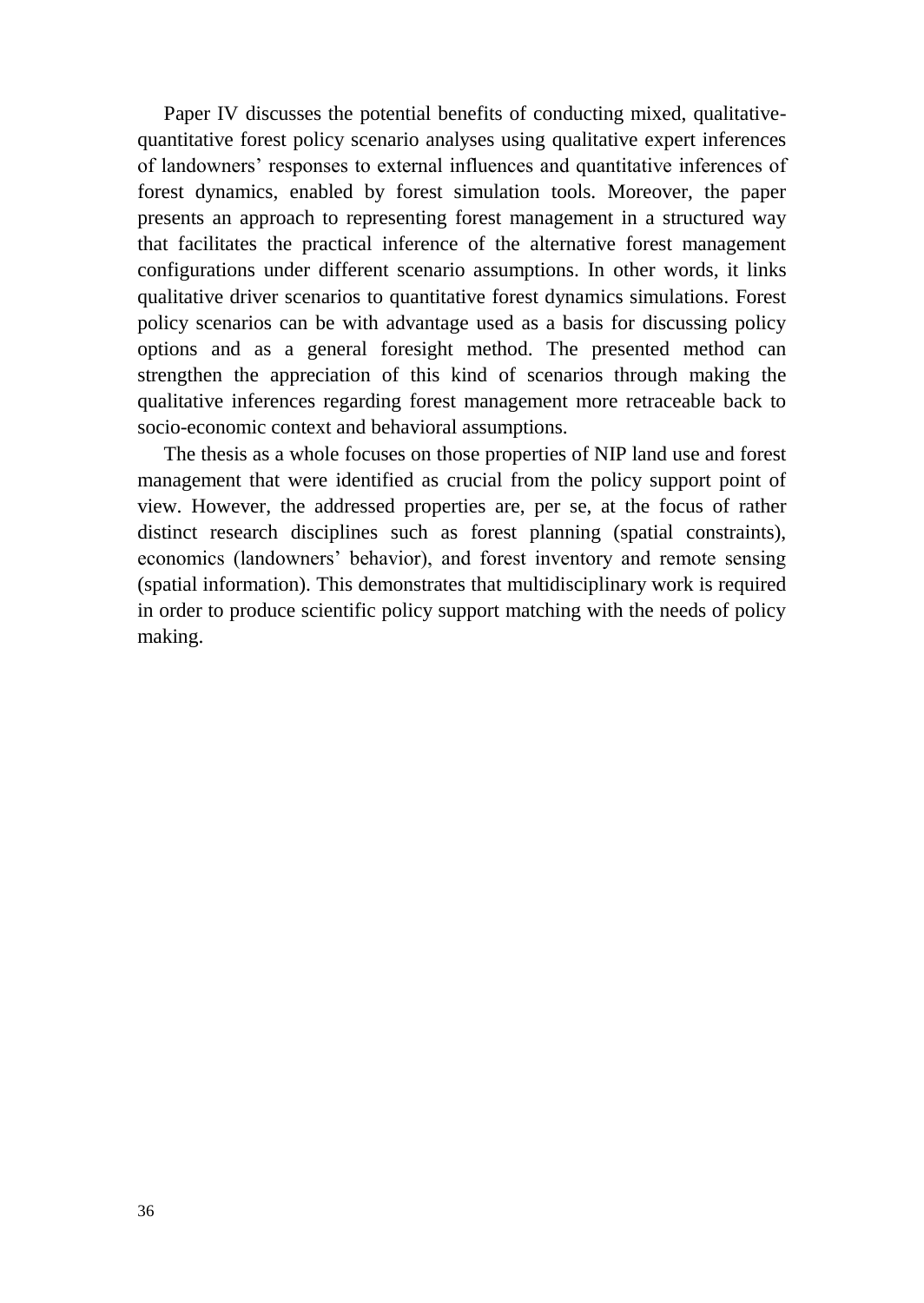Paper IV discusses the potential benefits of conducting mixed, qualitativequantitative forest policy scenario analyses using qualitative expert inferences of landowners' responses to external influences and quantitative inferences of forest dynamics, enabled by forest simulation tools. Moreover, the paper presents an approach to representing forest management in a structured way that facilitates the practical inference of the alternative forest management configurations under different scenario assumptions. In other words, it links qualitative driver scenarios to quantitative forest dynamics simulations. Forest policy scenarios can be with advantage used as a basis for discussing policy options and as a general foresight method. The presented method can strengthen the appreciation of this kind of scenarios through making the qualitative inferences regarding forest management more retraceable back to socio-economic context and behavioral assumptions.

The thesis as a whole focuses on those properties of NIP land use and forest management that were identified as crucial from the policy support point of view. However, the addressed properties are, per se, at the focus of rather distinct research disciplines such as forest planning (spatial constraints), economics (landowners' behavior), and forest inventory and remote sensing (spatial information). This demonstrates that multidisciplinary work is required in order to produce scientific policy support matching with the needs of policy making.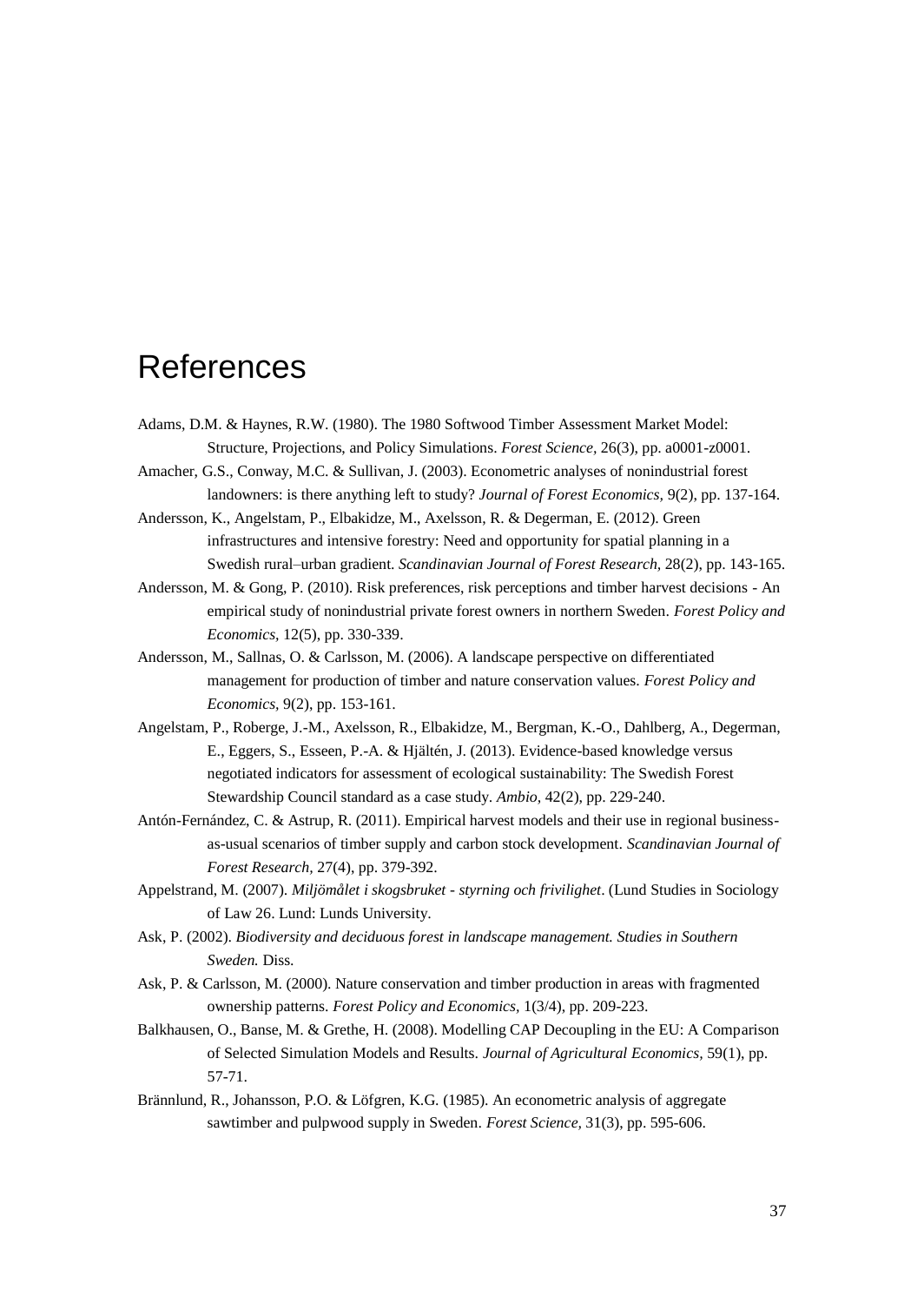## <span id="page-36-0"></span>References

- <span id="page-36-7"></span>Adams, D.M. & Haynes, R.W. (1980). The 1980 Softwood Timber Assessment Market Model: Structure, Projections, and Policy Simulations. *Forest Science,* 26(3), pp. a0001-z0001.
- <span id="page-36-4"></span>Amacher, G.S., Conway, M.C. & Sullivan, J. (2003). Econometric analyses of nonindustrial forest landowners: is there anything left to study? *Journal of Forest Economics,* 9(2), pp. 137-164.
- <span id="page-36-10"></span>Andersson, K., Angelstam, P., Elbakidze, M., Axelsson, R. & Degerman, E. (2012). Green infrastructures and intensive forestry: Need and opportunity for spatial planning in a Swedish rural–urban gradient. *Scandinavian Journal of Forest Research,* 28(2), pp. 143-165.
- <span id="page-36-6"></span>Andersson, M. & Gong, P. (2010). Risk preferences, risk perceptions and timber harvest decisions - An empirical study of nonindustrial private forest owners in northern Sweden. *Forest Policy and Economics,* 12(5), pp. 330-339.
- <span id="page-36-11"></span>Andersson, M., Sallnas, O. & Carlsson, M. (2006). A landscape perspective on differentiated management for production of timber and nature conservation values. *Forest Policy and Economics,* 9(2), pp. 153-161.
- <span id="page-36-12"></span>Angelstam, P., Roberge, J.-M., Axelsson, R., Elbakidze, M., Bergman, K.-O., Dahlberg, A., Degerman, E., Eggers, S., Esseen, P.-A. & Hjältén, J. (2013). Evidence-based knowledge versus negotiated indicators for assessment of ecological sustainability: The Swedish Forest Stewardship Council standard as a case study. *Ambio,* 42(2), pp. 229-240.
- <span id="page-36-9"></span>Antón-Fernández, C. & Astrup, R. (2011). Empirical harvest models and their use in regional businessas-usual scenarios of timber supply and carbon stock development. *Scandinavian Journal of Forest Research,* 27(4), pp. 379-392.
- <span id="page-36-1"></span>Appelstrand, M. (2007). *Miljömålet i skogsbruket - styrning och frivilighet*. (Lund Studies in Sociology of Law 26. Lund: Lunds University.
- <span id="page-36-2"></span>Ask, P. (2002). *Biodiversity and deciduous forest in landscape management. Studies in Southern Sweden.* Diss.
- <span id="page-36-3"></span>Ask, P. & Carlsson, M. (2000). Nature conservation and timber production in areas with fragmented ownership patterns. *Forest Policy and Economics,* 1(3/4), pp. 209-223.
- <span id="page-36-5"></span>Balkhausen, O., Banse, M. & Grethe, H. (2008). Modelling CAP Decoupling in the EU: A Comparison of Selected Simulation Models and Results. *Journal of Agricultural Economics,* 59(1), pp. 57-71.
- <span id="page-36-8"></span>Brännlund, R., Johansson, P.O. & Löfgren, K.G. (1985). An econometric analysis of aggregate sawtimber and pulpwood supply in Sweden. *Forest Science,* 31(3), pp. 595-606.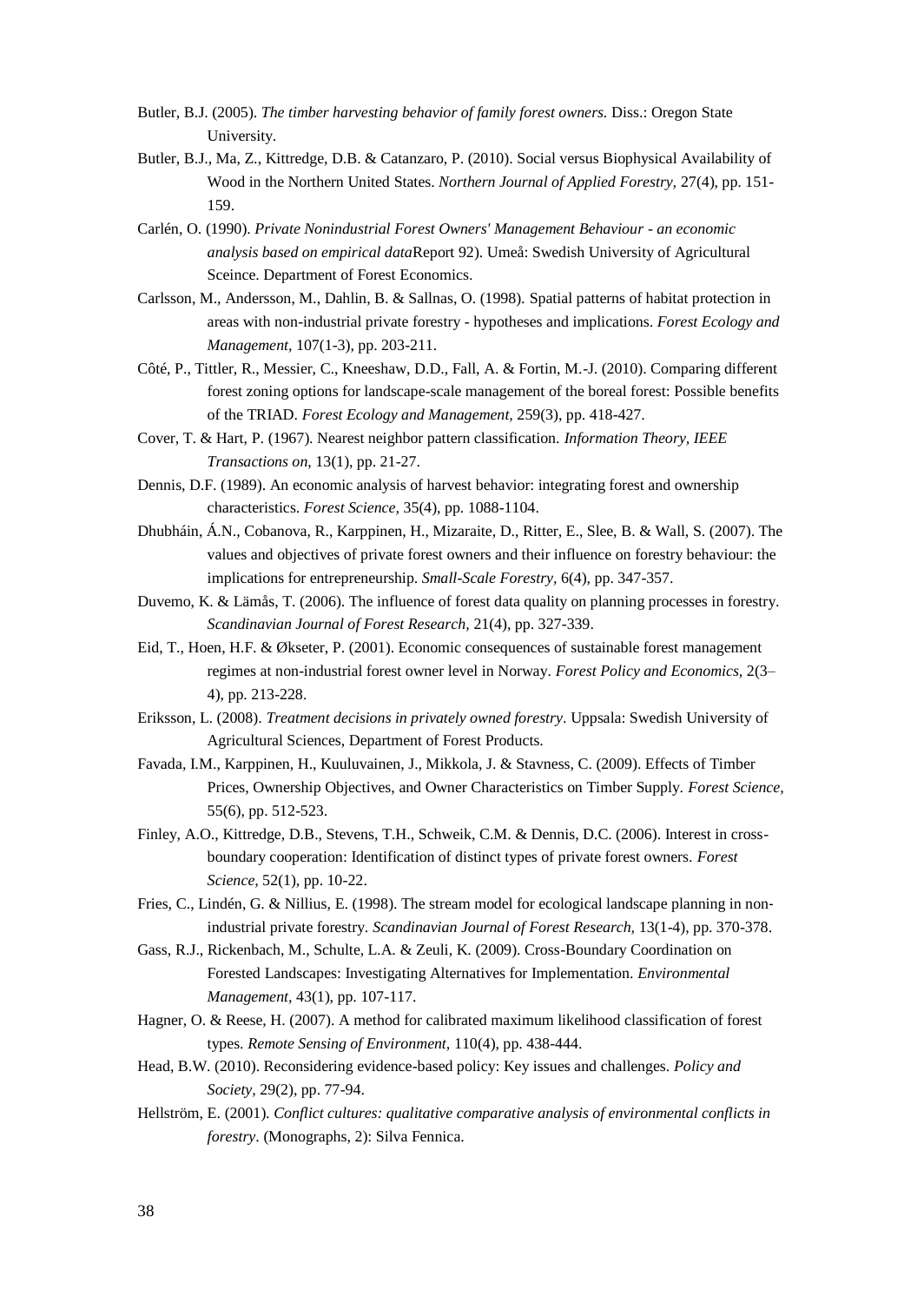- <span id="page-37-11"></span>Butler, B.J. (2005). *The timber harvesting behavior of family forest owners*. Diss.: Oregon State University.
- <span id="page-37-12"></span>Butler, B.J., Ma, Z., Kittredge, D.B. & Catanzaro, P. (2010). Social versus Biophysical Availability of Wood in the Northern United States. *Northern Journal of Applied Forestry,* 27(4), pp. 151- 159.
- <span id="page-37-7"></span>Carlén, O. (1990). *Private Nonindustrial Forest Owners' Management Behaviour - an economic analysis based on empirical data*Report 92). Umeå: Swedish University of Agricultural Sceince. Department of Forest Economics.
- <span id="page-37-2"></span>Carlsson, M., Andersson, M., Dahlin, B. & Sallnas, O. (1998). Spatial patterns of habitat protection in areas with non-industrial private forestry - hypotheses and implications. *Forest Ecology and Management,* 107(1-3), pp. 203-211.
- <span id="page-37-17"></span>Côté, P., Tittler, R., Messier, C., Kneeshaw, D.D., Fall, A. & Fortin, M.-J. (2010). Comparing different forest zoning options for landscape-scale management of the boreal forest: Possible benefits of the TRIAD. *Forest Ecology and Management,* 259(3), pp. 418-427.
- <span id="page-37-13"></span>Cover, T. & Hart, P. (1967). Nearest neighbor pattern classification. *Information Theory, IEEE Transactions on,* 13(1), pp. 21-27.
- <span id="page-37-10"></span>Dennis, D.F. (1989). An economic analysis of harvest behavior: integrating forest and ownership characteristics. *Forest Science,* 35(4), pp. 1088-1104.
- <span id="page-37-16"></span>Dhubháin, Á.N., Cobanova, R., Karppinen, H., Mizaraite, D., Ritter, E., Slee, B. & Wall, S. (2007). The values and objectives of private forest owners and their influence on forestry behaviour: the implications for entrepreneurship. *Small-Scale Forestry,* 6(4), pp. 347-357.
- <span id="page-37-15"></span>Duvemo, K. & Lämås, T. (2006). The influence of forest data quality on planning processes in forestry. *Scandinavian Journal of Forest Research,* 21(4), pp. 327-339.
- <span id="page-37-4"></span>Eid, T., Hoen, H.F. & Økseter, P. (2001). Economic consequences of sustainable forest management regimes at non-industrial forest owner level in Norway. *Forest Policy and Economics,* 2(3– 4), pp. 213-228.
- <span id="page-37-8"></span>Eriksson, L. (2008). *Treatment decisions in privately owned forestry*. Uppsala: Swedish University of Agricultural Sciences, Department of Forest Products.
- <span id="page-37-9"></span>Favada, I.M., Karppinen, H., Kuuluvainen, J., Mikkola, J. & Stavness, C. (2009). Effects of Timber Prices, Ownership Objectives, and Owner Characteristics on Timber Supply. *Forest Science,*  55(6), pp. 512-523.
- <span id="page-37-6"></span>Finley, A.O., Kittredge, D.B., Stevens, T.H., Schweik, C.M. & Dennis, D.C. (2006). Interest in crossboundary cooperation: Identification of distinct types of private forest owners. *Forest Science,* 52(1), pp. 10-22.
- <span id="page-37-3"></span>Fries, C., Lindén, G. & Nillius, E. (1998). The stream model for ecological landscape planning in nonindustrial private forestry. *Scandinavian Journal of Forest Research,* 13(1-4), pp. 370-378.
- <span id="page-37-5"></span>Gass, R.J., Rickenbach, M., Schulte, L.A. & Zeuli, K. (2009). Cross-Boundary Coordination on Forested Landscapes: Investigating Alternatives for Implementation. *Environmental Management,* 43(1), pp. 107-117.
- <span id="page-37-14"></span>Hagner, O. & Reese, H. (2007). A method for calibrated maximum likelihood classification of forest types. *Remote Sensing of Environment,* 110(4), pp. 438-444.
- <span id="page-37-1"></span>Head, B.W. (2010). Reconsidering evidence-based policy: Key issues and challenges. *Policy and Society,* 29(2), pp. 77-94.
- <span id="page-37-0"></span>Hellström, E. (2001). *Conflict cultures: qualitative comparative analysis of environmental conflicts in forestry*. (Monographs, 2): Silva Fennica.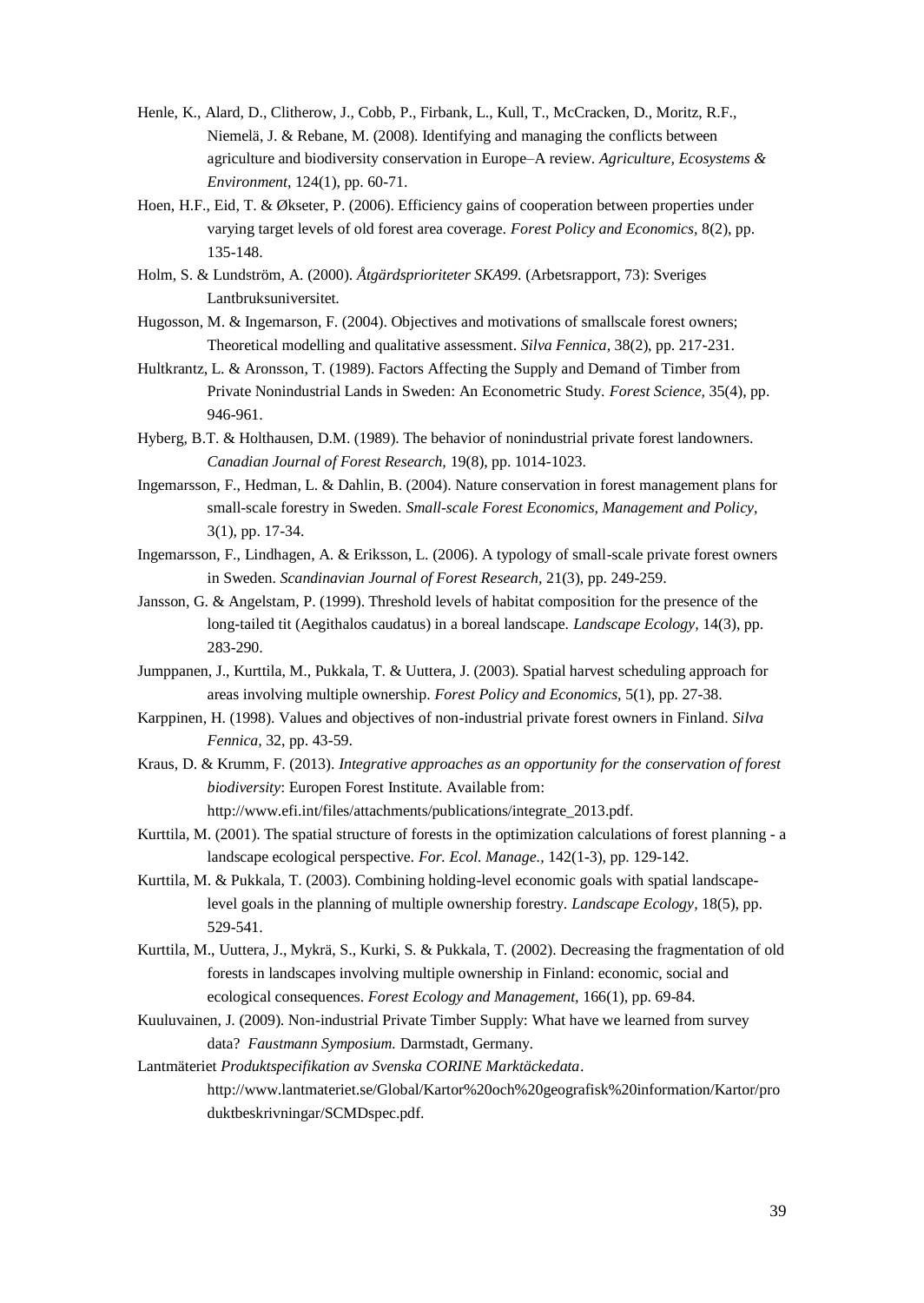- <span id="page-38-0"></span>Henle, K., Alard, D., Clitherow, J., Cobb, P., Firbank, L., Kull, T., McCracken, D., Moritz, R.F., Niemelä, J. & Rebane, M. (2008). Identifying and managing the conflicts between agriculture and biodiversity conservation in Europe–A review. *Agriculture, Ecosystems & Environment,* 124(1), pp. 60-71.
- <span id="page-38-6"></span>Hoen, H.F., Eid, T. & Økseter, P. (2006). Efficiency gains of cooperation between properties under varying target levels of old forest area coverage. *Forest Policy and Economics,* 8(2), pp. 135-148.
- <span id="page-38-12"></span>Holm, S. & Lundström, A. (2000). *Åtgärdsprioriteter SKA99*. (Arbetsrapport, 73): Sveriges Lantbruksuniversitet.
- <span id="page-38-1"></span>Hugosson, M. & Ingemarson, F. (2004). Objectives and motivations of smallscale forest owners; Theoretical modelling and qualitative assessment. *Silva Fennica,* 38(2), pp. 217-231.
- <span id="page-38-8"></span>Hultkrantz, L. & Aronsson, T. (1989). Factors Affecting the Supply and Demand of Timber from Private Nonindustrial Lands in Sweden: An Econometric Study. *Forest Science,* 35(4), pp. 946-961.
- <span id="page-38-9"></span>Hyberg, B.T. & Holthausen, D.M. (1989). The behavior of nonindustrial private forest landowners. *Canadian Journal of Forest Research,* 19(8), pp. 1014-1023.
- <span id="page-38-15"></span>Ingemarsson, F., Hedman, L. & Dahlin, B. (2004). Nature conservation in forest management plans for small-scale forestry in Sweden. *Small-scale Forest Economics, Management and Policy,*  3(1), pp. 17-34.
- <span id="page-38-11"></span>Ingemarsson, F., Lindhagen, A. & Eriksson, L. (2006). A typology of small-scale private forest owners in Sweden. *Scandinavian Journal of Forest Research,* 21(3), pp. 249-259.
- <span id="page-38-14"></span>Jansson, G. & Angelstam, P. (1999). Threshold levels of habitat composition for the presence of the long-tailed tit (Aegithalos caudatus) in a boreal landscape. *Landscape Ecology,* 14(3), pp. 283-290.
- <span id="page-38-4"></span>Jumppanen, J., Kurttila, M., Pukkala, T. & Uuttera, J. (2003). Spatial harvest scheduling approach for areas involving multiple ownership. *Forest Policy and Economics,* 5(1), pp. 27-38.
- <span id="page-38-10"></span>Karppinen, H. (1998). Values and objectives of non-industrial private forest owners in Finland. *Silva Fennica,* 32, pp. 43-59.
- <span id="page-38-16"></span>Kraus, D. & Krumm, F. (2013). *Integrative approaches as an opportunity for the conservation of forest biodiversity*: Europen Forest Institute. Available from:

http://www.efi.int/files/attachments/publications/integrate\_2013.pdf.

- <span id="page-38-2"></span>Kurttila, M. (2001). The spatial structure of forests in the optimization calculations of forest planning - a landscape ecological perspective. *For. Ecol. Manage.,* 142(1-3), pp. 129-142.
- <span id="page-38-5"></span>Kurttila, M. & Pukkala, T. (2003). Combining holding-level economic goals with spatial landscapelevel goals in the planning of multiple ownership forestry. *Landscape Ecology,* 18(5), pp. 529-541.
- <span id="page-38-3"></span>Kurttila, M., Uuttera, J., Mykrä, S., Kurki, S. & Pukkala, T. (2002). Decreasing the fragmentation of old forests in landscapes involving multiple ownership in Finland: economic, social and ecological consequences. *Forest Ecology and Management,* 166(1), pp. 69-84.
- <span id="page-38-7"></span>Kuuluvainen, J. (2009). Non-industrial Private Timber Supply: What have we learned from survey data? *Faustmann Symposium.* Darmstadt, Germany.
- <span id="page-38-13"></span>Lantmäteriet *Produktspecifikation av Svenska CORINE Marktäckedata*. http://www.lantmateriet.se/Global/Kartor%20och%20geografisk%20information/Kartor/pro duktbeskrivningar/SCMDspec.pdf.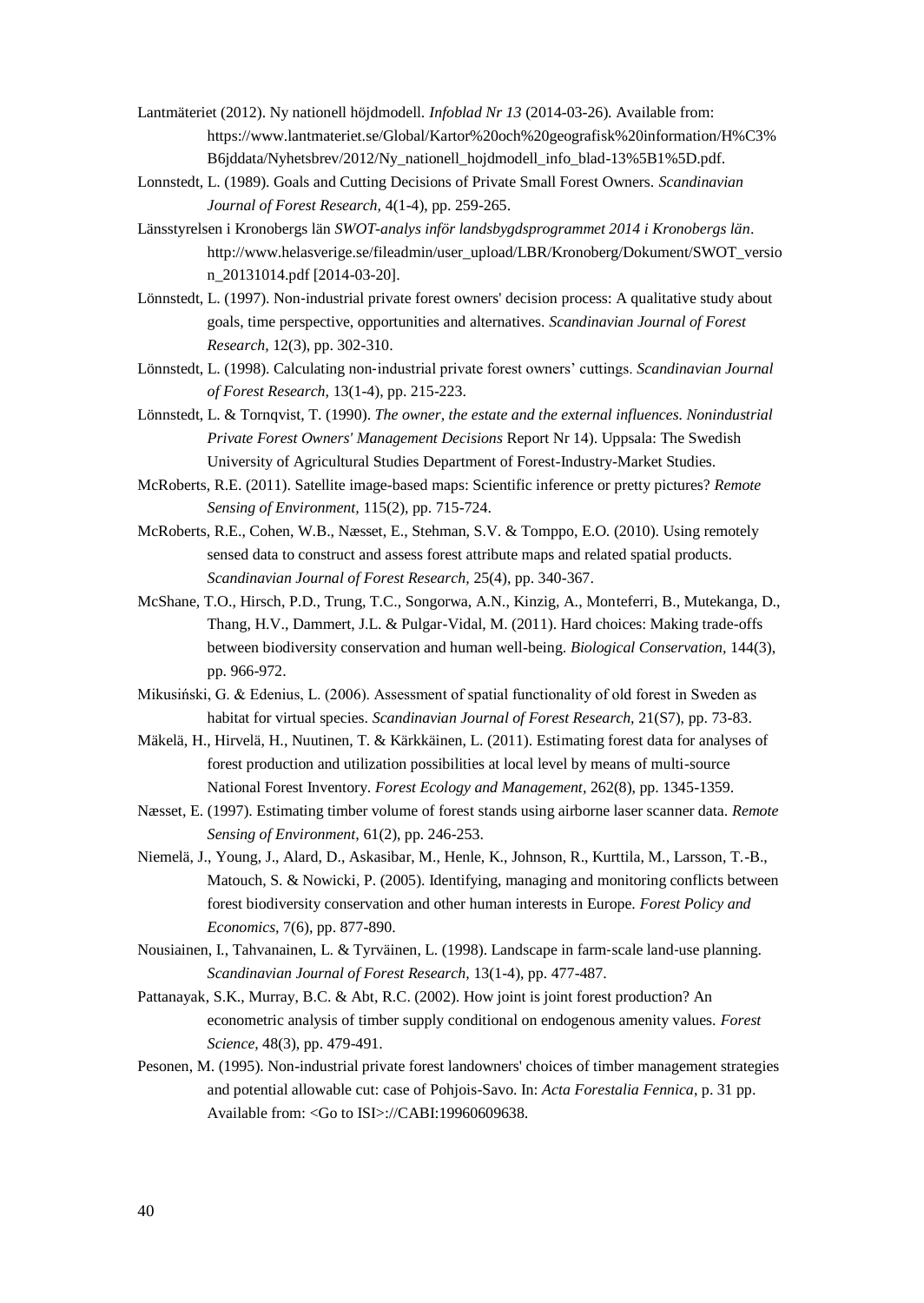- <span id="page-39-10"></span>Lantmäteriet (2012). Ny nationell höjdmodell. *Infoblad Nr 13* (2014-03-26). Available from: https://www.lantmateriet.se/Global/Kartor%20och%20geografisk%20information/H%C3% B6jddata/Nyhetsbrev/2012/Ny\_nationell\_hojdmodell\_info\_blad-13%5B1%5D.pdf.
- <span id="page-39-5"></span>Lonnstedt, L. (1989). Goals and Cutting Decisions of Private Small Forest Owners. *Scandinavian Journal of Forest Research,* 4(1-4), pp. 259-265.
- <span id="page-39-13"></span>Länsstyrelsen i Kronobergs län *SWOT-analys inför landsbygdsprogrammet 2014 i Kronobergs län*. http://www.helasverige.se/fileadmin/user\_upload/LBR/Kronoberg/Dokument/SWOT\_versio n\_20131014.pdf [2014-03-20].
- <span id="page-39-6"></span>Lönnstedt, L. (1997). Non-industrial private forest owners' decision process: A qualitative study about goals, time perspective, opportunities and alternatives. *Scandinavian Journal of Forest Research,* 12(3), pp. 302-310.
- <span id="page-39-7"></span>Lönnstedt, L. (1998). Calculating non‐industrial private forest owners' cuttings. *Scandinavian Journal of Forest Research,* 13(1-4), pp. 215-223.
- <span id="page-39-2"></span>Lönnstedt, L. & Tornqvist, T. (1990). *The owner, the estate and the external influences. Nonindustrial Private Forest Owners' Management Decisions* Report Nr 14). Uppsala: The Swedish University of Agricultural Studies Department of Forest-Industry-Market Studies.
- <span id="page-39-9"></span>McRoberts, R.E. (2011). Satellite image-based maps: Scientific inference or pretty pictures? *Remote Sensing of Environment,* 115(2), pp. 715-724.
- <span id="page-39-8"></span>McRoberts, R.E., Cohen, W.B., Næsset, E., Stehman, S.V. & Tomppo, E.O. (2010). Using remotely sensed data to construct and assess forest attribute maps and related spatial products. *Scandinavian Journal of Forest Research,* 25(4), pp. 340-367.
- <span id="page-39-1"></span>McShane, T.O., Hirsch, P.D., Trung, T.C., Songorwa, A.N., Kinzig, A., Monteferri, B., Mutekanga, D., Thang, H.V., Dammert, J.L. & Pulgar-Vidal, M. (2011). Hard choices: Making trade-offs between biodiversity conservation and human well-being. *Biological Conservation,* 144(3), pp. 966-972.
- <span id="page-39-14"></span>Mikusiński, G. & Edenius, L. (2006). Assessment of spatial functionality of old forest in Sweden as habitat for virtual species. *Scandinavian Journal of Forest Research,* 21(S7), pp. 73-83.
- <span id="page-39-12"></span>Mäkelä, H., Hirvelä, H., Nuutinen, T. & Kärkkäinen, L. (2011). Estimating forest data for analyses of forest production and utilization possibilities at local level by means of multi-source National Forest Inventory. *Forest Ecology and Management,* 262(8), pp. 1345-1359.
- <span id="page-39-11"></span>Næsset, E. (1997). Estimating timber volume of forest stands using airborne laser scanner data. *Remote Sensing of Environment,* 61(2), pp. 246-253.
- <span id="page-39-0"></span>Niemelä, J., Young, J., Alard, D., Askasibar, M., Henle, K., Johnson, R., Kurttila, M., Larsson, T.-B., Matouch, S. & Nowicki, P. (2005). Identifying, managing and monitoring conflicts between forest biodiversity conservation and other human interests in Europe. *Forest Policy and Economics,* 7(6), pp. 877-890.
- <span id="page-39-4"></span>Nousiainen, I., Tahvanainen, L. & Tyrväinen, L. (1998). Landscape in farm‐scale land‐use planning. *Scandinavian Journal of Forest Research,* 13(1-4), pp. 477-487.
- <span id="page-39-15"></span>Pattanayak, S.K., Murray, B.C. & Abt, R.C. (2002). How joint is joint forest production? An econometric analysis of timber supply conditional on endogenous amenity values. *Forest Science,* 48(3), pp. 479-491.
- <span id="page-39-3"></span>Pesonen, M. (1995). Non-industrial private forest landowners' choices of timber management strategies and potential allowable cut: case of Pohjois-Savo. In: *Acta Forestalia Fennica*, p. 31 pp. Available from: <Go to ISI>://CABI:19960609638.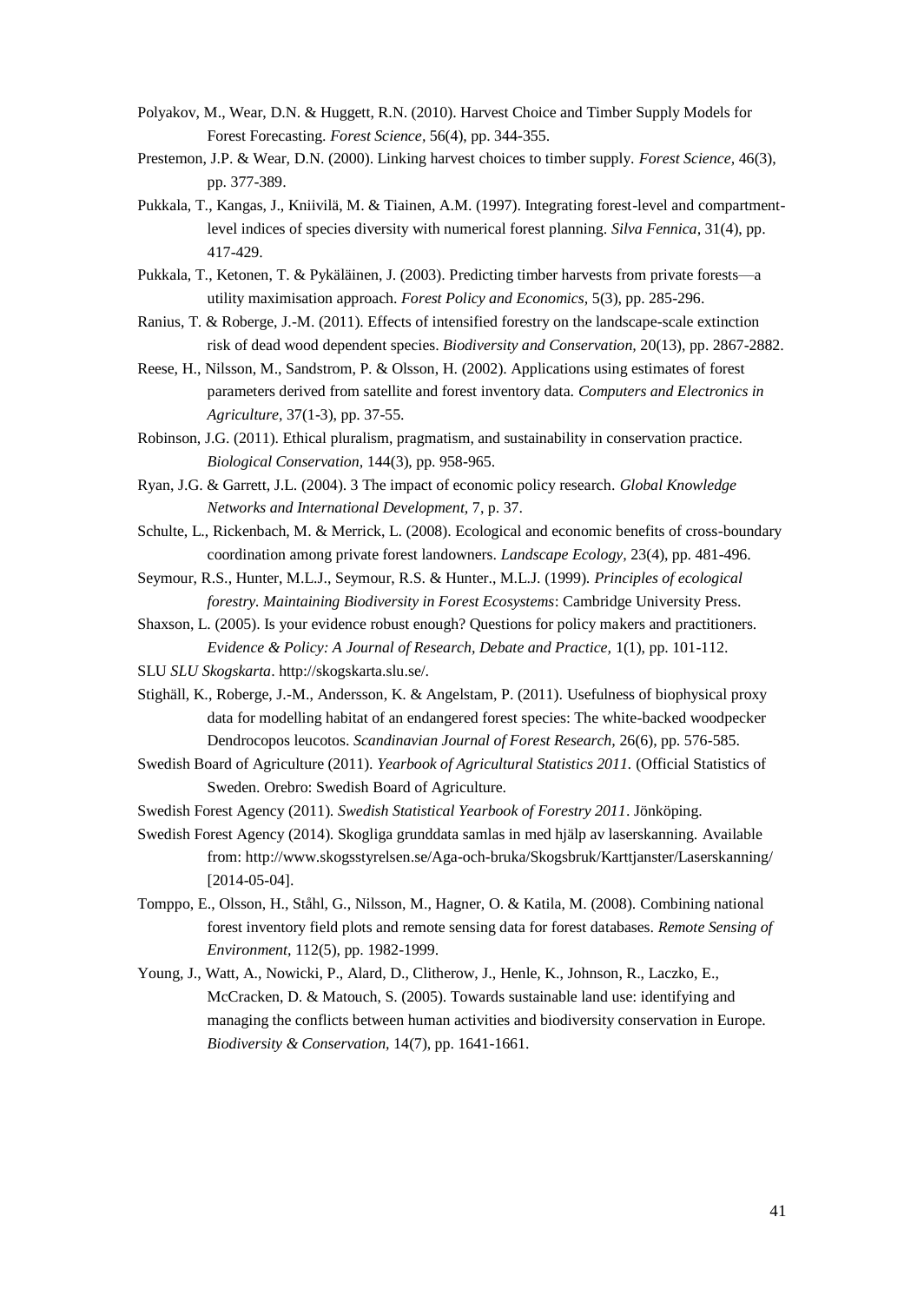- <span id="page-40-8"></span>Polyakov, M., Wear, D.N. & Huggett, R.N. (2010). Harvest Choice and Timber Supply Models for Forest Forecasting. *Forest Science,* 56(4), pp. 344-355.
- <span id="page-40-9"></span>Prestemon, J.P. & Wear, D.N. (2000). Linking harvest choices to timber supply. *Forest Science,* 46(3), pp. 377-389.
- <span id="page-40-6"></span>Pukkala, T., Kangas, J., Kniivilä, M. & Tiainen, A.M. (1997). Integrating forest-level and compartmentlevel indices of species diversity with numerical forest planning. *Silva Fennica,* 31(4), pp. 417-429.
- <span id="page-40-10"></span>Pukkala, T., Ketonen, T. & Pykäläinen, J. (2003). Predicting timber harvests from private forests—a utility maximisation approach. *Forest Policy and Economics,* 5(3), pp. 285-296.
- <span id="page-40-17"></span>Ranius, T. & Roberge, J.-M. (2011). Effects of intensified forestry on the landscape-scale extinction risk of dead wood dependent species. *Biodiversity and Conservation,* 20(13), pp. 2867-2882.
- <span id="page-40-13"></span>Reese, H., Nilsson, M., Sandstrom, P. & Olsson, H. (2002). Applications using estimates of forest parameters derived from satellite and forest inventory data. *Computers and Electronics in Agriculture,* 37(1-3), pp. 37-55.
- <span id="page-40-3"></span>Robinson, J.G. (2011). Ethical pluralism, pragmatism, and sustainability in conservation practice. *Biological Conservation,* 144(3), pp. 958-965.
- <span id="page-40-5"></span>Ryan, J.G. & Garrett, J.L. (2004). 3 The impact of economic policy research. *Global Knowledge Networks and International Development,* 7, p. 37.
- <span id="page-40-7"></span>Schulte, L., Rickenbach, M. & Merrick, L. (2008). Ecological and economic benefits of cross-boundary coordination among private forest landowners. *Landscape Ecology,* 23(4), pp. 481-496.
- <span id="page-40-16"></span>Seymour, R.S., Hunter, M.L.J., Seymour, R.S. & Hunter., M.L.J. (1999). *Principles of ecological forestry. Maintaining Biodiversity in Forest Ecosystems*: Cambridge University Press.
- <span id="page-40-4"></span>Shaxson, L. (2005). Is your evidence robust enough? Questions for policy makers and practitioners. *Evidence & Policy: A Journal of Research, Debate and Practice,* 1(1), pp. 101-112.
- <span id="page-40-11"></span>SLU *SLU Skogskarta*. http://skogskarta.slu.se/.
- <span id="page-40-15"></span>Stighäll, K., Roberge, J.-M., Andersson, K. & Angelstam, P. (2011). Usefulness of biophysical proxy data for modelling habitat of an endangered forest species: The white-backed woodpecker Dendrocopos leucotos. *Scandinavian Journal of Forest Research,* 26(6), pp. 576-585.
- <span id="page-40-1"></span>Swedish Board of Agriculture (2011). *Yearbook of Agricultural Statistics 2011.* (Official Statistics of Sweden. Orebro: Swedish Board of Agriculture.
- <span id="page-40-0"></span>Swedish Forest Agency (2011). *Swedish Statistical Yearbook of Forestry 2011*. Jönköping.
- <span id="page-40-14"></span>Swedish Forest Agency (2014). Skogliga grunddata samlas in med hjälp av laserskanning. Available from: http://www.skogsstyrelsen.se/Aga-och-bruka/Skogsbruk/Karttjanster/Laserskanning/ [2014-05-04].
- <span id="page-40-12"></span>Tomppo, E., Olsson, H., Ståhl, G., Nilsson, M., Hagner, O. & Katila, M. (2008). Combining national forest inventory field plots and remote sensing data for forest databases. *Remote Sensing of Environment,* 112(5), pp. 1982-1999.
- <span id="page-40-2"></span>Young, J., Watt, A., Nowicki, P., Alard, D., Clitherow, J., Henle, K., Johnson, R., Laczko, E., McCracken, D. & Matouch, S. (2005). Towards sustainable land use: identifying and managing the conflicts between human activities and biodiversity conservation in Europe. *Biodiversity & Conservation,* 14(7), pp. 1641-1661.